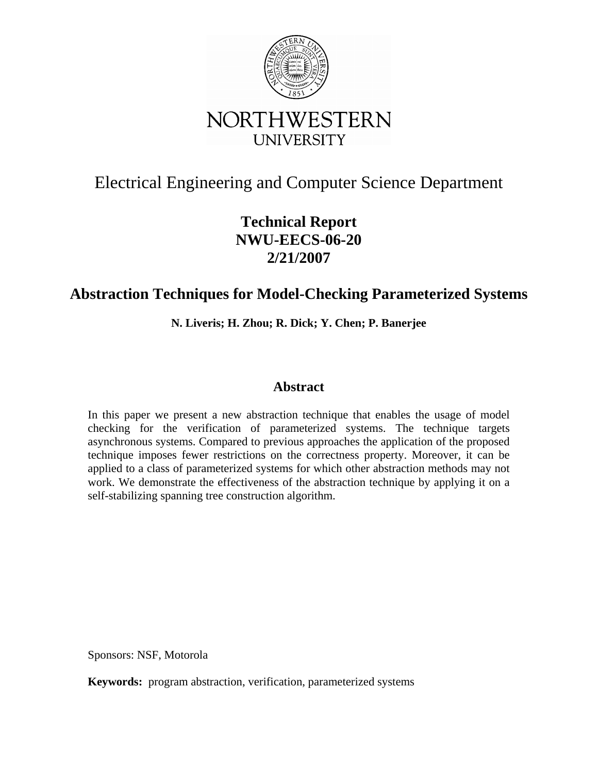

# Electrical Engineering and Computer Science Department

# **Technical Report NWU-EECS-06-20 2/21/2007**

# **Abstraction Techniques for Model-Checking Parameterized Systems**

**N. Liveris; H. Zhou; R. Dick; Y. Chen; P. Banerjee** 

# **Abstract**

In this paper we present a new abstraction technique that enables the usage of model checking for the verification of parameterized systems. The technique targets asynchronous systems. Compared to previous approaches the application of the proposed technique imposes fewer restrictions on the correctness property. Moreover, it can be applied to a class of parameterized systems for which other abstraction methods may not work. We demonstrate the effectiveness of the abstraction technique by applying it on a self-stabilizing spanning tree construction algorithm.

Sponsors: NSF, Motorola

**Keywords:** program abstraction, verification, parameterized systems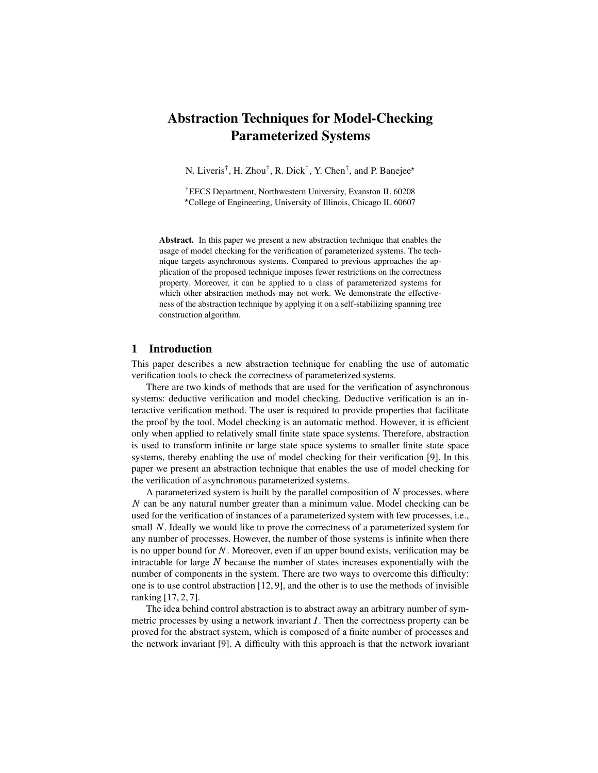# **Abstraction Techniques for Model-Checking Parameterized Systems**

N. Liveris<sup>†</sup>, H. Zhou<sup>†</sup>, R. Dick<sup>†</sup>, Y. Chen<sup>†</sup>, and P. Banejee<sup>\*</sup>

†EECS Department, Northwestern University, Evanston IL 60208 ✁ College of Engineering, University of Illinois, Chicago IL 60607

**Abstract.** In this paper we present a new abstraction technique that enables the usage of model checking for the verification of parameterized systems. The technique targets asynchronous systems. Compared to previous approaches the application of the proposed technique imposes fewer restrictions on the correctness property. Moreover, it can be applied to a class of parameterized systems for which other abstraction methods may not work. We demonstrate the effectiveness of the abstraction technique by applying it on a self-stabilizing spanning tree construction algorithm.

# **1 Introduction**

This paper describes a new abstraction technique for enabling the use of automatic verification tools to check the correctness of parameterized systems.

There are two kinds of methods that are used for the verification of asynchronous systems: deductive verification and model checking. Deductive verification is an interactive verification method. The user is required to provide properties that facilitate the proof by the tool. Model checking is an automatic method. However, it is efficient only when applied to relatively small finite state space systems. Therefore, abstraction is used to transform infinite or large state space systems to smaller finite state space systems, thereby enabling the use of model checking for their verification [9]. In this paper we present an abstraction technique that enables the use of model checking for the verification of asynchronous parameterized systems.

A parameterized system is built by the parallel composition of  $N$  processes, where ✂ can be any natural number greater than a minimum value. Model checking can be used for the verification of instances of a parameterized system with few processes, i.e., small N. Ideally we would like to prove the correctness of a parameterized system for any number of processes. However, the number of those systems is infinite when there is no upper bound for  $N$ . Moreover, even if an upper bound exists, verification may be intractable for large  $N$  because the number of states increases exponentially with the number of components in the system. There are two ways to overcome this difficulty: one is to use control abstraction [12, 9], and the other is to use the methods of invisible ranking [17, 2, 7].

The idea behind control abstraction is to abstract away an arbitrary number of symmetric processes by using a network invariant  $I$ . Then the correctness property can be proved for the abstract system, which is composed of a finite number of processes and the network invariant [9]. A difficulty with this approach is that the network invariant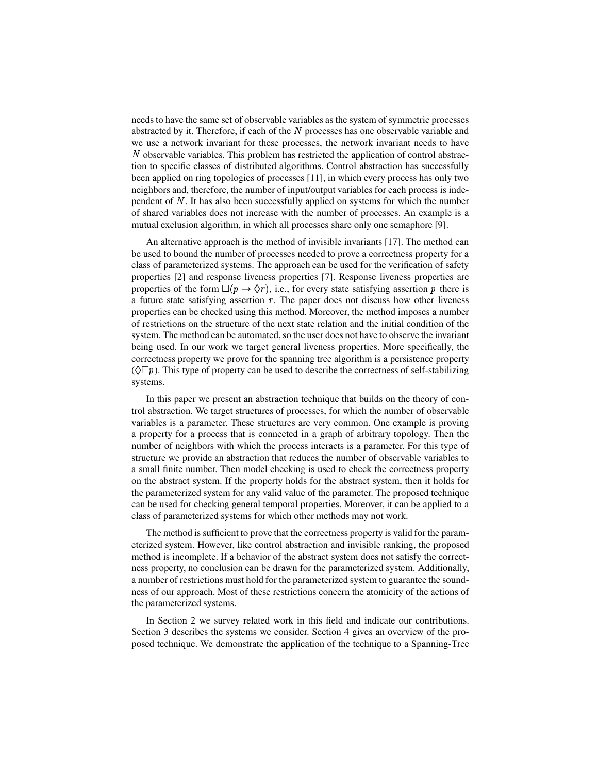needs to have the same set of observable variables as the system of symmetric processes abstracted by it. Therefore, if each of the  $N$  processes has one observable variable and we use a network invariant for these processes, the network invariant needs to have ✂ observable variables. This problem has restricted the application of control abstraction to specific classes of distributed algorithms. Control abstraction has successfully been applied on ring topologies of processes [11], in which every process has only two neighbors and, therefore, the number of input/output variables for each process is independent of N. It has also been successfully applied on systems for which the number of shared variables does not increase with the number of processes. An example is a mutual exclusion algorithm, in which all processes share only one semaphore [9].

An alternative approach is the method of invisible invariants [17]. The method can be used to bound the number of processes needed to prove a correctness property for a class of parameterized systems. The approach can be used for the verification of safety properties [2] and response liveness properties [7]. Response liveness properties are properties of the form  $\Box(p \rightarrow \Diamond r)$ , i.e., for every state satisfying assertion p there is a future state satisfying assertion  $r$ . The paper does not discuss how other liveness properties can be checked using this method. Moreover, the method imposes a number of restrictions on the structure of the next state relation and the initial condition of the system. The method can be automated, so the user does not have to observe the invariant being used. In our work we target general liveness properties. More specifically, the correctness property we prove for the spanning tree algorithm is a persistence property  $(\Diamond \Box p)$ . This type of property can be used to describe the correctness of self-stabilizing systems.

In this paper we present an abstraction technique that builds on the theory of control abstraction. We target structures of processes, for which the number of observable variables is a parameter. These structures are very common. One example is proving a property for a process that is connected in a graph of arbitrary topology. Then the number of neighbors with which the process interacts is a parameter. For this type of structure we provide an abstraction that reduces the number of observable variables to a small finite number. Then model checking is used to check the correctness property on the abstract system. If the property holds for the abstract system, then it holds for the parameterized system for any valid value of the parameter. The proposed technique can be used for checking general temporal properties. Moreover, it can be applied to a class of parameterized systems for which other methods may not work.

The method is sufficient to prove that the correctness property is valid for the parameterized system. However, like control abstraction and invisible ranking, the proposed method is incomplete. If a behavior of the abstract system does not satisfy the correctness property, no conclusion can be drawn for the parameterized system. Additionally, a number of restrictions must hold for the parameterized system to guarantee the soundness of our approach. Most of these restrictions concern the atomicity of the actions of the parameterized systems.

In Section 2 we survey related work in this field and indicate our contributions. Section 3 describes the systems we consider. Section 4 gives an overview of the proposed technique. We demonstrate the application of the technique to a Spanning-Tree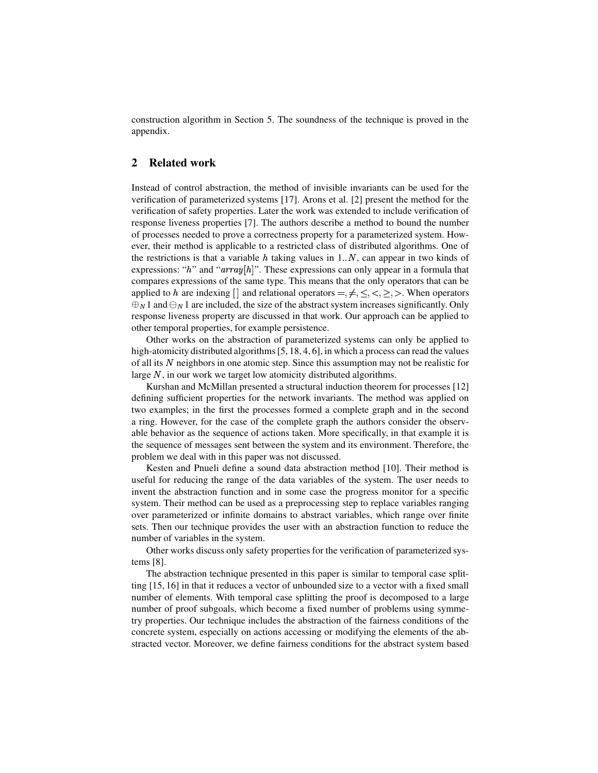construction algorithm in Section 5. The soundness of the technique is proved in the appendix.

## **2 Related work**

Instead of control abstraction, the method of invisible invariants can be used for the verification of parameterized systems [17]. Arons et al. [2] present the method for the verification of safety properties. Later the work was extended to include verification of response liveness properties [7]. The authors describe a method to bound the number of processes needed to prove a correctness property for a parameterized system. However, their method is applicable to a restricted class of distributed algorithms. One of the restrictions is that a variable  $h$  taking values in 1. $N$ , can appear in two kinds of expressions: " $h$ " and " $array[h]$ ". These expressions can only appear in a formula that compares expressions of the same type. This means that the only operators that can be applied to h are indexing  $\Box$  and relational operators  $=,\neq,\leq,\geq,\geq,\geq$ . When operators  $\bigoplus_N 1$  and  $\bigoplus_N 1$  are included, the size of the abstract system increases significantly. Only response liveness property are discussed in that work. Our approach can be applied to other temporal properties, for example persistence.

Other works on the abstraction of parameterized systems can only be applied to high-atomicity distributed algorithms [5, 18, 4, 6], in which a process can read the values of all its ✂ neighbors in one atomic step. Since this assumption may not be realistic for large N, in our work we target low atomicity distributed algorithms.

Kurshan and McMillan presented a structural induction theorem for processes [12] defining sufficient properties for the network invariants. The method was applied on two examples; in the first the processes formed a complete graph and in the second a ring. However, for the case of the complete graph the authors consider the observable behavior as the sequence of actions taken. More specifically, in that example it is the sequence of messages sent between the system and its environment. Therefore, the problem we deal with in this paper was not discussed.

Kesten and Pnueli define a sound data abstraction method [10]. Their method is useful for reducing the range of the data variables of the system. The user needs to invent the abstraction function and in some case the progress monitor for a specific system. Their method can be used as a preprocessing step to replace variables ranging over parameterized or infinite domains to abstract variables, which range over finite sets. Then our technique provides the user with an abstraction function to reduce the number of variables in the system.

Other works discuss only safety properties for the verification of parameterized systems [8].

The abstraction technique presented in this paper is similar to temporal case splitting [15, 16] in that it reduces a vector of unbounded size to a vector with a fixed small number of elements. With temporal case splitting the proof is decomposed to a large number of proof subgoals, which become a fixed number of problems using symmetry properties. Our technique includes the abstraction of the fairness conditions of the concrete system, especially on actions accessing or modifying the elements of the abstracted vector. Moreover, we define fairness conditions for the abstract system based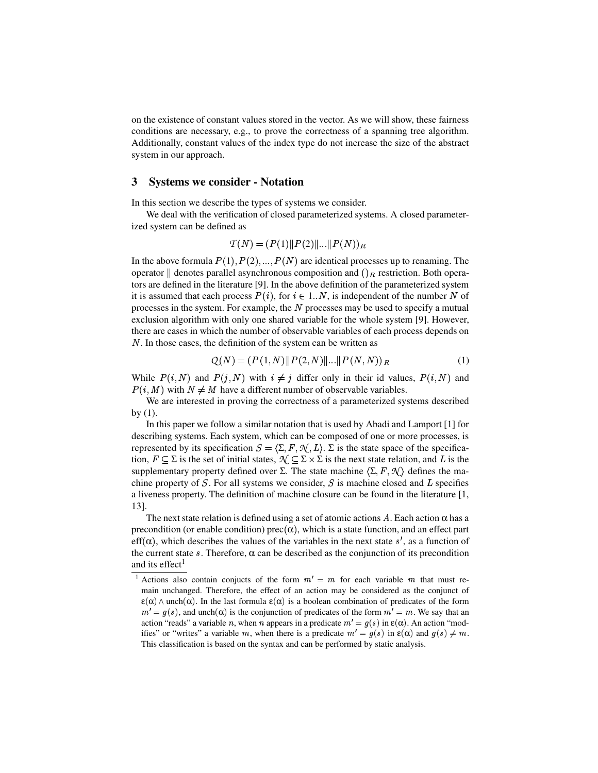on the existence of constant values stored in the vector. As we will show, these fairness conditions are necessary, e.g., to prove the correctness of a spanning tree algorithm. Additionally, constant values of the index type do not increase the size of the abstract system in our approach.

#### **3 Systems we consider - Notation**

In this section we describe the types of systems we consider.

We deal with the verification of closed parameterized systems. A closed parameterized system can be defined as

$$
T(N) = (P(1) || P(2) || ... || P(N))_R
$$

In the above formula  $P(1), P(2), ..., P(N)$  are identical processes up to renaming. The operator  $\parallel$  denotes parallel asynchronous composition and  $()_R$  restriction. Both operators are defined in the literature [9]. In the above definition of the parameterized system it is assumed that each process  $P(i)$ , for  $i \in 1..N$ , is independent of the number N of processes in the system. For example, the  $N$  processes may be used to specify a mutual exclusion algorithm with only one shared variable for the whole system [9]. However, there are cases in which the number of observable variables of each process depends on ✂ . In those cases, the definition of the system can be written as

$$
Q(N) = (P(1, N) || P(2, N) || ... || P(N, N))_R
$$
 (1)

While  $P(i, N)$  and  $P(j, N)$  with  $i \neq j$  differ only in their id values,  $P(i, N)$  and  $P(i, M)$  with  $N \neq M$  have a different number of observable variables.

We are interested in proving the correctness of a parameterized systems described by (1).

In this paper we follow a similar notation that is used by Abadi and Lamport [1] for describing systems. Each system, which can be composed of one or more processes, is represented by its specification  $S = \langle \Sigma, F, \mathcal{N}, L \rangle$ .  $\Sigma$  is the state space of the specification,  $F \subseteq \Sigma$  is the set of initial states,  $\mathcal{N} \subseteq \Sigma \times \Sigma$  is the next state relation, and L is the supplementary property defined over  $\Sigma$ . The state machine  $\langle \Sigma, F, \mathcal{N} \rangle$  defines the machine property of  $S$ . For all systems we consider,  $S$  is machine closed and  $L$  specifies a liveness property. The definition of machine closure can be found in the literature [1, 13].

The next state relation is defined using a set of atomic actions A. Each action  $\alpha$  has a precondition (or enable condition) prec $(\alpha)$ , which is a state function, and an effect part eff( $\alpha$ ), which describes the values of the variables in the next state s', as a function of the current state  $s$ . Therefore,  $\alpha$  can be described as the conjunction of its precondition and its effect $<sup>1</sup>$ </sup>

<sup>&</sup>lt;sup>1</sup> Actions also contain conjucts of the form  $m' = m$  for each variable m that must remain unchanged. Therefore, the effect of an action may be considered as the conjunct of  $\epsilon(\alpha)$   $\wedge$  unch $(\alpha)$ . In the last formula  $\epsilon(\alpha)$  is a boolean combination of predicates of the form  $m' = g(s)$ , and unch  $\alpha$  is the conjunction of predicates of the form  $m' = m$ . We say that an action "reads" a variable *n*, when *n* appears in a predicate  $m' = g(s)$  in  $\varepsilon(\alpha)$ . An action "modifies" or "writes" a variable m, when there is a predicate  $m' = g(s)$  in  $\varepsilon(\alpha)$  and  $g(s) \neq m$ . This classification is based on the syntax and can be performed by static analysis.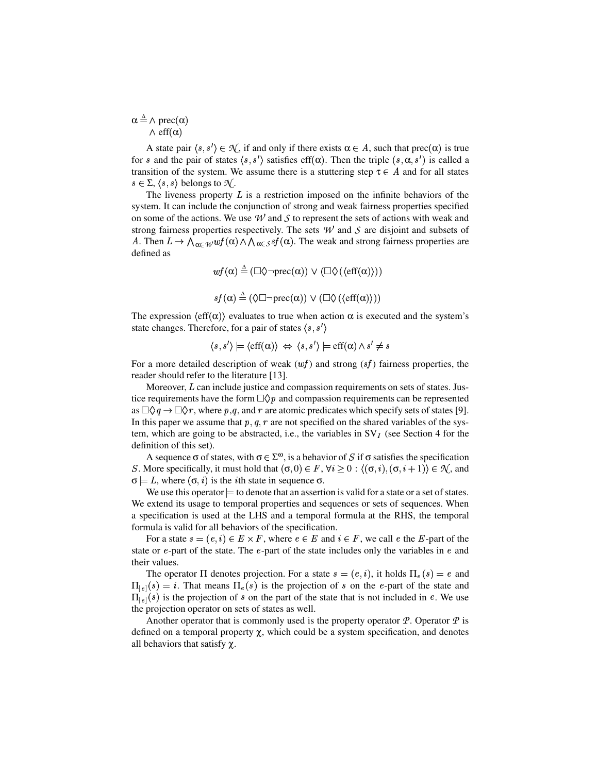$\alpha \stackrel{\Delta}{=} \wedge \text{prec}(\alpha)$  $\wedge$  eff $(\alpha)$ 

A state pair  $\langle s, s' \rangle \in \mathcal{N}$ , if and only if there exists  $\alpha \in A$ , such that prec $(\alpha)$  is true for s and the pair of states  $\langle s, s' \rangle$  satisfies eff $(\alpha)$ . Then the triple  $(s, \alpha, s')$  is called a transition of the system. We assume there is a stuttering step  $\tau \in A$  and for all states  $s \in \Sigma, \langle s, s \rangle$  belongs to  $\mathcal{N}$ .

The liveness property  $L$  is a restriction imposed on the infinite behaviors of the system. It can include the conjunction of strong and weak fairness properties specified on some of the actions. We use  $W$  and  $S$  to represent the sets of actions with weak and strong fairness properties respectively. The sets *W* and *S* are disjoint and subsets of A. Then  $L \to \bigwedge_{\alpha \in W} wf(\alpha) \wedge \bigwedge_{\alpha \in S} sf(\alpha)$ . The weak and strong fairness properties are defined as

$$
wf(\alpha) \triangleq (\Box \Diamond \neg \text{prec}(\alpha)) \lor (\Box \Diamond (\langle \text{eff}(\alpha) \rangle))
$$

$$
sf(\alpha) \triangleq (\Diamond \Box \neg \text{prec}(\alpha)) \lor (\Box \Diamond (\langle \text{eff}(\alpha) \rangle))
$$

The expression  $\langle \text{eff}(\alpha) \rangle$  evaluates to true when action  $\alpha$  is executed and the system's state changes. Therefore, for a pair of states  $\langle s, s' \rangle$ 

$$
\langle s, s' \rangle \models \langle \text{eff}(\alpha) \rangle \Leftrightarrow \langle s, s' \rangle \models \text{eff}(\alpha) \land s' \neq s
$$

For a more detailed description of weak  $(wf)$  and strong  $(sf)$  fairness properties, the reader should refer to the literature [13].

Moreover,  $L$  can include justice and compassion requirements on sets of states. Justice requirements have the form  $\Box Q p$  and compassion requirements can be represented as  $\Box \Diamond q \rightarrow \Box \Diamond r$ , where p,q, and r are atomic predicates which specify sets of states [9]. In this paper we assume that  $p, q, r$  are not specified on the shared variables of the system, which are going to be abstracted, i.e., the variables in  $SV_I$  (see Section 4 for the definition of this set).

A sequence  $\sigma$  of states, with  $\sigma \in \Sigma^{\omega}$ , is a behavior of S if  $\sigma$  satisfies the specification S. More specifically, it must hold that  $(\sigma, 0) \in F$ ,  $\forall i > 0 : \langle (\sigma, i), (\sigma, i + 1) \rangle \in \mathcal{N}$ , and  $\sigma = L$ , where  $(\sigma, i)$  is the *i*th state in sequence  $\sigma$ .

We use this operator  $=$  to denote that an assertion is valid for a state or a set of states. We extend its usage to temporal properties and sequences or sets of sequences. When a specification is used at the LHS and a temporal formula at the RHS, the temporal formula is valid for all behaviors of the specification.

For a state  $s = (e, i) \in E \times F$ , where  $e \in E$  and  $i \in F$ , we call e the E-part of the state or  $e$ -part of the state. The  $e$ -part of the state includes only the variables in  $e$  and their values.

The operator  $\Pi$  denotes projection. For a state  $s = (e, i)$ , it holds  $\Pi_e(s) = e$  and  $\Pi_{\lbrack e]}(s) = i$ . That means  $\Pi_{e}(s)$  is the projection of s on the e-part of the state and  $\Pi_{\lbrack e]}(s)$  is the projection of s on the part of the state that is not included in e. We use the projection operator on sets of states as well.

Another operator that is commonly used is the property operator *P*. Operator *P* is defined on a temporal property χ, which could be a system specification, and denotes all behaviors that satisfy  $\chi$ .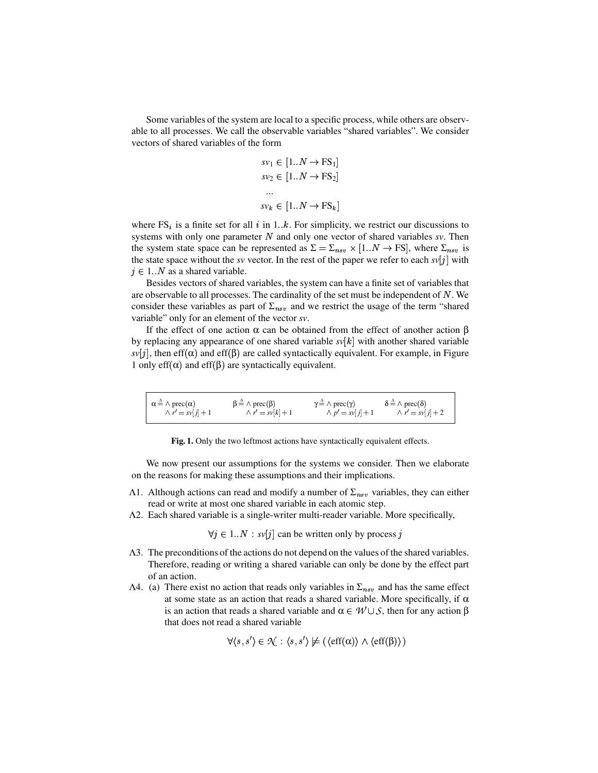Some variables of the system are local to a specific process, while others are observable to all processes. We call the observable variables "shared variables". We consider vectors of shared variables of the form

$$
sv_1 \in [1..N \to \text{FS}_1]
$$

$$
sv_2 \in [1..N \to \text{FS}_2]
$$

$$
\dots
$$

$$
sv_k \in [1..N \to \text{FS}_k]
$$

where  $FS_i$  is a finite set for all i in 1..k. For simplicity, we restrict our discussions to systems with only one parameter  $N$  and only one vector of shared variables  $sv$ . Then the system state space can be represented as  $\Sigma = \Sigma_{nsv} \times [1..N \rightarrow FS]$ , where  $\Sigma_{nsv}$  is the state space without the *sv* vector. In the rest of the paper we refer to each *sv*[j] with  $j \in 1..N$  as a shared variable.

Besides vectors of shared variables, the system can have a finite set of variables that are observable to all processes. The cardinality of the set must be independent of  $N$ . We consider these variables as part of  $\Sigma_{nsv}$  and we restrict the usage of the term "shared" variable" only for an element of the vector *sv*.

If the effect of one action  $\alpha$  can be obtained from the effect of another action  $\beta$ by replacing any appearance of one shared variable  $s\nu[k]$  with another shared variable  $svlj$ , then eff( $\alpha$ ) and eff( $\beta$ ) are called syntactically equivalent. For example, in Figure 1 only eff( $α$ ) and eff( $β$ ) are syntactically equivalent.

$$
\alpha \triangleq \wedge \text{prec}(\alpha) \qquad \qquad \beta \triangleq \wedge \text{prec}(\beta) \qquad \qquad \gamma \triangleq \wedge \text{prec}(\gamma) \qquad \qquad \delta \triangleq \wedge \text{prec}(\delta) \wedge r' = sv[j] + 1 \qquad \qquad \wedge r' = sv[k] + 1 \qquad \qquad \wedge p' = sv[j] + 1 \qquad \qquad \wedge r' = sv[j] + 2
$$

**Fig. 1.** Only the two leftmost actions have syntactically equivalent effects.

We now present our assumptions for the systems we consider. Then we elaborate on the reasons for making these assumptions and their implications.

- Λ1. Although actions can read and modify a number of  $\Sigma_{nsv}$  variables, they can either read or write at most one shared variable in each atomic step.
- Λ2. Each shared variable is a single-writer multi-reader variable. More specifically,

 $\forall j \in 1..N : sv[j]$  can be written only by process j

- Λ3. The preconditions of the actions do not depend on the values of the shared variables. Therefore, reading or writing a shared variable can only be done by the effect part of an action.
- Λ4. (a) There exist no action that reads only variables in  $\Sigma_{nsv}$  and has the same effect at some state as an action that reads a shared variable. More specifically, if  $\alpha$ is an action that reads a shared variable and  $\alpha \in W \cup S$ , then for any action β that does not read a shared variable

$$
\forall \langle s, s' \rangle \in \mathcal{N} : \langle s, s' \rangle \not\models (\langle \text{eff}(\alpha) \rangle \land \langle \text{eff}(\beta) \rangle)
$$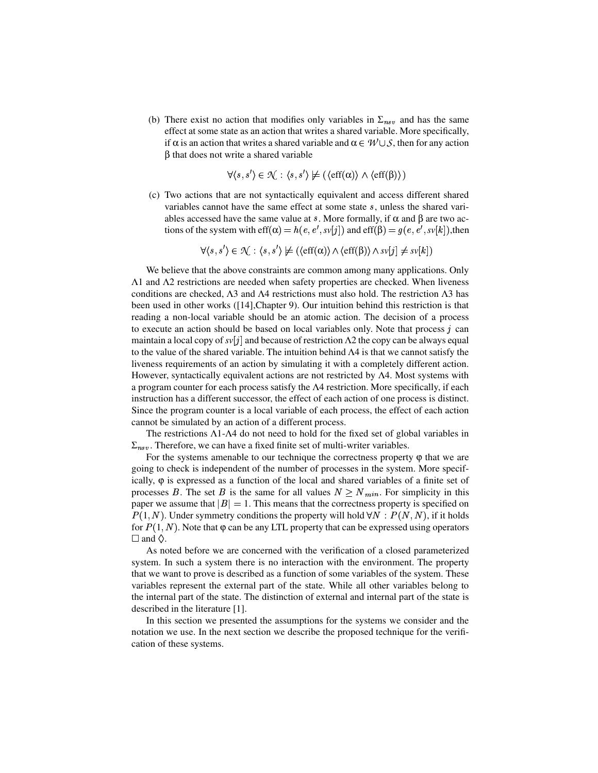(b) There exist no action that modifies only variables in  $\Sigma_{nsv}$  and has the same effect at some state as an action that writes a shared variable. More specifically, if  $\alpha$  is an action that writes a shared variable and  $\alpha \in \mathcal{W} \cup \mathcal{S}$ , then for any action β that does not write a shared variable

$$
\forall \langle s, s' \rangle \in \mathcal{N} : \langle s, s' \rangle \not\models (\langle \text{eff}(\alpha) \rangle \land \langle \text{eff}(\beta) \rangle)
$$

(c) Two actions that are not syntactically equivalent and access different shared variables cannot have the same effect at some state  $s$ , unless the shared variables accessed have the same value at s. More formally, if  $\alpha$  and  $\beta$  are two actions of the system with eff $(\alpha) = h(e, e', s\nu[j])$  and eff $(\beta) = g(e, e', s\nu[k])$ , then

 $\forall (s, s') \in \mathcal{N} : \langle s, s' \rangle \not\models (\langle \text{eff}(\alpha) \rangle \wedge \langle \text{eff}(\beta) \rangle \wedge \text{sv}[j] \neq \text{sv}[k])$ 

We believe that the above constraints are common among many applications. Only Λ1 and Λ2 restrictions are needed when safety properties are checked. When liveness conditions are checked, Λ3 and Λ4 restrictions must also hold. The restriction Λ3 has been used in other works ([14],Chapter 9). Our intuition behind this restriction is that reading a non-local variable should be an atomic action. The decision of a process to execute an action should be based on local variables only. Note that process  $j$  can maintain a local copy of  $s\nu[i]$  and because of restriction  $\Lambda 2$  the copy can be always equal to the value of the shared variable. The intuition behind  $\Lambda$ 4 is that we cannot satisfy the liveness requirements of an action by simulating it with a completely different action. However, syntactically equivalent actions are not restricted by Λ4. Most systems with a program counter for each process satisfy the Λ4 restriction. More specifically, if each instruction has a different successor, the effect of each action of one process is distinct. Since the program counter is a local variable of each process, the effect of each action cannot be simulated by an action of a different process.

The restrictions Λ1-Λ4 do not need to hold for the fixed set of global variables in  $\Sigma_{nsv}$ . Therefore, we can have a fixed finite set of multi-writer variables.

For the systems amenable to our technique the correctness property  $\varphi$  that we are going to check is independent of the number of processes in the system. More specifically,  $\varphi$  is expressed as a function of the local and shared variables of a finite set of processes B. The set B is the same for all values  $N \ge N_{min}$ . For simplicity in this paper we assume that  $|B| = 1$ . This means that the correctness property is specified on  $P(1, N)$ . Under symmetry conditions the property will hold  $\forall N : P(N, N)$ , if it holds for  $P(1, N)$ . Note that  $\varphi$  can be any LTL property that can be expressed using operators  $\Box$  and  $\Diamond$ .

As noted before we are concerned with the verification of a closed parameterized system. In such a system there is no interaction with the environment. The property that we want to prove is described as a function of some variables of the system. These variables represent the external part of the state. While all other variables belong to the internal part of the state. The distinction of external and internal part of the state is described in the literature [1].

In this section we presented the assumptions for the systems we consider and the notation we use. In the next section we describe the proposed technique for the verification of these systems.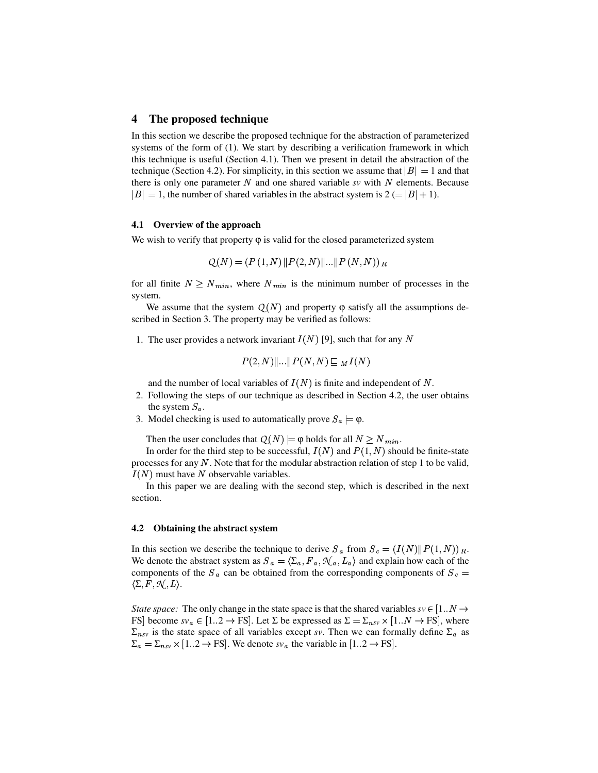#### **4 The proposed technique**

In this section we describe the proposed technique for the abstraction of parameterized systems of the form of (1). We start by describing a verification framework in which this technique is useful (Section 4.1). Then we present in detail the abstraction of the technique (Section 4.2). For simplicity, in this section we assume that  $|B| = 1$  and that there is only one parameter  $N$  and one shared variable  $sv$  with  $N$  elements. Because  $|B| = 1$ , the number of shared variables in the abstract system is 2 (=  $|B| + 1$ ).

#### **4.1 Overview of the approach**

We wish to verify that property  $\varphi$  is valid for the closed parameterized system

$$
Q(N) = (P(1, N) || P(2, N) || ... || P(N, N))_{R}
$$

for all finite  $N \ge N_{min}$ , where  $N_{min}$  is the minimum number of processes in the system.

We assume that the system  $Q(N)$  and property  $\varphi$  satisfy all the assumptions described in Section 3. The property may be verified as follows:

1. The user provides a network invariant  $I(N)$  [9], such that for any N

$$
P(2,N)\|...\|P(N,N)\sqsubseteq M I(N)
$$

and the number of local variables of  $I(N)$  is finite and independent of N.

- 2. Following the steps of our technique as described in Section 4.2, the user obtains the system  $S_{\alpha}$ .
- 3. Model checking is used to automatically prove  $S_a \models \varphi$ .

Then the user concludes that  $Q(N) \models \varphi$  holds for all  $N \ge N_{min}$ .

In order for the third step to be successful,  $I(N)$  and  $P(1, N)$  should be finite-state processes for any N. Note that for the modular abstraction relation of step 1 to be valid,  $I(N)$  must have N observable variables.

In this paper we are dealing with the second step, which is described in the next section.

#### **4.2 Obtaining the abstract system**

In this section we describe the technique to derive  $S_a$  from  $S_c = (I(N)||P(1,N))_{R}$ . We denote the abstract system as  $S_a = \langle \Sigma_a, F_a, \mathcal{N}_a, L_a \rangle$  and explain how each of the components of the  $S_a$  can be obtained from the corresponding components of  $S_c$  =  $\langle \Sigma, F, \mathcal{N}, L \rangle$ .

*State space:* The only change in the state space is that the shared variables  $sv \in [1..N \rightarrow \mathbb{R}^N]$ FS become  $sv_a \in [1..2 \to \text{FS}]$ . Let  $\Sigma$  be expressed as  $\Sigma = \Sigma_{nsv} \times [1..N \to \text{FS}]$ , where  $\Sigma_{nsv}$  is the state space of all variables except *sv*. Then we can formally define  $\Sigma_a$  as  $\Sigma_a = \Sigma_{nsv} \times [1..2 \rightarrow \text{FS}]$ . We denote  $sv_a$  the variable in  $[1..2 \rightarrow \text{FS}]$ .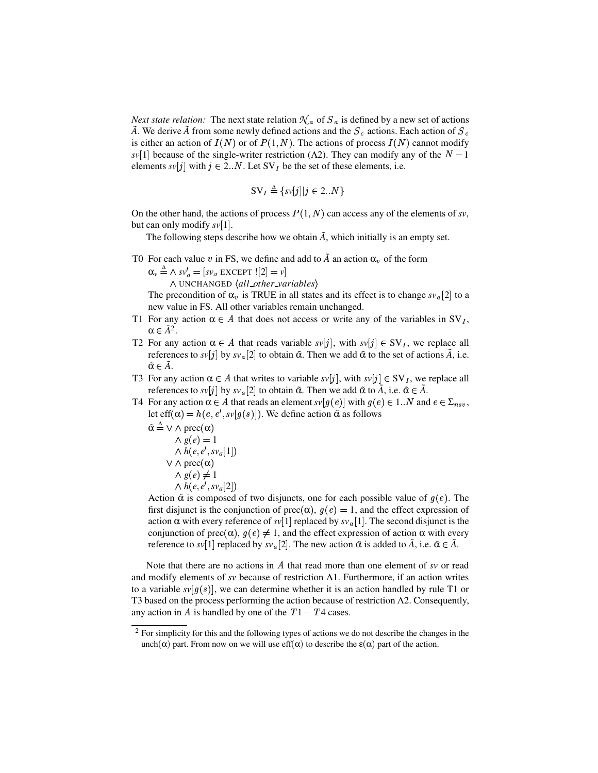*Next state relation:* The next state relation  $\mathcal{N}_a$  of  $S_a$  is defined by a new set of actions *A*. We derive *A* from some newly defined actions and the  $S_c$  actions. Each action of  $S_c$ is either an action of  $I(N)$  or of  $P(1,N)$ . The actions of process  $I(N)$  cannot modify  $sv[1]$  because of the single-writer restriction ( $\Lambda$ 2). They can modify any of the  $N-1$ elements  $s\nu[j]$  with  $j \in 2..N$ . Let SV<sub>I</sub> be the set of these elements, i.e.

$$
SV_I \stackrel{\Delta}{=} \{sv[j]|j \in 2..N\}
$$

On the other hand, the actions of process  $P(1, N)$  can access any of the elements of *sv*, but can only modify  $s\nu[1]$ .

The following steps describe how we obtain  $\tilde{A}$ , which initially is an empty set.

T0 For each value v in FS, we define and add to  $\tilde{A}$  an action  $\alpha_v$  of the form

 $\alpha_v \triangleq \wedge sv'_a = [sv_a \text{ EXCEPT} ![2] = v]$ 

 $\land$  UNCHANGED  $\langle$ all\_other\_variables $\rangle$ 

The precondition of  $\alpha_v$  is TRUE in all states and its effect is to change  $s v_a[2]$  to a new value in FS. All other variables remain unchanged.

- T1 For any action  $\alpha \in A$  that does not access or write any of the variables in SV<sub>I</sub>,  $\alpha \in \tilde{A}^2$ .
- T2 For any action  $\alpha \in A$  that reads variable  $svl_j$ , with  $sv[j] \in SV_I$ , we replace all references to  $s\nu[j]$  by  $s\nu_{a}[2]$  to obtain  $\tilde{\alpha}$ . Then we add  $\tilde{\alpha}$  to the set of actions  $\tilde{A}$ , i.e.  $\tilde{\alpha} \in A$ .
- T3 For any action  $\alpha \in A$  that writes to variable  $svl_j$ , with  $sv[j] \in SV_j$ , we replace all references to  $s\nu[j]$  by  $s\nu_{a}[2]$  to obtain  $\tilde{\alpha}$ . Then we add  $\tilde{\alpha}$  to  $\tilde{A}$ , i.e.  $\tilde{\alpha} \in \tilde{A}$ .
- T4 For any action  $\alpha \in A$  that reads an element  $s v[g(e)]$  with  $g(e) \in 1..N$  and  $e \in \Sigma_{nsv}$ , let eff( $\alpha$ ) =  $h(e, e', sv[g(s)])$ . We define action  $\tilde{\alpha}$  as follows

$$
\tilde{\alpha} \triangleq \vee \wedge \text{prec}(\alpha) \wedge g(e) = 1 \wedge h(e, e', s v_a[1]) \vee \wedge \text{prec}(\alpha) \wedge g(e) \neq 1 \wedge h(e, e', s v_a[2])
$$

Action  $\tilde{\alpha}$  is composed of two disjuncts, one for each possible value of  $g(e)$ . The first disjunct is the conjunction of prec $(\alpha)$ ,  $q(e) = 1$ , and the effect expression of action  $\alpha$  with every reference of *sv*[1] replaced by  $s v_a$ [1]. The second disjunct is the conjunction of prec( $\alpha$ ),  $g(e) \neq 1$ , and the effect expression of action  $\alpha$  with every reference to *sv*[1] replaced by  $s v_a$ [2]. The new action  $\tilde{\alpha}$  is added to  $\tilde{A}$ , i.e.  $\tilde{\alpha} \in \tilde{A}$ .

Note that there are no actions in A that read more than one element of *sv* or read and modify elements of *sv* because of restriction Λ1. Furthermore, if an action writes to a variable  $s\nu[g(s)]$ , we can determine whether it is an action handled by rule T1 or T3 based on the process performing the action because of restriction Λ2. Consequently, any action in  $A$  is handled by one of the  $T1 - T4$  cases.

<sup>&</sup>lt;sup>2</sup> For simplicity for this and the following types of actions we do not describe the changes in the unch( $\alpha$ ) part. From now on we will use eff( $\alpha$ ) to describe the  $\epsilon(\alpha)$  part of the action.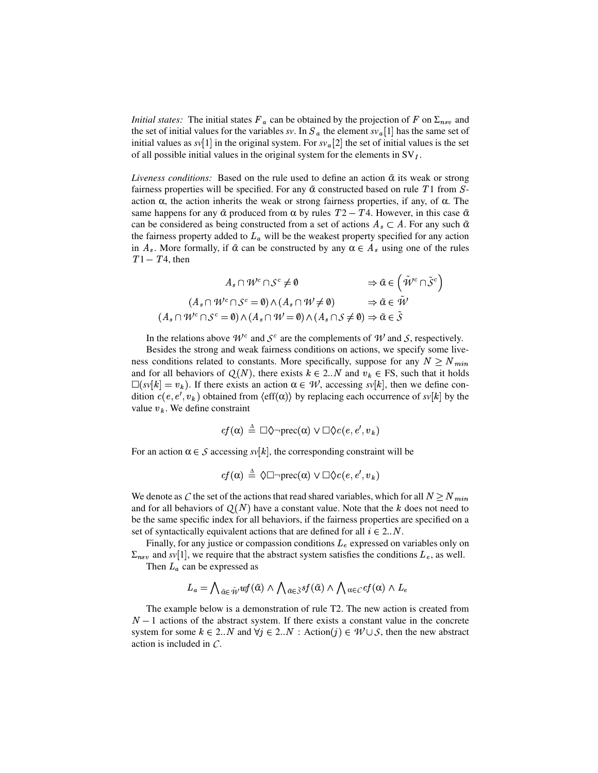*Initial states:* The initial states  $F_a$  can be obtained by the projection of F on  $\Sigma_{nsv}$  and the set of initial values for the variables *sv*. In  $S_a$  the element  $s v_a$  [1] has the same set of initial values as  $sv[1]$  in the original system. For  $sv_a[2]$  the set of initial values is the set of all possible initial values in the original system for the elements in  $SV<sub>I</sub>$ .

*Liveness conditions:* Based on the rule used to define an action  $\tilde{\alpha}$  its weak or strong fairness properties will be specified. For any  $\tilde{\alpha}$  constructed based on rule *T* 1 from *S*action  $\alpha$ , the action inherits the weak or strong fairness properties, if any, of  $\alpha$ . The same happens for any  $\tilde{\alpha}$  produced from  $\alpha$  by rules  $T2 - T4$ . However, in this case  $\tilde{\alpha}$ can be considered as being constructed from a set of actions  $A_s \subset A$ . For any such  $\tilde{\alpha}$ the fairness property added to  $L_a$  will be the weakest property specified for any action in  $A_s$ . More formally, if  $\tilde{\alpha}$  can be constructed by any  $\alpha \in A_s$  using one of the rules  $T1 - T4$ , then

$$
A_s \cap \mathcal{W}^c \cap \mathcal{S}^c \neq \emptyset \qquad \Rightarrow \tilde{\alpha} \in (\tilde{\mathcal{W}}^c \cap \tilde{\mathcal{S}}^c)
$$
  

$$
(A_s \cap \mathcal{W}^c \cap \mathcal{S}^c = \emptyset) \land (A_s \cap \mathcal{W} \neq \emptyset) \qquad \Rightarrow \tilde{\alpha} \in \tilde{\mathcal{W}}
$$
  

$$
(A_s \cap \mathcal{W}^c \cap \mathcal{S}^c = \emptyset) \land (A_s \cap \mathcal{W} = \emptyset) \land (A_s \cap \mathcal{S} \neq \emptyset) \Rightarrow \tilde{\alpha} \in \tilde{\mathcal{S}}
$$

In the relations above  $W^c$  and  $S^c$  are the complements of  $W$  and  $S$ , respectively.

Besides the strong and weak fairness conditions on actions, we specify some liveness conditions related to constants. More specifically, suppose for any  $N \ge N_{min}$ and for all behaviors of  $Q(N)$ , there exists  $k \in 2...N$  and  $v_k \in FS$ , such that it holds  $\Box(sv[k] = v_k)$ . If there exists an action  $\alpha \in \mathcal{W}$ , accessing  $sv[k]$ , then we define condition  $c(e, e', v_k)$  obtained from  $\langle \text{eff}(\alpha) \rangle$  by replacing each occurrence of  $s\nu[k]$  by the value  $v_k$ . We define constraint

$$
cf(\alpha) \stackrel{\scriptscriptstyle \Delta}{=} \Box \Diamond \neg \mathrm{prec}(\alpha) \lor \Box \Diamond c(e, e', v_k)
$$

For an action  $\alpha \in \mathcal{S}$  accessing  $s\nu[k]$ , the corresponding constraint will be

$$
cf(\alpha) \triangleq \Diamond \Box \neg \text{prec}(\alpha) \lor \Box \Diamond c(e, e', v_k)
$$

We denote as C the set of the actions that read shared variables, which for all  $N \ge N_{min}$ and for all behaviors of  $Q(N)$  have a constant value. Note that the  $k$  does not need to be the same specific index for all behaviors, if the fairness properties are specified on a set of syntactically equivalent actions that are defined for all  $i \in 2..N$ .

Finally, for any justice or compassion conditions  $L<sub>e</sub>$  expressed on variables only on  $\Sigma_{nsv}$  and *sv*[1], we require that the abstract system satisfies the conditions  $L_e$ , as well.

Then  $L_a$  can be expressed as

$$
L_a = \bigwedge_{\tilde{\alpha} \in \tilde{\mathcal{W}}} wf(\tilde{\alpha}) \wedge \bigwedge_{\tilde{\alpha} \in \tilde{\mathcal{S}}} sf(\tilde{\alpha}) \wedge \bigwedge_{\alpha \in \mathcal{C}} cf(\alpha) \wedge L_e
$$

The example below is a demonstration of rule T2. The new action is created from  $N-1$  actions of the abstract system. If there exists a constant value in the concrete system for some  $k \in 2..N$  and  $\forall j \in 2..N :$  Action $(j) \in \mathcal{W} \cup \mathcal{S}$ , then the new abstract action is included in *C*.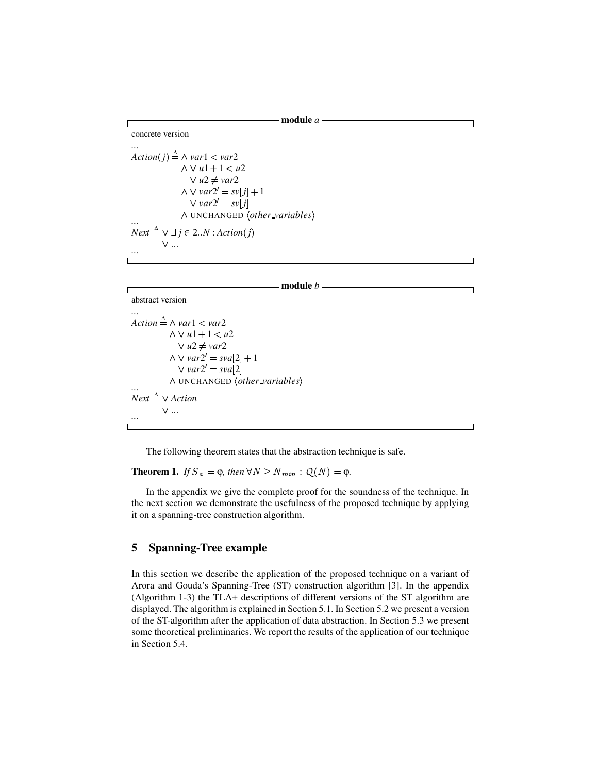**module** *a*

```
...
Action(j) \triangleq \land var1 < var2\wedge \vee u1 + 1 < u2V u2 \neq var2\wedge \vee \text{var2}' = \text{sv}[j] + 1\vee var2' = sv j \vdots\land UNCHANGED \langle other\_variable\...
\overline{Next} \triangleq \vee \exists j \in 2..N : Action(j)①➙✔✻✔✕✔
...
```
#### **module** *b*

```
abstract version
```
*...*

concrete version

Г

```
Action ∆
✦❍❦ var1 ✭ var2
             \wedge \vee u1 + 1 < u2V u2 \neq var2\wedge \vee \text{var2}' = \text{sva}[2] + 1\vee var2' = sva [2]
             \land UNCHANGED \langle other\_variable\...
\overline{Next} \triangleq \vee Action①➙✔✻✔✕✔
...
```
The following theorem states that the abstraction technique is safe.

**Theorem 1.** *If*  $S_a \models \varphi$ *, then*  $\forall N \ge N_{min} : Q(N) \models \varphi$ *.* 

In the appendix we give the complete proof for the soundness of the technique. In the next section we demonstrate the usefulness of the proposed technique by applying it on a spanning-tree construction algorithm.

# **5 Spanning-Tree example**

In this section we describe the application of the proposed technique on a variant of Arora and Gouda's Spanning-Tree (ST) construction algorithm [3]. In the appendix (Algorithm 1-3) the TLA+ descriptions of different versions of the ST algorithm are displayed. The algorithm is explained in Section 5.1. In Section 5.2 we present a version of the ST-algorithm after the application of data abstraction. In Section 5.3 we present some theoretical preliminaries. We report the results of the application of our technique in Section 5.4.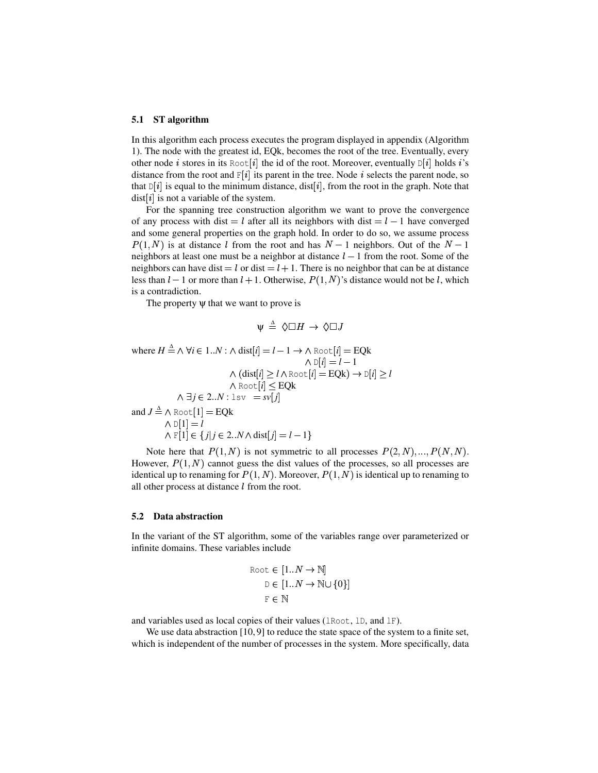#### **5.1 ST algorithm**

In this algorithm each process executes the program displayed in appendix (Algorithm 1). The node with the greatest id, EQk, becomes the root of the tree. Eventually, every other node *i* stores in its Root  $[i]$  the id of the root. Moreover, eventually  $D[i]$  holds *i*'s distance from the root and  $F[i]$  its parent in the tree. Node i selects the parent node, so that  $D[i]$  is equal to the minimum distance, dist $[i]$ , from the root in the graph. Note that dist | i is not a variable of the system.

For the spanning tree construction algorithm we want to prove the convergence of any process with dist  $=$  l after all its neighbors with dist  $=$  l  $-$  1 have converged and some general properties on the graph hold. In order to do so, we assume process  $P(1,N)$  is at distance l from the root and has  $N-1$  neighbors. Out of the  $N-1$ neighbors at least one must be a neighbor at distance  $l-1$  from the root. Some of the neighbors can have dist  $=$  l or dist  $=$  l + 1. There is no neighbor that can be at distance less than  $l-1$  or more than  $l+1$ . Otherwise,  $P(1, N)$ 's distance would not be  $l$ , which is a contradiction.

The property  $\psi$  that we want to prove is

$$
\psi \triangleq \Diamond \Box H \rightarrow \Diamond \Box J
$$

where  $H \stackrel{\Delta}{=} \wedge \forall i \in 1..N : \wedge \text{dist}[i] = l - 1 \rightarrow \wedge \text{Root}[i] = \text{EQk}$  $\wedge$   $\mathbb{D}[i] = l - 1$  $\wedge$  (dist[*i*]  $\geq$  *l*  $\wedge$  Root [*i*]  $=$  **EQk**)  $\rightarrow$   $\mathbb{D}[i]$   $\geq$  *l*  $\land$  Root  $[i] \leq EQk$  $\wedge \exists j \in 2..N : \text{lsv } = s\overline{v[j]}$ and  $J \triangleq \wedge \text{Root}[1] = \text{EQk}$  $\wedge$  D[1] = *l*  $\wedge$  F[1]  $\in$  {*j*|*j*  $\in$  2..*N*  $\wedge$  dist[*j*] = *l* - 1}

Note here that  $P(1, N)$  is not symmetric to all processes  $P(2, N), ..., P(N, N)$ . However,  $P(1, N)$  cannot guess the dist values of the processes, so all processes are identical up to renaming for  $P(1, N)$ . Moreover,  $P(1, N)$  is identical up to renaming to all other process at distance  $l$  from the root.

#### **5.2 Data abstraction**

In the variant of the ST algorithm, some of the variables range over parameterized or infinite domains. These variables include

$$
\begin{aligned} \text{Root} &\in [1..N \to \mathbb{N}] \\ \text{D} &\in [1..N \to \mathbb{N} \cup \{0\}] \\ \text{F} &\in \mathbb{N} \end{aligned}
$$

and variables used as local copies of their values (lRoot, lD, and lF).

We use data abstraction [10, 9] to reduce the state space of the system to a finite set, which is independent of the number of processes in the system. More specifically, data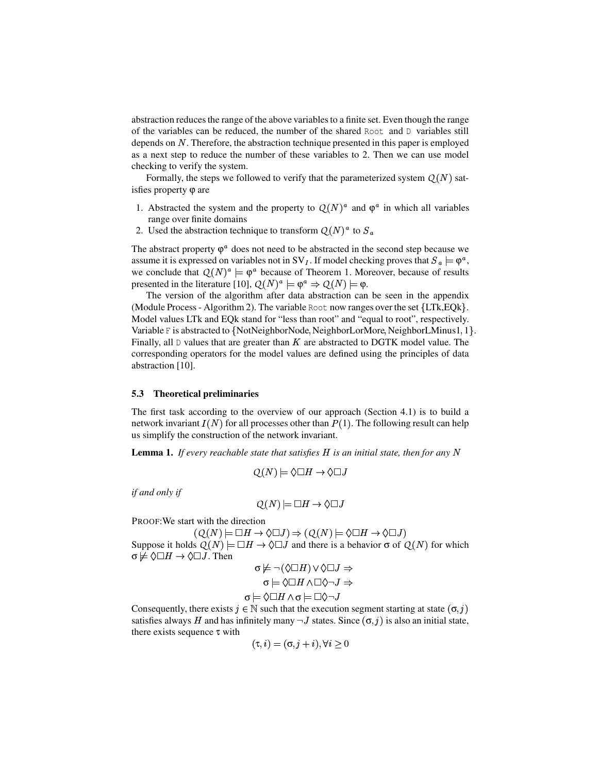abstraction reduces the range of the above variables to a finite set. Even though the range of the variables can be reduced, the number of the shared Root and D variables still depends on  $N$ . Therefore, the abstraction technique presented in this paper is employed as a next step to reduce the number of these variables to 2. Then we can use model checking to verify the system.

Formally, the steps we followed to verify that the parameterized system  $Q(N)$  satisfies property ϕ are

- 1. Abstracted the system and the property to  $Q(N)^a$  and  $\varphi^a$  in which all variables range over finite domains
- 2. Used the abstraction technique to transform  $Q(N)^a$  to  $S_a$

The abstract property  $\varphi^a$  does not need to be abstracted in the second step because we assume it is expressed on variables not in SV<sub>I</sub>. If model checking proves that  $S_a \models \varphi^a$ , we conclude that  $Q(N)^a \models \varphi^a$  because of Theorem 1. Moreover, because of results presented in the literature [10],  $Q(N)^a \models \varphi^a \Rightarrow Q(N) \models \varphi$ .

The version of the algorithm after data abstraction can be seen in the appendix (Module Process - Algorithm 2). The variable Root now ranges over the set  ${LTk,EQk}.$ Model values LTk and EQk stand for "less than root" and "equal to root", respectively. Variable F is abstracted to {NotNeighborNode, NeighborLorMore, NeighborLMinus1, 1}. Finally, all  $\nabla$  values that are greater than K are abstracted to DGTK model value. The corresponding operators for the model values are defined using the principles of data abstraction [10].

#### **5.3 Theoretical preliminaries**

The first task according to the overview of our approach (Section 4.1) is to build a network invariant  $I(N)$  for all processes other than  $P(1)$ . The following result can help us simplify the construction of the network invariant.

**Lemma 1.** If every reachable state that satisfies H is an initial state, then for any N

$$
Q(N) \models \Diamond \Box H \rightarrow \Diamond \Box J
$$

*if and only if*

$$
Q(N) \models \Box H \rightarrow \Diamond \Box J
$$

PROOF:We start with the direction

 $(Q(N) \models \Box H \rightarrow \Diamond \Box J) \Rightarrow (Q(N) \models \Diamond \Box H \rightarrow \Diamond \Box J)$ Suppose it holds  $Q(N) \models \Box H \rightarrow \Diamond \Box J$  and there is a behavior  $\sigma$  of  $Q(N)$  for which  $\sigma \not\models \Diamond \Box H \rightarrow \Diamond \Box J$ . Then  $L = (\Lambda \Box H) \cup \Lambda \Box I \rightarrow$ 

$$
\sigma \nvDash \neg (\Diamond \Box H) \lor \Diamond \Box J \Rightarrow
$$

$$
\sigma \vDash \Diamond \Box H \land \Box \Diamond \neg J \Rightarrow
$$

$$
\sigma \vDash \Diamond \Box H \land \sigma \vDash \Box \Diamond \neg J
$$

Consequently, there exists  $j \in \mathbb{N}$  such that the execution segment starting at state  $(\sigma, j)$ satisfies always H and has infinitely many  $\neg J$  states. Since  $(\sigma, j)$  is also an initial state, there exists sequence  $\tau$  with

$$
(\tau, i) = (\sigma, j + i), \forall i \ge 0
$$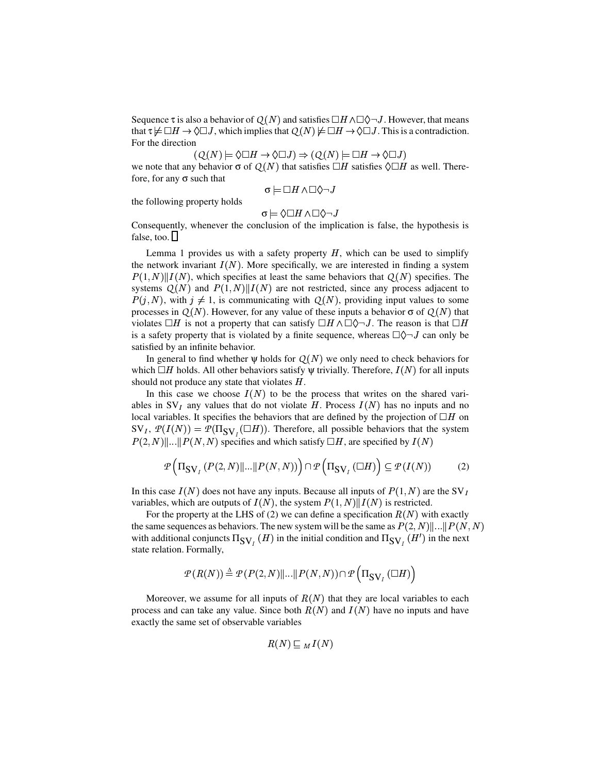Sequence  $\tau$  is also a behavior of  $Q(N)$  and satisfies  $\Box H \land \Box \Diamond \neg J$ . However, that means that  $\tau \not\models \Box H \to \Diamond \Box J$ , which implies that  $Q(N) \not\models \Box H \to \Diamond \Box J$ . This is a contradiction. For the direction

 $(Q(N) \models \Diamond \Box H \rightarrow \Diamond \Box J) \Rightarrow (Q(N) \models \Box H \rightarrow \Diamond \Box J)$ we note that any behavior  $\sigma$  of  $Q(N)$  that satisfies  $\Box H$  satisfies  $\Diamond \Box H$  as well. Therefore, for any  $\sigma$  such that

$$
\sigma \models \Box H \wedge \Box \Diamond \neg J
$$

the following property holds

 $\sigma \models \Diamond \Box H \wedge \Box \Diamond \neg J$ 

Consequently, whenever the conclusion of the implication is false, the hypothesis is false, too.  $\Box$ 

Lemma 1 provides us with a safety property  $H$ , which can be used to simplify the network invariant  $I(N)$ . More specifically, we are interested in finding a system  $P(1, N) || I(N)$ , which specifies at least the same behaviors that  $Q(N)$  specifies. The systems  $Q(N)$  and  $P(1,N)$ || $I(N)$  are not restricted, since any process adjacent to  $P(j, N)$ , with  $j \neq 1$ , is communicating with  $Q(N)$ , providing input values to some processes in  $Q(N)$ . However, for any value of these inputs a behavior  $\sigma$  of  $Q(N)$  that violates  $\Box H$  is not a property that can satisfy  $\Box H \wedge \Box \Diamond \neg J$ . The reason is that  $\Box H$ is a safety property that is violated by a finite sequence, whereas  $\Box \Diamond \neg J$  can only be satisfied by an infinite behavior.

In general to find whether  $\psi$  holds for  $Q(N)$  we only need to check behaviors for which  $\Box H$  holds. All other behaviors satisfy  $\psi$  trivially. Therefore,  $I(N)$  for all inputs should not produce any state that violates  $H$ .

In this case we choose  $I(N)$  to be the process that writes on the shared variables in  $SV_I$  any values that do not violate H. Process  $I(N)$  has no inputs and no local variables. It specifies the behaviors that are defined by the projection of  $\Box H$  on  $SV_I$ ,  $\mathcal{P}(I(N)) = \mathcal{P}(\Pi_{SV_I}(\Box H))$ . Therefore, all possible behaviors that the system  $P(2, N)$ ||...|| $P(N, N)$  specifies and which satisfy  $\Box H$ , are specified by  $I(N)$ 

$$
\mathcal{P}\left(\Pi_{\text{SV}_I}\left(P(2,N)\|\ldots\|P(N,N)\right)\right)\cap\mathcal{P}\left(\Pi_{\text{SV}_I}\left(\Box H\right)\right)\subseteq\mathcal{P}(I(N))\tag{2}
$$

In this case  $I(N)$  does not have any inputs. Because all inputs of  $P(1,N)$  are the SV<sub>I</sub> variables, which are outputs of  $I(N)$ , the system  $P(1, N)$  || $I(N)$  is restricted.

For the property at the LHS of (2) we can define a specification  $R(N)$  with exactly the same sequences as behaviors. The new system will be the same as  $P(2, N)$ ||...|| $P(N, N)$ with additional conjuncts  $\Pi_{SV}$  (*H*) in the initial condition and  $\Pi_{SV}$  (*H'*) in the next state relation. Formally,

$$
\mathcal{P}(R(N)) \stackrel{\Delta}{=} \mathcal{P}(P(2,N) \|\ldots \| P(N,N)) \cap \mathcal{P}\left(\Pi_{\text{SV}_I}(\Box H)\right)
$$

Moreover, we assume for all inputs of  $R(N)$  that they are local variables to each process and can take any value. Since both  $R(N)$  and  $I(N)$  have no inputs and have exactly the same set of observable variables

$$
R(N) \sqsubseteq M(\mathit{IN})
$$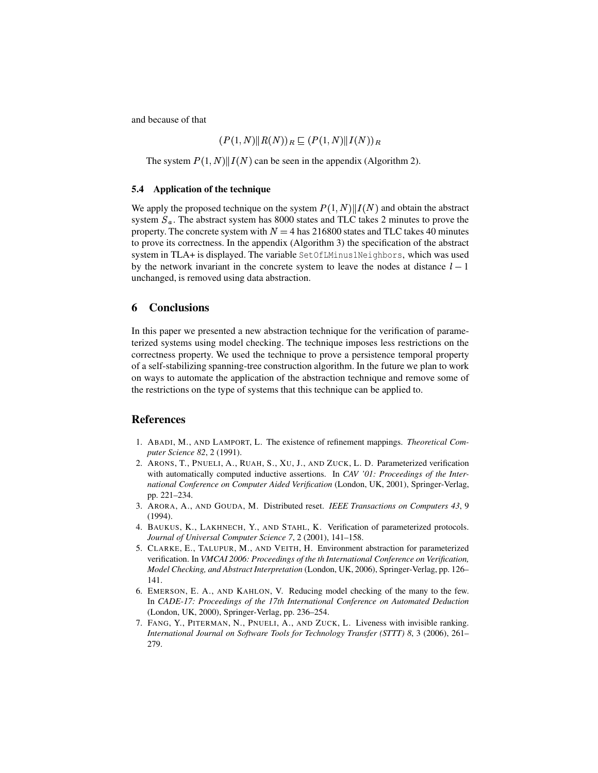and because of that

$$
(P(1,N)||R(N))_R \subseteq (P(1,N)||I(N))_R
$$

The system  $P(1, N)$   $|| I(N)$  can be seen in the appendix (Algorithm 2).

#### **5.4 Application of the technique**

We apply the proposed technique on the system  $P(1, N) || I(N)$  and obtain the abstract system  $S_a$ . The abstract system has 8000 states and TLC takes 2 minutes to prove the property. The concrete system with  $N = 4$  has 216800 states and TLC takes 40 minutes to prove its correctness. In the appendix (Algorithm 3) the specification of the abstract system in TLA+ is displayed. The variable SetOfLMinus1Neighbors, which was used by the network invariant in the concrete system to leave the nodes at distance  $l - 1$ unchanged, is removed using data abstraction.

## **6 Conclusions**

In this paper we presented a new abstraction technique for the verification of parameterized systems using model checking. The technique imposes less restrictions on the correctness property. We used the technique to prove a persistence temporal property of a self-stabilizing spanning-tree construction algorithm. In the future we plan to work on ways to automate the application of the abstraction technique and remove some of the restrictions on the type of systems that this technique can be applied to.

## **References**

- 1. ABADI, M., AND LAMPORT, L. The existence of refinement mappings. *Theoretical Computer Science 82*, 2 (1991).
- 2. ARONS, T., PNUELI, A., RUAH, S., XU, J., AND ZUCK, L. D. Parameterized verification with automatically computed inductive assertions. In *CAV '01: Proceedings of the International Conference on Computer Aided Verification* (London, UK, 2001), Springer-Verlag, pp. 221–234.
- 3. ARORA, A., AND GOUDA, M. Distributed reset. *IEEE Transactions on Computers 43*, 9 (1994).
- 4. BAUKUS, K., LAKHNECH, Y., AND STAHL, K. Verification of parameterized protocols. *Journal of Universal Computer Science 7*, 2 (2001), 141–158.
- 5. CLARKE, E., TALUPUR, M., AND VEITH, H. Environment abstraction for parameterized verification. In *VMCAI 2006: Proceedings of the th International Conference on Verification, Model Checking, and Abstract Interpretation* (London, UK, 2006), Springer-Verlag, pp. 126– 141.
- 6. EMERSON, E. A., AND KAHLON, V. Reducing model checking of the many to the few. In *CADE-17: Proceedings of the 17th International Conference on Automated Deduction* (London, UK, 2000), Springer-Verlag, pp. 236–254.
- 7. FANG, Y., PITERMAN, N., PNUELI, A., AND ZUCK, L. Liveness with invisible ranking. *International Journal on Software Tools for Technology Transfer (STTT) 8*, 3 (2006), 261– 279.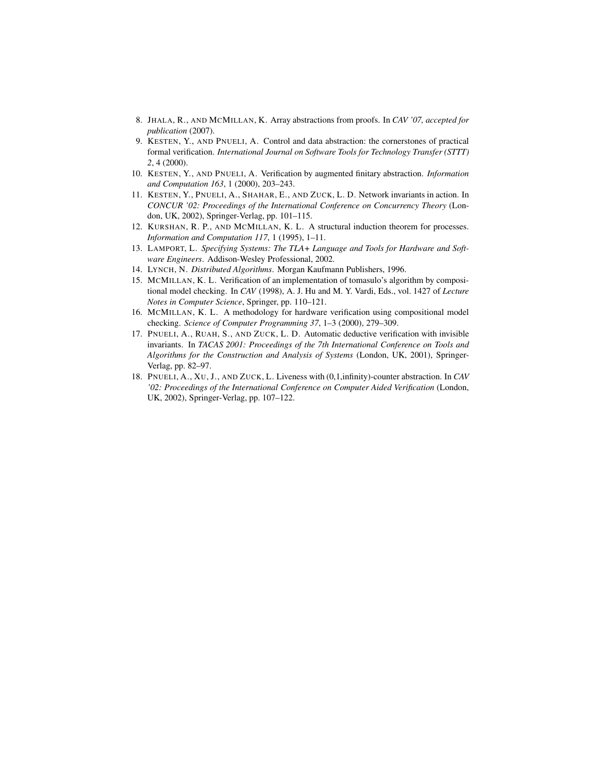- 8. JHALA, R., AND MCMILLAN, K. Array abstractions from proofs. In *CAV '07, accepted for publication* (2007).
- 9. KESTEN, Y., AND PNUELI, A. Control and data abstraction: the cornerstones of practical formal verification. *International Journal on Software Tools for Technology Transfer (STTT) 2*, 4 (2000).
- 10. KESTEN, Y., AND PNUELI, A. Verification by augmented finitary abstraction. *Information and Computation 163*, 1 (2000), 203–243.
- 11. KESTEN, Y., PNUELI, A., SHAHAR, E., AND ZUCK, L. D. Network invariants in action. In *CONCUR '02: Proceedings of the International Conference on Concurrency Theory* (London, UK, 2002), Springer-Verlag, pp. 101–115.
- 12. KURSHAN, R. P., AND MCMILLAN, K. L. A structural induction theorem for processes. *Information and Computation 117*, 1 (1995), 1–11.
- 13. LAMPORT, L. *Specifying Systems: The TLA+ Language and Tools for Hardware and Software Engineers*. Addison-Wesley Professional, 2002.
- 14. LYNCH, N. *Distributed Algorithms*. Morgan Kaufmann Publishers, 1996.
- 15. MCMILLAN, K. L. Verification of an implementation of tomasulo's algorithm by compositional model checking. In *CAV* (1998), A. J. Hu and M. Y. Vardi, Eds., vol. 1427 of *Lecture Notes in Computer Science*, Springer, pp. 110–121.
- 16. MCMILLAN, K. L. A methodology for hardware verification using compositional model checking. *Science of Computer Programming 37*, 1–3 (2000), 279–309.
- 17. PNUELI, A., RUAH, S., AND ZUCK, L. D. Automatic deductive verification with invisible invariants. In *TACAS 2001: Proceedings of the 7th International Conference on Tools and Algorithms for the Construction and Analysis of Systems* (London, UK, 2001), Springer-Verlag, pp. 82–97.
- 18. PNUELI, A., XU, J., AND ZUCK, L. Liveness with (0,1,infinity)-counter abstraction. In *CAV '02: Proceedings of the International Conference on Computer Aided Verification* (London, UK, 2002), Springer-Verlag, pp. 107–122.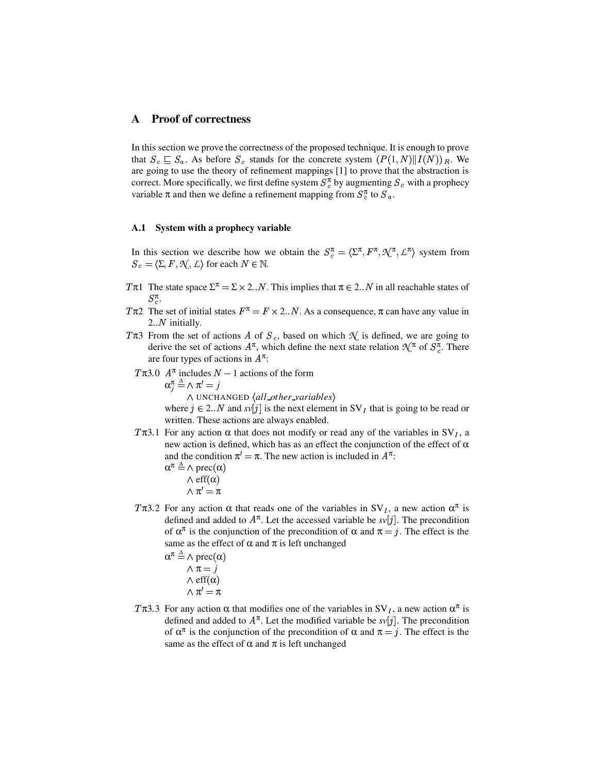# **A Proof of correctness**

In this section we prove the correctness of the proposed technique. It is enough to prove that  $S_c \subseteq S_a$ . As before  $S_c$  stands for the concrete system  $(P(1, N) || I(N)) | R$ . We are going to use the theory of refinement mappings [1] to prove that the abstraction is correct. More specifically, we first define system  $S_{c}^{\pi}$  by augmenting  $S_{c}$  with a prophecy variable  $\pi$  and then we define a refinement mapping from  $S_{\alpha}^{\pi}$  to  $S_{\alpha}$ .

#### **A.1 System with a prophecy variable**

In this section we describe how we obtain the  $S_c^{\pi} = \langle \Sigma^{\pi}, F^{\pi}, \mathcal{N}^{\pi}, \mathcal{L}^{\pi} \rangle$  system from  $S_c = \langle \Sigma, F, \mathcal{N}, \bot \rangle$  for each  $N \in \mathbb{N}$ .

- T $\pi$ 1 The state space  $\Sigma^{\pi} = \Sigma \times 2..N$ . This implies that  $\pi \in 2..N$  in all reachable states of  $S_c^{\pi}$ .
- T $\pi$ 2 The set of initial states  $F^{\pi} = F \times 2 \cdot N$ . As a consequence,  $\pi$  can have any value in  $2..N$  initially.
- T $\pi$ 3 From the set of actions A of  $S_c$ , based on which  $\mathcal N$  is defined, we are going to derive the set of actions  $A^{\pi}$ , which define the next state relation  $\mathcal{N}^{\pi}$  of  $S_{c}^{\pi}$ . There are four types of actions in  $A^{\pi}$ :
	- $T\pi$ 3.0  $A^{\pi}$  includes  $N-1$  actions of the form

$$
\alpha_j^\pi \stackrel{\scriptscriptstyle\Delta}{=} \wedge \pi'=j
$$

 $\land$  UNCHANGED  $\langle$ all\_other\_variables $\rangle$ 

where  $j \in 2..N$  and  $svl_j$  is the next element in SV<sub>I</sub> that is going to be read or written. These actions are always enabled.

T $\pi$ 3.1 For any action  $\alpha$  that does not modify or read any of the variables in SV<sub>I</sub>, a new action is defined, which has as an effect the conjunction of the effect of  $α$ and the condition  $\pi' = \pi$ . The new action is included in  $A^{\pi}$ .

$$
\alpha^{\pi} \stackrel{\Delta}{=} \wedge \text{prec}(\alpha)
$$
  
 
$$
\wedge \text{eff}(\alpha)
$$
  
 
$$
\wedge \pi' = \pi
$$

T $\pi$ 3.2 For any action  $\alpha$  that reads one of the variables in SV<sub>I</sub>, a new action  $\alpha^{\pi}$  is defined and added to  $A^{\pi}$ . Let the accessed variable be  $s\nu[j]$ . The precondition of  $\alpha^{\pi}$  is the conjunction of the precondition of  $\alpha$  and  $\pi = j$ . The effect is the same as the effect of  $\alpha$  and  $\pi$  is left unchanged

$$
\alpha^{\pi} \stackrel{\Delta}{=} \wedge \text{prec}(\alpha)
$$

$$
\wedge \pi = j
$$

$$
\wedge \text{eff}(\alpha)
$$

$$
\wedge \pi' = \pi
$$

T $\pi$ 3.3 For any action  $\alpha$  that modifies one of the variables in SV<sub>I</sub>, a new action  $\alpha^{\pi}$  is defined and added to  $A^{\pi}$ . Let the modified variable be  $s\nu[j]$ . The precondition of  $\alpha^{\pi}$  is the conjunction of the precondition of  $\alpha$  and  $\pi = j$ . The effect is the same as the effect of  $\alpha$  and  $\pi$  is left unchanged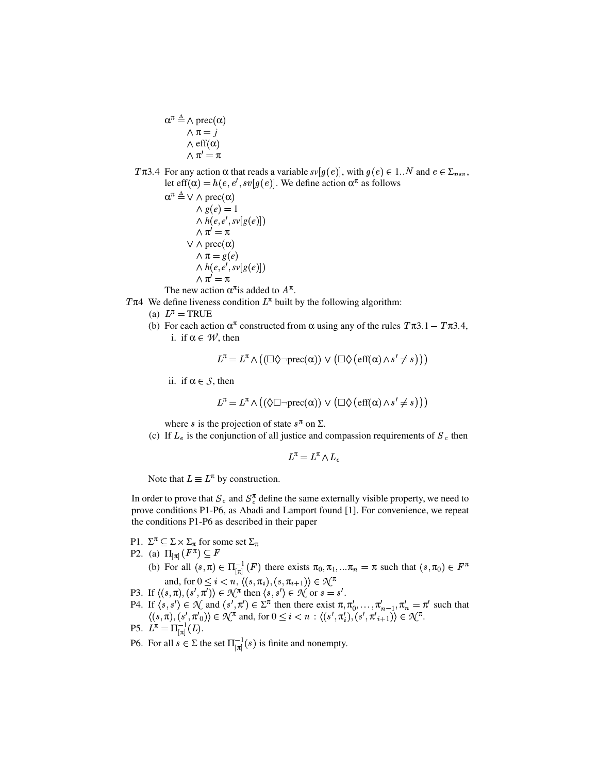$\alpha^{\pi} \triangleq \wedge \text{prec}(\alpha)$  $\wedge \pi = j$  $\wedge$  eff $(\alpha)$  $\wedge \pi' = \pi$ 

Tπ3.4 For any action α that reads a variable  $sv[g(e)]$ , with  $g(e) ∈ 1..N$  and  $e ∈ Σ<sub>nsv</sub>$ , let eff $(\alpha) = h(e, e', s v[g(e)].$  We define action  $\alpha^{\pi}$  as follows

$$
\alpha^{\pi} \stackrel{\Delta}{=} \vee \wedge \text{prec}(\alpha)
$$
  
\n
$$
\wedge g(e) = 1
$$
  
\n
$$
\wedge h(e, e', s v[g(e)])
$$
  
\n
$$
\wedge \pi' = \pi
$$
  
\n
$$
\vee \wedge \text{prec}(\alpha)
$$
  
\n
$$
\wedge \pi = g(e)
$$
  
\n
$$
\wedge h(e, e', s v[g(e)])
$$
  
\n
$$
\wedge \pi' = \pi
$$

The new action  $\alpha^{\pi}$  is added to  $A^{\pi}$ .

T $\pi$ 4 We define liveness condition  $L^{\pi}$  built by the following algorithm:

- (a)  $L^{\pi}$  = TRUE
- (b) For each action  $\alpha^{\pi}$  constructed from  $\alpha$  using any of the rules  $T\pi 3.1 T\pi 3.4$ , i. if  $\alpha \in \mathcal{W}$ , then

$$
L^{\pi} = L^{\pi} \wedge \big( (\Box \Diamond \neg \text{prec}(\alpha)) \vee (\Box \Diamond \, (\text{eff}(\alpha) \wedge s' \neq s) \big) \big)
$$

ii. if  $\alpha \in S$ , then

$$
L^{\pi} = L^{\pi} \wedge \left( (\Diamond \Box \neg \text{prec}(\alpha)) \vee (\Box \Diamond \left( \text{eff}(\alpha) \wedge s' \neq s \right) \right) \right)
$$

where s is the projection of state  $s^{\pi}$  on  $\Sigma$ .

(c) If  $L_e$  is the conjunction of all justice and compassion requirements of  $S_e$  then

 $L^{\pi} = L^{\pi} \wedge L_e$ 

Note that  $L \equiv L^{\pi}$  by construction.

In order to prove that  $S_c$  and  $S_c^{\pi}$  define the same externally visible property, we need to prove conditions P1-P6, as Abadi and Lamport found [1]. For convenience, we repeat the conditions P1-P6 as described in their paper

- P1.  $\Sigma^{\pi} \subseteq \Sigma \times \Sigma_{\pi}$  for some set  $\Sigma_{\pi}$
- P2. (a)  $\Pi_{\pi}$  $(F^{\pi}) \subseteq F$ 
	- (b) For all  $(s,\pi) \in \Pi_{\pi}^{-1}(F)$  there exists  $\pi_0, \pi_1, \dots, \pi_n = \pi$  such that  $(s,\pi_0) \in F^{\pi}$ and, for  $0 \leq i < n, \langle (s, \pi_i), (s, \pi_{i+1}) \rangle \in \mathcal{N}^{\pi}$
- P3. If  $\langle (s,\pi), (s',\pi') \rangle \in \mathcal{N}^{\pi}$  then  $\langle s, s' \rangle \in \mathcal{N}$  or  $s = s'$ .
- P4. If  $\langle s, s' \rangle \in \mathcal{N}$  and  $(s', \pi') \in \Sigma^{\pi}$  then there exist  $\pi, \pi'_0, \ldots, \pi'_{n-1}, \pi'_n = \pi'$  such that  $\langle (s, \pi), (s', \pi'_{0}) \rangle \in \mathcal{N}^{\pi}$  and, for  $0 \leq i < n : \langle (s', \pi'_{i}), (s', \pi'_{i+1}) \rangle \in \mathcal{N}^{\pi}$ .
- P5.  $L^{\pi} = \Pi_{\pi}^{-1}(L)$ .
- P6. For all  $s \in \Sigma$  the set  $\Pi_{\pi}^{-1}(s)$  is finite and nonempty.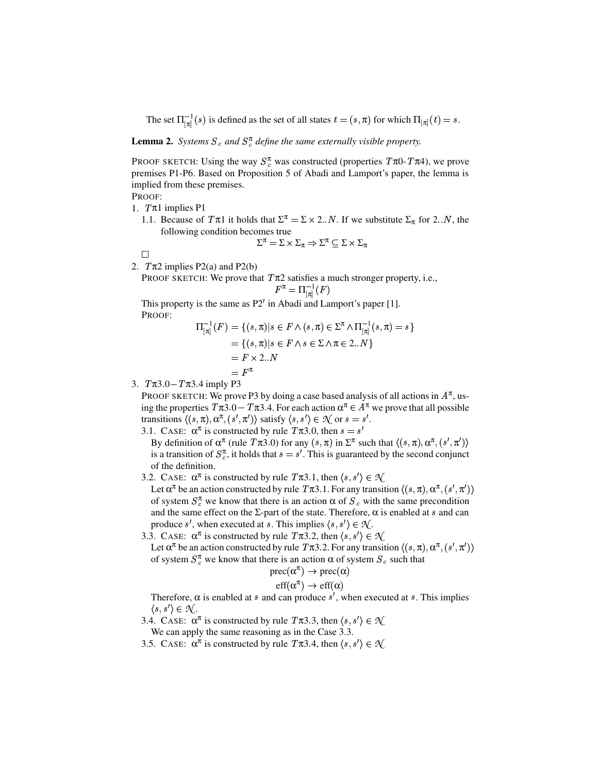The set  $\Pi_{\pi}^{-1}(s)$  is defined as the set of all states  $t = (s, \pi)$  for which  $\Pi_{\pi}(t) = s$ .

**Lemma 2.** Systems  $S_c$  and  $S_c^{\pi}$  define the same externally visible property.

PROOF SKETCH: Using the way  $S_c^{\pi}$  was constructed (properties  $T\pi 0$ -  $T\pi 4$ ), we prove premises P1-P6. Based on Proposition 5 of Abadi and Lamport's paper, the lemma is implied from these premises.

PROOF:

1.  $T\pi 1$  implies P1

1.1. Because of  $T\pi 1$  it holds that  $\Sigma^{\pi} = \Sigma \times 2 \cdot N$ . If we substitute  $\Sigma_{\pi}$  for 2. N, the following condition becomes true

$$
\Sigma^{\pi} = \Sigma \times \Sigma_{\pi} \Rightarrow \Sigma^{\pi} \subseteq \Sigma \times \Sigma_{\pi}
$$

 $\Box$ 

2.  $T\pi 2$  implies P2(a) and P2(b)

PROOF SKETCH: We prove that  $T\pi2$  satisfies a much stronger property, i.e.,  $F^{\pi} = \Pi^{-1}_{\pi} (F)$ 

This property is the same as  $P2'$  in Abadi and Lamport's paper [1]. PROOF:

$$
\Pi_{[\pi]}^{-1}(F) = \{ (s,\pi) | s \in F \land (s,\pi) \in \Sigma^{\pi} \land \Pi_{[\pi]}^{-1}(s,\pi) = s \}
$$
  
= \{ (s,\pi) | s \in F \land s \in \Sigma \land \pi \in 2..N \}  
= F \times 2..N  
= F^{\pi}

3.  $T\pi 3.0 - T\pi 3.4$  imply P3

PROOF SKETCH: We prove P3 by doing a case based analysis of all actions in  $A^{\pi}$ , using the properties  $T\pi 3.0 - T\pi 3.4$ . For each action  $\alpha^{\pi} \in A^{\pi}$  we prove that all possible transitions  $\langle (s,\pi), \alpha^{\pi}, (s',\pi') \rangle$  satisfy  $\langle s, s' \rangle \in \mathcal{N}$  or  $s = s'$ . 3.1. CASE:  $\alpha^{\pi}$  is constructed by rule  $T\pi$ 3.0, then  $s = s'$ 

By definition of  $\alpha^{\pi}$  (rule  $T\pi 3.0$ ) for any  $(s,\pi)$  in  $\Sigma^{\pi}$  such that  $\langle (s,\pi), \alpha^{\pi}, (s',\pi') \rangle$ is a transition of  $S_c^{\pi}$ , it holds that  $s = s'$ . This is guaranteed by the second conjunct of the definition.

3.2. CASE:  $\alpha^{\pi}$  is constructed by rule  $T\pi 3.1$ , then  $\langle s, s' \rangle \in \mathcal{R}$ 

Let  $\alpha^{\pi}$  be an action constructed by rule  $T\pi 3.1$ . For any transition  $\langle (s,\pi), \alpha^{\pi}, (s',\pi') \rangle$ of system  $S_c^{\pi}$  we know that there is an action  $\alpha$  of  $S_c$  with the same precondition and the same effect on the  $\Sigma$ -part of the state. Therefore,  $\alpha$  is enabled at s and can produce s', when executed at s. This implies  $\langle s, s' \rangle \in \mathcal{N}$ .

3.3. CASE:  $\alpha^{\pi}$  is constructed by rule  $T\pi$ 3.2, then  $\langle s, s' \rangle \in \mathcal{N}$ 

Let  $\alpha^{\pi}$  be an action constructed by rule  $T\pi$ 3.2. For any transition  $\langle(s,\pi),\alpha^{\pi},(s',\pi')\rangle$ of system  $S_c^{\pi}$  we know that there is an action  $\alpha$  of system  $S_c$  such that

$$
\mathrm{prec}(\alpha^{\pi}) \to \mathrm{prec}(\alpha)
$$

$$
eff(\alpha^{\pi}) \rightarrow eff(\alpha)
$$

Therefore,  $\alpha$  is enabled at s and can produce s', when executed at s. This implies  $\langle s, s' \rangle \in \mathcal{N}$ .

3.4. CASE:  $\alpha^{\pi}$  is constructed by rule  $T\pi$ 3.3, then  $\langle s, s' \rangle \in \mathcal{R}$ 

We can apply the same reasoning as in the Case 3.3.

3.5. CASE:  $\alpha^{\pi}$  is constructed by rule  $T\pi$ 3.4, then  $\langle s, s' \rangle \in \mathcal{R}$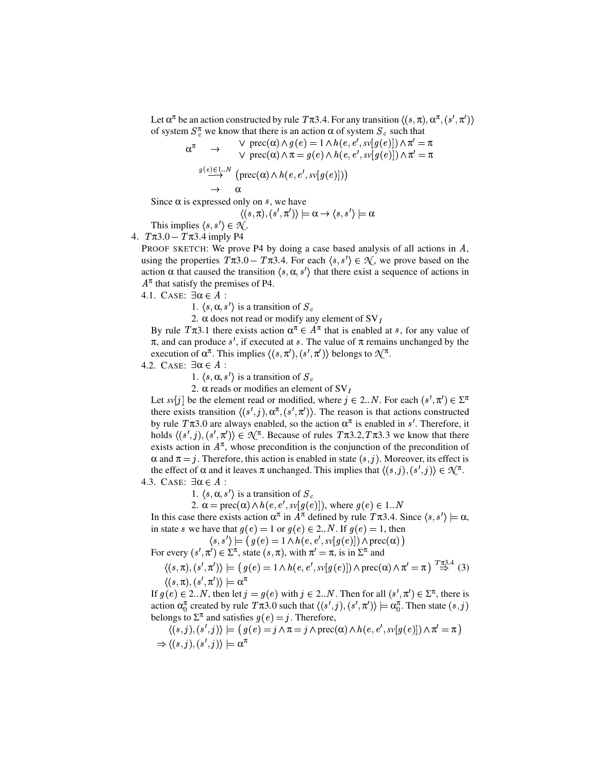Let  $\alpha^{\pi}$  be an action constructed by rule  $T\pi$ 3.4. For any transition  $\langle(s,\pi),\alpha^{\pi},(s',\pi')\rangle$ of system  $S_c^{\pi}$  we know that there is an action  $\alpha$  of system  $S_c$  such that

$$
\alpha^{\pi} \rightarrow \forall \text{ prec}(\alpha) \land g(e) = 1 \land h(e, e', s\mathbf{v}[g(e)]) \land \pi' = \pi \lor \text{ prec}(\alpha) \land \pi = g(e) \land h(e, e', s\mathbf{v}[g(e)]) \land \pi' = \pi \n\stackrel{g(e) \in 1..N}{\longrightarrow} (\text{prec}(\alpha) \land h(e, e', s\mathbf{v}[g(e)])) \n\rightarrow \alpha
$$

Since  $\alpha$  is expressed only on s, we have

$$
\langle (s,\pi), (s',\pi')\rangle \models \alpha \rightarrow \langle s,s'\rangle \models \alpha
$$

This implies  $\langle s, s' \rangle \in \mathcal{N}$ .

4.  $T\pi 3.0 - T\pi 3.4$  imply P4

PROOF SKETCH: We prove P4 by doing a case based analysis of all actions in  $A$ , using the properties  $T\pi 3.0 - T\pi 3.4$ . For each  $\langle s, s' \rangle \in \mathcal{N}$ , we prove based on the action  $\alpha$  that caused the transition  $\langle s, \alpha, s' \rangle$  that there exist a sequence of actions in  $A^{\pi}$  that satisfy the premises of P4.

4.1. CASE:  $\exists \alpha \in A$ :

1.  $\langle s, \alpha, s' \rangle$  is a transition of  $S_c$ 

2.  $\alpha$  does not read or modify any element of SV<sub>I</sub>

By rule  $T\pi 3.1$  there exists action  $\alpha^{\pi} \in A^{\pi}$  that is enabled at s, for any value of  $\pi$ , and can produce s', if executed at s. The value of  $\pi$  remains unchanged by the execution of  $\alpha^{\pi}$ . This implies  $\langle (s, \pi'), (s', \pi') \rangle$  belongs to  $\mathcal{N}^{\pi}$ .

4.2. CASE:  $\exists \alpha \in A$ :

1.  $\langle s, \alpha, s' \rangle$  is a transition of  $S_c$ 

2.  $\alpha$  reads or modifies an element of SV<sub>I</sub>

Let *sv*[*j*] be the element read or modified, where  $j \in 2..N$ . For each  $(s', \pi') \in \Sigma^{\pi}$ there exists transition  $\langle (s', j), \alpha^{\pi}, (s', \pi') \rangle$ . The reason is that actions constructed by rule  $T\pi 3.0$  are always enabled, so the action  $\alpha^{\pi}$  is enabled in s'. Therefore, it holds  $\langle (s',j), (s',\pi') \rangle \in \mathcal{N}^{\pi}$ . Because of rules  $T \pi 3.2, T \pi 3.3$  we know that there exists action in  $A^{\pi}$ , whose precondition is the conjunction of the precondition of  $\alpha$  and  $\pi = j$ . Therefore, this action is enabled in state  $(s, j)$ . Moreover, its effect is the effect of  $\alpha$  and it leaves  $\pi$  unchanged. This implies that  $\langle (s,j), (s',j) \rangle \in \mathcal{N}^{\pi}$ .

4.3. CASE:  $\exists \alpha \in A$ :

1.  $\langle s, \alpha, s' \rangle$  is a transition of  $S_c$ 

2.  $\alpha = \text{prec}(\alpha) \land h(e, e', s\vee[g(e)])$ , where  $g(e) \in 1..N$ 

In this case there exists action  $\alpha^{\pi}$  in  $A^{\pi}$  defined by rule  $T\pi 3.4$ . Since  $\langle s, s' \rangle \models \alpha$ , in state s we have that  $g(e) = 1$  or  $g(e) \in 2..N$ . If  $g(e) = 1$ , then

 $\langle s, s' \rangle \models (g(e) = 1 \land h(e, e', s \vee [g(e)]) \land \text{prec}(\alpha))$ 

For every  $(s', \pi') \in \Sigma^{\pi}$ , state  $(s, \pi)$ , with  $\pi' = \pi$ , is in  $\Sigma^{\pi}$  and

$$
\langle (s,\pi), (s',\pi') \rangle \models (g(e) = 1 \land h(e,e',sv[g(e)]) \land \text{prec}(\alpha) \land \pi' = \pi) \stackrel{T_{\pi^3,4}}{\Rightarrow} (3)
$$

$$
\langle (s,\pi), (s',\pi') \rangle \models \alpha^{\pi}
$$

If  $g(e) \in 2..N$ , then let  $j = g(e)$  with  $j \in 2..N$ . Then for all  $(s', \pi') \in \Sigma^{\pi}$ , there is action  $\alpha_0^{\pi}$  created by rule  $T\pi 3.0$  such that  $\langle (s',j), (s',\pi') \rangle \models \alpha_0^{\pi}$ . Then state  $(s,j)$ belongs to  $\Sigma^{\pi}$  and satisfies  $g(e) = j$ . Therefore,

$$
\langle (s,j),(s',j) \rangle \models (g(e) = j \land \pi = j \land \text{prec}(\alpha) \land h(e,e',sv[g(e)]) \land \pi' = \pi)
$$
  
\n
$$
\Rightarrow \langle (s,j),(s',j) \rangle \models \alpha^{\pi}
$$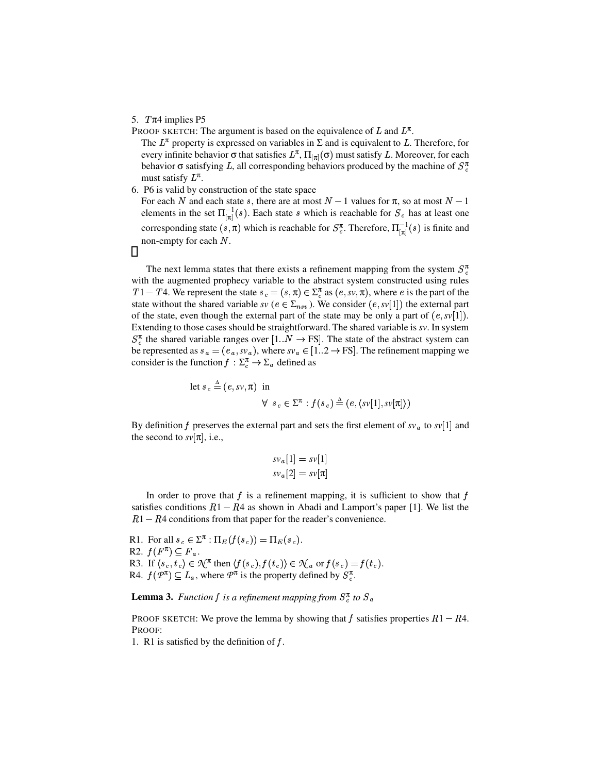#### 5.  $T\pi4$  implies P5

PROOF SKETCH: The argument is based on the equivalence of L and  $L^{\pi}$ .

The  $L^{\pi}$  property is expressed on variables in  $\Sigma$  and is equivalent to L. Therefore, for every infinite behavior  $\sigma$  that satisfies  $L^{\pi}$ ,  $\Pi_{\pi}(\sigma)$  must satisfy L. Moreover, for each behavior  $\sigma$  satisfying L, all corresponding behaviors produced by the machine of  $S_c^{\pi}$ must satisfy  $L^{\pi}$ .

6. P6 is valid by construction of the state space

For each N and each state s, there are at most  $N-1$  values for  $\pi$ , so at most  $N-1$ elements in the set  $\Pi_{\pi}^{-1}(s)$ . Each state s which is reachable for  $S_c$  has at least one corresponding state  $(s,\pi)$  which is reachable for  $S_{c}^{\pi}$ . Therefore,  $\Pi_{\pi}^{-1}(s)$  is finite and non-empty for each  $N$ .

 $\Box$ 

The next lemma states that there exists a refinement mapping from the system  $S_c^{\pi}$ with the augmented prophecy variable to the abstract system constructed using rules  $T1 - T4$ . We represent the state  $s_c = (s, \pi) \in \Sigma_c^{\pi}$  as  $(e, sv, \pi)$ , where e is the part of the state without the shared variable  $sv$  ( $e \in \Sigma_{nsv}$ ). We consider  $(e, sv[1])$  the external part of the state, even though the external part of the state may be only a part of  $(e, sv[1])$ . Extending to those cases should be straightforward. The shared variable is *sv*. In system  $S_{c}^{\pi}$  the shared variable ranges over [1.. $N \rightarrow$  FS]. The state of the abstract system can be represented as  $s_a = (e_a, s v_a)$ , where  $s v_a \in [1..2 \rightarrow FS]$ . The refinement mapping we consider is the function  $f : \Sigma_c^{\pi} \to \Sigma_a$  defined as

let 
$$
s_c \triangleq (e, sv, \pi)
$$
 in  
\n
$$
\forall s_c \in \Sigma^{\pi} : f(s_c) \triangleq (e, \langle sv[1], sv[\pi] \rangle)
$$

By definition f preserves the external part and sets the first element of  $sv_a$  to  $sv[1]$  and the second to  $s\nu[\pi]$ , i.e.,

$$
s v_a[1] = s v[1]
$$
  

$$
s v_a[2] = s v[\pi]
$$

In order to prove that  $f$  is a refinement mapping, it is sufficient to show that  $f$ satisfies conditions  $R1 - R4$  as shown in Abadi and Lamport's paper [1]. We list the  $R1 - R4$  conditions from that paper for the reader's convenience.

R1. For all  $s_c \in \Sigma^{\pi} : \Pi_E(f(s_c)) = \Pi_E(s_c)$ . R2.  $f(F^{\pi}) \subseteq F_a$ . R3. If  $\langle s_c, t_c \rangle \in \mathcal{K}^{\pi}$  then  $\langle f(s_c), f(t_c) \rangle \in \mathcal{K}_a$  or  $f(s_c) = f(t_c)$ . R4.  $f(P^{\pi}) \subseteq L_a$ , where  $P^{\pi}$  is the property defined by  $S_c^{\pi}$ .

**Lemma 3.** *Function*  $f$  *is a refinement mapping from*  $S_c^{\pi}$  *to*  $S_a$ 

PROOF SKETCH: We prove the lemma by showing that f satisfies properties  $R1 - R4$ . PROOF:

1. R1 is satisfied by the definition of  $f$ .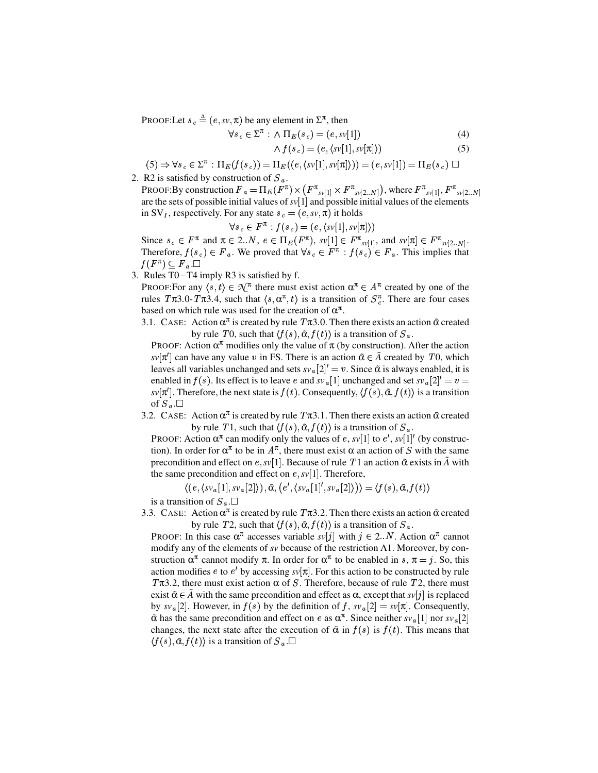PROOF:Let  $s_c \triangleq (e, sv, \pi)$  be any element in  $\Sigma^{\pi}$ , then

$$
\forall s_c \in \Sigma^{\pi} : \wedge \Pi_E(s_c) = (e, s\nu[1]) \tag{4}
$$

$$
\wedge f(s_c) = (e, \langle sv[1], sv[\pi] \rangle) \tag{5}
$$

 $(5) \Rightarrow \forall s_c \in \Sigma^{\pi} : \Pi_E(f(s_c)) = \Pi_E((e, \langle sv[1], sv[\pi] \rangle)) = (e, sv[1]) = \Pi_E(s_c) \square$ 

2. R2 is satisfied by construction of  $S_a$ .

PROOF: By construction  $F_a = \prod_E (\tilde{F^{\pi}}) \times (F^{\pi}_{sv[1]} \times F^{\pi}_{sv[2..N]}),$  where  $F^{\pi}_{sv[1]}, F^{\pi}_{sv[2..N]}$ are the sets of possible initial values of  $sv[1]$  and possible initial values of the elements in SV<sub>I</sub>, respectively. For any state  $s_c = (e, sv, \pi)$  it holds

$$
\forall s_c \in F^{\pi} : f(s_c) = (e, \langle sv[1], sv[\pi] \rangle)
$$

Since  $s_c \in F^{\pi}$  and  $\pi \in 2..N$ ,  $e \in \Pi_E(F^{\pi})$ ,  $s\nu[1] \in F^{\pi}$ <sub>sv[1]</sub>, and  $s\nu[\pi] \in F^{\pi}$ <sub>sv[2..N]</sub>. Therefore,  $f(s_c) \in F_a$ . We proved that  $\forall s_c \in F^{\pi} : f(s_c) \in F_a$ . This implies that  $f(F^{\pi}) \subseteq \overline{F}_a$ .

3. Rules T0 ➧ T4 imply R3 is satisfied by f.

PROOF:For any  $\langle s, t \rangle \in \mathcal{N}^{\pi}$  there must exist action  $\alpha^{\pi} \in A^{\pi}$  created by one of the rules  $T\pi 3.0$ -  $T\pi 3.4$ , such that  $\langle s, \alpha^{\pi}, t \rangle$  is a transition of  $S_c^{\pi}$ . There are four cases based on which rule was used for the creation of  $\alpha^{\pi}$ .

3.1. CASE: Action  $\alpha^{\pi}$  is created by rule  $T\pi$ 3.0. Then there exists an action  $\tilde{\alpha}$  created by rule T0, such that  $\langle f(s), \tilde{\alpha}, f(t) \rangle$  is a transition of  $S_a$ .

PROOF: Action  $\alpha^{\pi}$  modifies only the value of  $\pi$  (by construction). After the action  $s\nu[\pi']$  can have any value v in FS. There is an action  $\tilde{\alpha} \in \tilde{A}$  created by T0, which leaves all variables unchanged and sets  $s v_{\alpha} [2]' = v$ . Since  $\tilde{\alpha}$  is always enabled, it is enabled in  $f(s)$ . Its effect is to leave *e* and  $s v_a[1]$  unchanged and set  $s v_a[2]' = v =$  $sv[\pi']$ . Therefore, the next state is  $f(t)$ . Consequently,  $\langle f(s), \tilde{\alpha}, f(t) \rangle$  is a transition of  $S_a$ . $\Box$ 

3.2. CASE: Action  $\alpha^{\pi}$  is created by rule  $T\pi$ 3.1. Then there exists an action  $\tilde{\alpha}$  created by rule T1, such that  $\langle f(s), \tilde{\alpha}, f(t) \rangle$  is a transition of  $S_a$ .

PROOF: Action  $\alpha^{\pi}$  can modify only the values of e, sv[1] to e', sv[1]' (by construction). In order for  $\alpha^{\pi}$  to be in  $A^{\pi}$ , there must exist  $\alpha$  an action of S with the same precondition and effect on  $e, sv[1]$ . Because of rule  $T1$  an action  $\tilde{\alpha}$  exists in  $\tilde{A}$  with the same precondition and effect on  $e, sv[1]$ . Therefore,

$$
\langle (e, \langle sv_a[1], sv_a[2] \rangle), \tilde{\alpha}, (e', \langle sv_a[1]', sv_a[2] \rangle) \rangle = \langle f(s), \tilde{\alpha}, f(t) \rangle
$$
 is a transition of  $S_a$ .

3.3. CASE: Action  $\alpha^{\pi}$  is created by rule  $T\pi$ 3.2. Then there exists an action  $\tilde{\alpha}$  created by rule *T*2, such that  $\langle f(s), \tilde{\alpha}, f(t) \rangle$  is a transition of  $S_a$ .

PROOF: In this case  $\alpha^{\pi}$  accesses variable  $s\nu[j]$  with  $j \in 2..N$ . Action  $\alpha^{\pi}$  cannot modify any of the elements of *sv* because of the restriction Λ1. Moreover, by construction  $\alpha^{\pi}$  cannot modify  $\pi$ . In order for  $\alpha^{\pi}$  to be enabled in s,  $\pi = j$ . So, this action modifies *e* to  $e'$  by accessing  $s\nu[\pi]$ . For this action to be constructed by rule T $\pi$ 3.2, there must exist action  $\alpha$  of S. Therefore, because of rule T2, there must exist  $\tilde{\alpha} \in \tilde{A}$  with the same precondition and effect as  $\alpha$ , except that  $s\nu[j]$  is replaced by  $s v_a[2]$ . However, in  $f(s)$  by the definition of f,  $s v_a[2] = s v[\pi]$ . Consequently,  $\alpha$ <sup>*n*</sup> has the same precondition and effect on *e* as  $\alpha^{\pi}$ . Since neither  $s\mathbf{v}_a[1]$  nor  $s\mathbf{v}_a[2]$ changes, the next state after the execution of  $\tilde{\alpha}$  in  $f(s)$  is  $f(t)$ . This means that  $\langle f(s), \tilde{\alpha}, f(t) \rangle$  is a transition of  $S_a$ .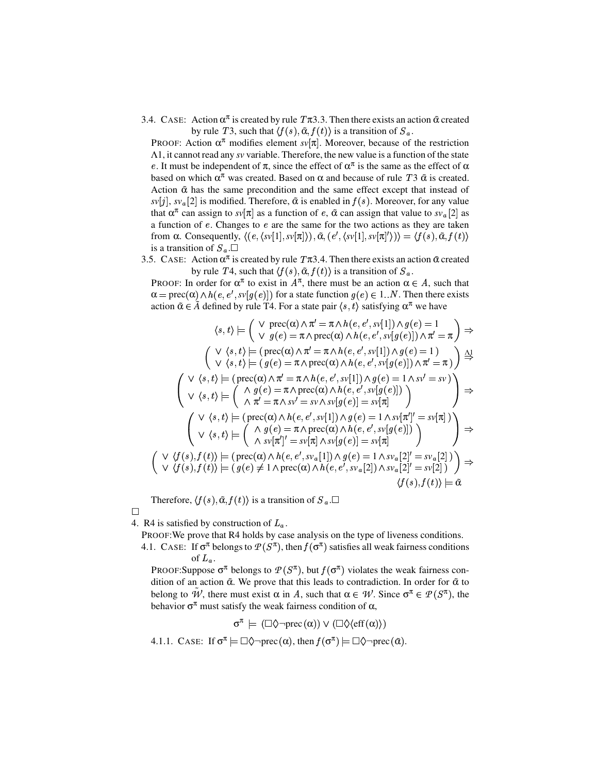3.4. CASE: Action  $\alpha^{\pi}$  is created by rule  $T\pi$ 3.3. Then there exists an action  $\tilde{\alpha}$  created by rule T3, such that  $\langle f(s), \tilde{\alpha}, f(t) \rangle$  is a transition of  $S_a$ .

PROOF: Action  $\alpha^{\pi}$  modifies element *sv*[ $\pi$ ]. Moreover, because of the restriction Λ1, it cannot read any *sv* variable. Therefore, the new value is a function of the state e. It must be independent of  $\pi$ , since the effect of  $\alpha^{\pi}$  is the same as the effect of  $\alpha$ based on which  $\alpha^{\pi}$  was created. Based on  $\alpha$  and because of rule *T* 3  $\tilde{\alpha}$  is created. Action  $\tilde{\alpha}$  has the same precondition and the same effect except that instead of  $sv[j], sv_a[2]$  is modified. Therefore,  $\tilde{\alpha}$  is enabled in  $f(s)$ . Moreover, for any value that  $\alpha^{\pi}$  can assign to *sv*  $[\pi]$  as a function of *e*,  $\alpha$  can assign that value to *sv*<sub>a</sub> [2] as a function of  $e$ . Changes to  $e$  are the same for the two actions as they are taken from α. Consequently,  $\langle (e, \langle sv[1], sv[\pi] \rangle), \tilde{\alpha}, (e', \langle sv[1], sv[\pi] \rangle) \rangle = \langle f(s), \tilde{\alpha}, f(t) \rangle$ is a transition of  $S_a$ . $\square$ 

3.5. CASE: Action  $\alpha^{\pi}$  is created by rule  $T\pi$ 3.4. Then there exists an action  $\tilde{\alpha}$  created by rule T4, such that  $\langle f(s), \tilde{\alpha}, f(t) \rangle$  is a transition of  $S_a$ .

PROOF: In order for  $\alpha^{\pi}$  to exist in  $A^{\pi}$ , there must be an action  $\alpha \in A$ , such that  $\alpha = \text{prec}(\alpha) \wedge h(e, e', s\vee [g(e)])$  for a state function  $g(e) \in 1..N$ . Then there exists action  $\tilde{\alpha} \in \tilde{A}$  defined by rule T4. For a state pair  $\langle s, t \rangle$  satisfying  $\alpha^{\pi}$  we have

$$
\langle s, t \rangle \models \begin{pmatrix} \vee \text{ prec}(\alpha) \wedge \pi' = \pi \wedge h(e, e', s\mathbf{v}[1]) \wedge g(e) = 1 \\ \vee g(e) = \pi \wedge \text{prec}(\alpha) \wedge h(e, e', s\mathbf{v}[g(e)]) \wedge \pi' = \pi \end{pmatrix} \Rightarrow
$$
  

$$
\begin{pmatrix} \vee \langle s, t \rangle \models (\text{prec}(\alpha) \wedge \pi' = \pi \wedge h(e, e', s\mathbf{v}[1]) \wedge g(e) = 1) \\ \vee \langle s, t \rangle \models (g(e) = \pi \wedge \text{prec}(\alpha) \wedge h(e, e', s\mathbf{v}[g(e)]) \wedge \pi' = \pi) \end{pmatrix} \xrightarrow{\Delta} \uparrow
$$
  

$$
\begin{pmatrix} \vee \langle s, t \rangle \models (\text{prec}(\alpha) \wedge \pi' = \pi \wedge h(e, e', s\mathbf{v}[1]) \wedge g(e) = 1 \wedge s\mathbf{v}' = s\mathbf{v} \end{pmatrix} \Rightarrow
$$
  

$$
\begin{pmatrix} \vee \langle s, t \rangle \models (\text{prec}(\alpha) \wedge \pi' = \pi \wedge h(e, e', s\mathbf{v}[g(e)]) \\ \wedge \pi' = \pi \wedge s\mathbf{v}' = s\mathbf{v} \wedge s\mathbf{v}[g(e)] = s\mathbf{v}[\pi] \end{pmatrix} \Rightarrow
$$
  

$$
\begin{pmatrix} \vee \langle s, t \rangle \models (\text{prec}(\alpha) \wedge h(e, e', s\mathbf{v}[1]) \wedge g(e) = 1 \wedge s\mathbf{v}[\pi']' = s\mathbf{v}[\pi] \end{pmatrix} \Rightarrow
$$
  

$$
\begin{pmatrix} \vee \langle s, t \rangle \models (\text{prec}(\alpha) \wedge h(e, e', s\mathbf{v}[1]) \wedge g(e) = s\mathbf{v}[\pi] \end{pmatrix} \Rightarrow
$$
  

$$
\begin{pmatrix} \vee \langle f(s), f(t) \rangle \models (\text{prec}(\alpha) \wedge h(e, e', s\mathbf{v}_a[1]) \wedge g(e) = 1 \wedge s\mathbf{v}_a[2]' = s\mathbf{v}_a[2]) \end{pmatrix} \Rightarrow
$$
  
<math display="</math>

Therefore,  $\langle f(s), \tilde{\alpha}, f(t) \rangle$  is a transition of  $S_a$ .

 $\Box$ 

4. R4 is satisfied by construction of  $L<sub>o</sub>$ .

PROOF:We prove that R4 holds by case analysis on the type of liveness conditions.

4.1. CASE: If  $\sigma^{\pi}$  belongs to  $P(S^{\pi})$ , then  $f(\sigma^{\pi})$  satisfies all weak fairness conditions of  $L_a$ .

PROOF:Suppose  $\sigma^{\pi}$  belongs to  $\mathcal{P}(S^{\pi})$ , but  $f(\sigma^{\pi})$  violates the weak fairness condition of an action α*˜* . We prove that this leads to contradiction. In order for α*˜* to belong to  $\tilde{W}$ , there must exist  $\alpha$  in A, such that  $\alpha \in W$ . Since  $\sigma^{\pi} \in \mathcal{P}(S^{\pi})$ , the behavior  $\sigma^{\pi}$  must satisfy the weak fairness condition of  $\alpha$ ,

$$
\sigma^\pi \models (\Box \Diamond \neg \text{prec}(\alpha)) \vee (\Box \Diamond \langle \text{eff}(\alpha) \rangle)
$$

4.1.1. CASE: If  $\sigma^{\pi} \models \Box \Diamond \neg \text{prec}(\alpha)$ , then  $f(\sigma^{\pi}) \models \Box \Diamond \neg \text{prec}(\tilde{\alpha})$ .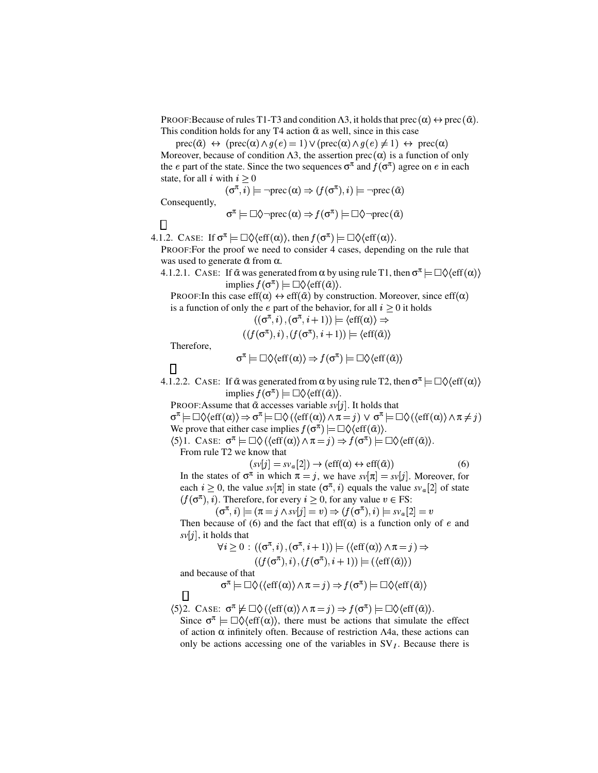PROOF:Because of rules T1-T3 and condition  $\Lambda$ 3, it holds that prec  $(\alpha) \leftrightarrow \text{prec}(\tilde{\alpha})$ . This condition holds for any T4 action  $\tilde{\alpha}$  as well, since in this case

 $prec(\tilde{\alpha}) \leftrightarrow (prec(\alpha) \land g(e) = 1) \lor (prec(\alpha) \land g(e) \neq 1) \leftrightarrow prec(\alpha)$ 

Moreover, because of condition  $\Lambda$ 3, the assertion prec  $(\alpha)$  is a function of only the *e* part of the state. Since the two sequences  $\sigma^{\pi}$  and  $f(\sigma^{\pi})$  agree on *e* in each state, for all *i* with  $i > 0$ 

$$
\sigma^{\pi}, \overline{i}) \models \neg \mathrm{prec}(\alpha) \Rightarrow (f(\sigma^{\pi}), i) \models \neg \mathrm{prec}(\tilde{\alpha})
$$

Consequently,

 $\overline{(}$ 

$$
\sigma^{\pi} \models \Box \Diamond \neg \text{prec}(\alpha) \Rightarrow f(\sigma^{\pi}) \models \Box \Diamond \neg \text{prec}(\tilde{\alpha})
$$

 $\Box$ 

4.1.2. CASE: If  $\sigma^{\pi} \models \Box \Diamond \langle \text{eff}(\alpha) \rangle$ , then  $f(\sigma^{\pi}) \models \Box \Diamond \langle \text{eff}(\alpha) \rangle$ .

PROOF:For the proof we need to consider 4 cases, depending on the rule that was used to generate  $\tilde{\alpha}$  from α.

4.1.2.1. CASE: If  $\tilde{\alpha}$  was generated from  $\alpha$  by using rule T1, then  $\sigma^{\pi} \models \Box \Diamond \langle \text{eff}(\alpha) \rangle$  $\text{implies } f(\sigma^{\pi}) \models \Box \Diamond \langle \text{eff}(\tilde{\alpha}) \rangle.$ 

PROOF:In this case eff( $\alpha$ )  $\leftrightarrow$  eff( $\tilde{\alpha}$ ) by construction. Moreover, since eff( $\alpha$ ) is a function of only the *e* part of the behavior, for all  $i \geq 0$  it holds

$$
((\sigma^{\pi}, i), (\sigma^{\pi}, i+1)) \models \langle \text{eff}(\alpha) \rangle \Rightarrow ((f(\sigma^{\pi}), i), (f(\sigma^{\pi}), i+1)) \models \langle \text{eff}(\tilde{\alpha}) \rangle
$$

Therefore,

$$
\sigma^{\pi} \models \Box \Diamond \langle \text{eff}(\alpha) \rangle \Rightarrow f(\sigma^{\pi}) \models \Box \Diamond \langle \text{eff}(\tilde{\alpha}) \rangle
$$

П

4.1.2.2. CASE: If  $\tilde{\alpha}$  was generated from  $\alpha$  by using rule T2, then  $\sigma^{\pi} \models \Box \Diamond \langle \text{eff}(\alpha) \rangle$  $\text{implies } \widetilde{f}(\sigma^{\pi}) \models \Box \Diamond \langle \text{eff}(\tilde{\alpha}) \rangle.$ 

PROOF: Assume that  $\tilde{\alpha}$  accesses variable  $s\nu[j]$ . It holds that  $\sigma^{\pi} \models \Box \Diamond \langle \text{eff}(\alpha) \rangle \Rightarrow \sigma^{\pi} \models \Box \Diamond \langle \langle \text{eff}(\alpha) \rangle \land \pi = j) \lor \sigma^{\pi} \models \Box \Diamond \langle \langle \text{eff}(\alpha) \rangle \land \pi \neq j \rangle$ 

We prove that either case implies  $f(\sigma^{\pi}) \models \Box \Diamond \langle \text{eff}(\tilde{\alpha}) \rangle$ .  $(5)$ 1. CASE:  $\sigma^{\pi} \models \Box \Diamond (\langle \text{eff}(\alpha) \rangle \land \pi = j) \Rightarrow f(\sigma^{\pi}) \models \Box \Diamond \langle \text{eff}(\tilde{\alpha}) \rangle$ .

From rule T2 we know that<br> $(sv[i] = s)$ 

$$
(sv[j] = sv_a[2]) \to (eff(\alpha) \leftrightarrow eff(\tilde{\alpha}))
$$
 (6)

In the states of  $\sigma^{\pi}$  in which  $\pi = j$ , we have  $s\nu[\pi] = s\nu[j]$ . Moreover, for each  $i \geq 0$ , the value  $s\nu[\pi]$  in state  $(\sigma^{\pi}, i)$  equals the value  $s\nu_{a}[2]$  of state  $(j(\sigma^{\pi}), i)$ . Therefore, for every  $i \geq 0$ , for any value  $v \in FS$ :

 $(\sigma^{\pi}, i) \models (\pi = j \wedge s\overline{v}[j] = v) \Rightarrow (f(\sigma^{\pi}), i) \models s\overline{v}_a[2] = v$ 

Then because of (6) and the fact that eff( $\alpha$ ) is a function only of e and  $svlj$ , it holds that

$$
\forall i \ge 0 : ((\sigma^{\pi}, i), (\sigma^{\pi}, i + 1)) \models (\langle \text{eff}(\alpha) \rangle \land \pi = j) \Rightarrow ((f(\sigma^{\pi}), i), (f(\sigma^{\pi}), i + 1)) \models (\langle \text{eff}(\tilde{\alpha}) \rangle)
$$

and because of that

 $\Box$ 

$$
\sigma^{\pi} \models \Box \Diamond (\langle \text{eff}(\alpha) \rangle \land \pi = j) \Rightarrow f(\sigma^{\pi}) \models \Box \Diamond \langle \text{eff}(\tilde{\alpha}) \rangle
$$

 $\langle 5 \rangle$ 2. CASE:  $\sigma^{\pi} \not\models \Box \Diamond (\langle \text{eff}(\alpha) \rangle \land \pi = j) \Rightarrow f(\sigma^{\pi}) \models \Box \Diamond \langle \text{eff}(\tilde{\alpha}) \rangle$ .

Since  $\sigma^{\pi} = \Box \Diamond \langle \text{eff}(\alpha) \rangle$ , there must be actions that simulate the effect of action α infinitely often. Because of restriction Λ4a, these actions can only be actions accessing one of the variables in  $SV<sub>I</sub>$ . Because there is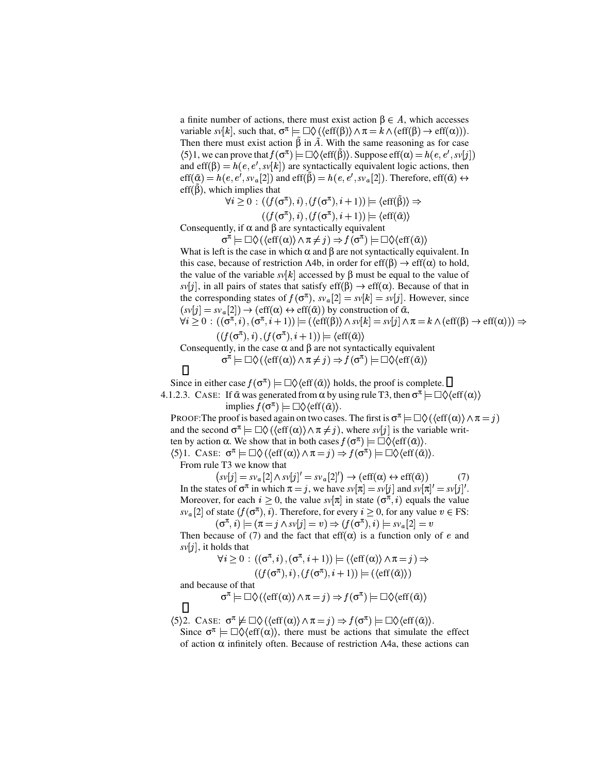a finite number of actions, there must exist action  $\beta \in A$ , which accesses variable  $sv[k]$ , such that,  $\sigma^{\pi} \models \Box \Diamond$  ( $\langle \text{eff}(\beta) \rangle \land \pi = k \land (\text{eff}(\beta) \rightarrow \text{eff}(\alpha))$ ). Then there must exist action  $\tilde{\beta}$  in  $\tilde{A}$ . With the same reasoning as for case  $\langle 5 \rangle 1$ , we can prove that  $f(\sigma^{\pi}) \models \Box \Diamond \langle \text{eff}(\tilde{\beta}) \rangle$ . Suppose  $\text{eff}(\alpha) = h(e, e', s\vee [j])$ and eff( $\beta$ ) =  $h(e, e', sv[k])$  are syntactically equivalent logic actions, then  $\text{eff}(\tilde{\alpha}) = h(e, e', s v_a[2])$  and  $\text{eff}(\tilde{\beta}) = h(e, e', s v_a[2])$ . Therefore,  $\text{eff}(\tilde{\alpha}) \leftrightarrow$ eff(β), which implies that

$$
\forall i \geq 0 : ((f(\sigma^{\pi}), i), (f(\sigma^{\pi}), i + 1)) \models \langle \text{eff}(\tilde{\beta}) \rangle \Rightarrow
$$

 $((f(\sigma^{\pi}), i), (f(\sigma^{\pi}), i+1)) \models \langle \text{eff}(\tilde{\alpha}) \rangle$ 

Consequently, if  $\alpha$  and  $\beta$  are syntactically equivalent

σ

$$
\tau \models \Box \Diamond \left( \langle \text{eff}(\alpha) \rangle \land \pi \neq j \right) \Rightarrow f(\sigma^{\pi}) \models \Box \Diamond \langle \text{eff}(\tilde{\alpha}) \rangle
$$

What is left is the case in which  $\alpha$  and  $\beta$  are not syntactically equivalent. In this case, because of restriction  $\Lambda 4b$ , in order for eff $(\beta) \to \text{eff}(\alpha)$  to hold, the value of the variable  $s\nu[k]$  accessed by  $\beta$  must be equal to the value of  $svl_j$ , in all pairs of states that satisfy eff( $\beta$ )  $\rightarrow$  eff( $\alpha$ ). Because of that in the corresponding states of  $f(\sigma^{\pi})$ ,  $sv_a[2] = sv[k] = sv[j]$ . However, since  $(sv[j] = sv_a[2]) \rightarrow (eff(\alpha) \leftrightarrow eff(\tilde{\alpha}))$  by construction of  $\tilde{\alpha}$ ,  $\forall i \geq 0 : ((\sigma^{\pi}, i), (\sigma^{\pi}, i+1)) \models ((\text{eff}(\beta)) \wedge \text{sv}[k] = \text{sv}[j] \wedge \pi = k \wedge (\text{eff}(\beta) \rightarrow \text{eff}(\alpha))) \Rightarrow$ 

$$
((f(\sigma^{\pi}), i), (f(\sigma^{\pi}), i + 1)) \models \langle \text{eff}(\tilde{\alpha}) \rangle
$$

Consequently, in the case  $\alpha$  and  $\beta$  are not syntactically equivalent  $\sigma^{\tilde{\pi}} \models \Box \Diamond \left( \langle \text{eff}(\alpha) \rangle \land \pi \neq j \right) \Rightarrow f(\sigma^{\pi}) \models \Box \Diamond \langle \text{eff}(\tilde{\alpha}) \rangle$ 

 $\Box$ 

Since in either case  $f(\sigma^{\pi}) \models \Box \Diamond \langle \text{eff}(\tilde{\alpha}) \rangle$  holds, the proof is complete. 4.1.2.3. CASE: If  $\tilde{\alpha}$  was generated from  $\alpha$  by using rule T3, then  $\sigma^{\pi} = \Box \Diamond \langle \text{eff}(\alpha) \rangle$ 

 $\text{implies } \widetilde{f}(\sigma^{\pi}) \models \Box \Diamond \langle \text{eff}(\tilde{\alpha}) \rangle.$ 

PROOF: The proof is based again on two cases. The first is  $\sigma^{\pi} \models \Box \Diamond$  ( $\langle \text{eff}(\alpha) \rangle \land \pi = j$ ) and the second  $\sigma^{\pi} \models \Box \Diamond (\langle \text{eff}(\alpha) \rangle \land \pi \neq j)$ , where  $s\nu[j]$  is the variable written by action  $\alpha$ . We show that in both cases  $f(\sigma^{\pi}) \models \Box \Diamond \langle \text{eff}(\tilde{\alpha}) \rangle$ .  $\langle 5 \rangle 1$ . CASE:  $\sigma^{\pi} \models \Box \Diamond (\langle \text{eff}(\alpha) \rangle \land \pi = j) \Rightarrow f(\sigma^{\pi}) \models \Box \Diamond \langle \text{eff}(\alpha) \rangle$ .

From rule T3 we know that

 $(sv[j] = sv_a[2] \wedge sv[j]' = sv_a[2]') \rightarrow (eff(\alpha) \leftrightarrow eff(\tilde{\alpha}))$  (7) In the states of  $\sigma^{\pi}$  in which  $\pi = j$ , we have  $s\nu[\pi] = s\nu[j]$  and  $s\nu[\pi]' = s\nu[j]'$ . Moreover, for each  $i \geq 0$ , the value  $s\nu[\pi]$  in state  $(\sigma^{\pi}, i)$  equals the value  $sv_a[2]$  of state  $(f(\sigma^{\pi}), i)$ . Therefore, for every  $i \geq 0$ , for any value  $v \in FS$ :  $(\sigma^{\pi}, i) \models (\pi = j \wedge s\overline{v}[j] = v) \Rightarrow (f(\sigma^{\pi}), i) \models s\overline{v}_a[2] = v$ 

Then because of (7) and the fact that eff( $\alpha$ ) is a function only of e and  $sv[j]$ , it holds that

$$
\forall i \geq 0 : ((\sigma^{\pi}, i), (\sigma^{\pi}, i + 1)) \models (\langle \text{eff}(\alpha) \rangle \land \pi = j) \Rightarrow ((f(\sigma^{\pi}), i), (f(\sigma^{\pi}), i + 1)) \models (\langle \text{eff}(\tilde{\alpha}))
$$

and because of that

$$
\sigma^{\pi} \models \Box \Diamond (\langle \text{eff}(\alpha) \rangle \land \pi = j) \Rightarrow f(\sigma^{\pi}) \models \Box \Diamond \langle \text{eff}(\tilde{\alpha}) \rangle
$$

 $\langle 5 \rangle$ 2. CASE:  $\sigma^{\pi} \not\models \Box \Diamond (\langle \text{eff}(\alpha) \rangle \land \pi = j) \Rightarrow f(\sigma^{\pi}) \models \Box \Diamond \langle \text{eff}(\tilde{\alpha}) \rangle$ .

Since  $\sigma^{\pi} = \Box \Diamond \langle \text{eff}(\alpha) \rangle$ , there must be actions that simulate the effect of action α infinitely often. Because of restriction Λ4a, these actions can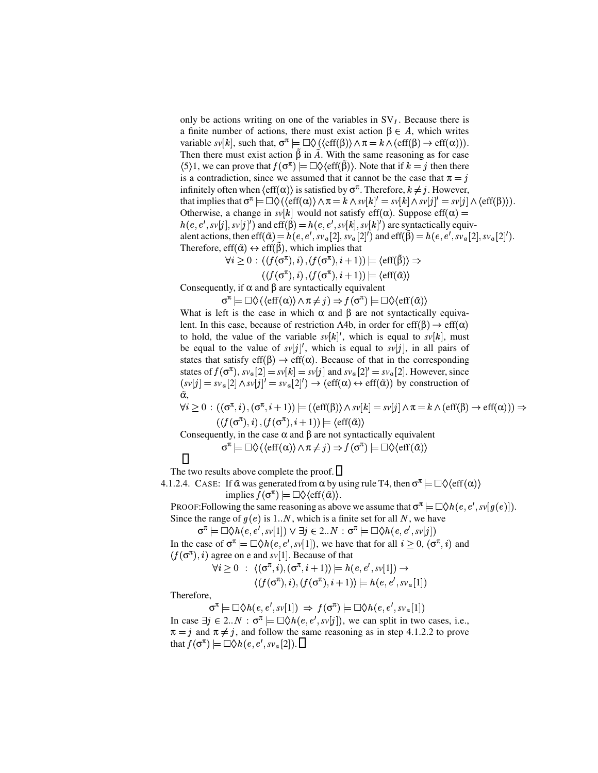only be actions writing on one of the variables in  $SV<sub>I</sub>$ . Because there is a finite number of actions, there must exist action  $\beta \in A$ , which writes variable  $sv[k]$ , such that,  $\sigma^{\pi} \models \Box \Diamond$  ( $\langle \text{eff}(\beta) \rangle \land \pi = k \land (\text{eff}(\beta) \rightarrow \text{eff}(\alpha))$ ). Then there must exist action  $\hat{\beta}$  in  $\tilde{A}$ . With the same reasoning as for case  $\langle 5 \rangle 1$ , we can prove that  $f(\sigma^{\pi}) \models \Box \Diamond \langle \text{eff}(\tilde{\beta}) \rangle$ . Note that if  $k = j$  then there is a contradiction, since we assumed that it cannot be the case that  $\pi = \hat{i}$ infinitely often when  $\langle \text{eff}(\alpha) \rangle$  is satisfied by  $\sigma^{\pi}$ . Therefore,  $k \neq j$ . However, that implies that  $\sigma^{\pi} \models \Box \Diamond ((\text{eff}(\alpha)) \land \pi = k \land sv[k]' = sv[k] \land sv[j]' = sv[j] \land (\text{eff}(\beta))).$ Otherwise, a change in  $svl[k]$  would not satisfy eff( $\alpha$ ). Suppose eff( $\alpha$ ) =  $h(e, e', sv[j], sv[j'])$  and  $eff(\beta) = h(e, e', sv[k], sv[k'])$  are syntactically equivalent actions, then eff $(\tilde{\alpha}) = h(e, e', sv_a[2], sv_a[2]')$  and eff $(\tilde{\beta}) = h(e, e', sv_a[2], sv_a[2]')$ . Therefore, eff $(\tilde{\alpha}) \leftrightarrow \text{eff}(\tilde{\beta})$ , which implies that

$$
\forall i \geq 0 : ((f(\sigma^{\pi}), i), (f(\sigma^{\pi}), i + 1)) \models \langle \text{eff}(\tilde{\beta}) \rangle \Rightarrow
$$

$$
((f(\sigma^{\pi}), i), (f(\sigma^{\pi}), i + 1)) \models \langle \text{eff}(\tilde{\alpha}) \rangle
$$

Consequently, if  $\alpha$  and  $\beta$  are syntactically equivalent

 $\sigma^{\pi} \models \Box \Diamond (\langle \text{eff}(\alpha) \rangle \land \pi \neq j) \Rightarrow f(\sigma^{\pi}) \models \Box \Diamond \langle \text{eff}(\tilde{\alpha}) \rangle$ 

What is left is the case in which  $\alpha$  and  $\beta$  are not syntactically equivalent. In this case, because of restriction  $\Lambda 4b$ , in order for eff( $\beta$ )  $\rightarrow$  eff( $\alpha$ ) to hold, the value of the variable  $s\nu[k]$ , which is equal to  $s\nu[k]$ , must be equal to the value of  $s\nu[j]'$ , which is equal to  $s\nu[j]$ , in all pairs of states that satisfy eff( $\beta$ )  $\rightarrow$  eff( $\alpha$ ). Because of that in the corresponding states of  $f(\sigma^{\pi})$ ,  $s v_a[2] = s v[k] = s v[j]$  and  $s v_a[2]' = s v_a[2]$ . However, since  $(sv[j] = sv_a[2] \wedge sv[j]' = sv_a[2]') \rightarrow (eff(\alpha) \leftrightarrow eff(\tilde{\alpha}))$  by construction of α*˜* ,

$$
\forall i \geq 0 : ((\sigma^{\pi}, i), (\sigma^{\pi}, i + 1)) \models (\langle \text{eff}(\beta) \rangle \land s\text{v}[k] = s\text{v}[j] \land \pi = k \land (\text{eff}(\beta) \to \text{eff}(\alpha))) \Rightarrow ((f(\sigma^{\pi}), i), (f(\sigma^{\pi}), i + 1)) \models \langle \text{eff}(\tilde{\alpha}) \rangle
$$

Consequently, in the case  $\alpha$  and  $\beta$  are not syntactically equivalent

$$
\sigma^{\pi} \models \Box \Diamond \left( \langle \text{eff}(\alpha) \rangle \land \pi \neq j \right) \Rightarrow f(\sigma^{\pi}) \models \Box \Diamond \langle \text{eff}(\tilde{\alpha}) \rangle
$$

$$
\Box
$$

The two results above complete the proof.  $\Box$ 

4.1.2.4. CASE: If  $\tilde{\alpha}$  was generated from  $\alpha$  by using rule T4, then  $\sigma^{\pi} \models \Box \Diamond \langle \text{eff}(\alpha) \rangle$  $\text{implies } \widetilde{f}(\sigma^{\pi}) \models \Box \Diamond \langle \text{eff}(\tilde{\alpha}) \rangle.$ 

PROOF: Following the same reasoning as above we assume that  $\sigma^{\pi} \models \Box \Diamond h(e, e', s v[g(e)]).$ Since the range of  $g(e)$  is 1..N, which is a finite set for all N, we have

 $\sigma^{\pi} \models \Box \Diamond h(e, e', s\nu[1]) \lor \exists j \in 2..N : \sigma^{\pi} \models \Box \Diamond h(e, e', s\nu[j])$ 

In the case of  $\sigma^{\pi} \models \Box \Diamond h(e, e', sv[1]),$  we have that for all  $i \geq 0$ ,  $(\sigma^{\pi}, i)$  and  $(f(\sigma^{\pi}), i)$  agree on e and *sv*[1]. Because of that

$$
\forall i \geq 0 \; : \; \langle (\sigma^{\pi}, i), (\sigma^{\pi}, i+1) \rangle \models h(e, e', sv[1]) \rightarrow
$$

$$
\langle (f(\sigma^{\pi}), i), (f(\sigma^{\pi}), i+1) \rangle \models h(e, e', sv_a[1])
$$

Therefore,

$$
\sigma^{\pi} \models \Box \Diamond h(e, e', s v[1]) \Rightarrow f(\sigma^{\pi}) \models \Box \Diamond h(e, e', s v_a[1])
$$

In case  $\exists j \in 2..N : \sigma^{\pi} \models \Box \Diamond h(e, e', s \lor [j]),$  we can split in two cases, i.e.,  $\pi = j$  and  $\pi \neq j$ , and follow the same reasoning as in step 4.1.2.2 to prove that  $f(\sigma^{\pi}) \models \Box \Diamond h(e, e', s v_a[2]).$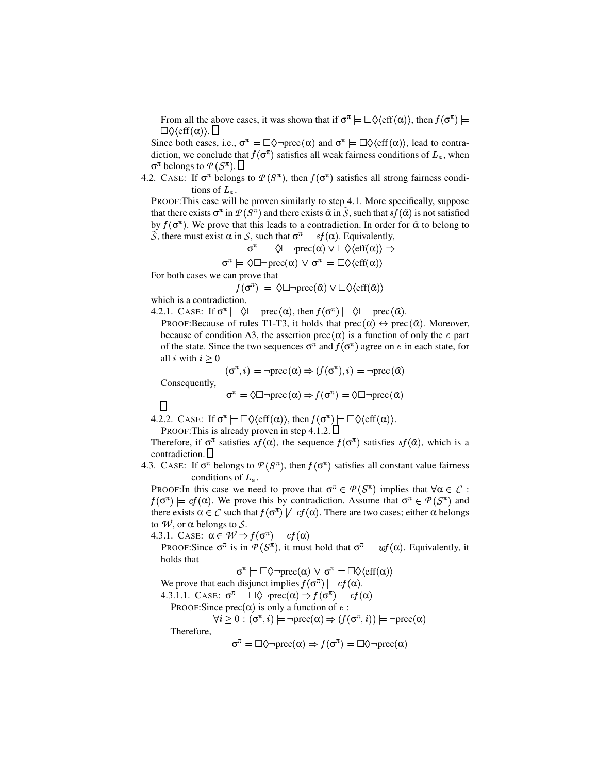From all the above cases, it was shown that if  $\sigma^{\pi} \models \Box \Diamond \langle \text{eff}(\alpha) \rangle$ , then  $f(\sigma^{\pi}) \models$  $\Box \Diamond \langle \text{eff}(\alpha) \rangle$ .

Since both cases, i.e.,  $\sigma^{\pi} \models \Box \Diamond \neg \text{prec}(\alpha)$  and  $\sigma^{\pi} \models \Box \Diamond \langle \text{eff}(\alpha) \rangle$ , lead to contradiction, we conclude that  $f(\sigma^{\pi})$  satisfies all weak fairness conditions of  $L_a$ , when  $\sigma^{\pi}$  belongs to  $\mathcal{P}(S^{\pi})$ .

4.2. CASE: If  $\sigma^{\pi}$  belongs to  $\mathcal{P}(S^{\pi})$ , then  $f(\sigma^{\pi})$  satisfies all strong fairness conditions of  $L_{\alpha}$ .

PROOF:This case will be proven similarly to step 4.1. More specifically, suppose that there exists  $\sigma^{\pi}$  in  $\mathcal{P}(S^{\pi})$  and there exists  $\tilde{\alpha}$  in  $\tilde{S}$ , such that  $sf(\tilde{\alpha})$  is not satisfied by  $f(\sigma^{\pi})$ . We prove that this leads to a contradiction. In order for  $\tilde{\alpha}$  to belong to  $\widetilde{S}$ , there must exist  $\alpha$  in *S*, such that  $\sigma^{\pi} \models sf(\alpha)$ . Equivalently,

$$
\sigma^{\pi} \models \Diamond \Box \neg \mathrm{prec}(\alpha) \lor \Box \Diamond \langle \mathrm{eff}(\alpha) \rangle \Rightarrow
$$

$$
\sigma^{\pi} \models \Diamond \Box \neg \mathrm{prec}(\alpha) \lor \sigma^{\pi} \models \Box \Diamond \langle \mathrm{eff}(\alpha) \rangle
$$

For both cases we can prove that

 $\overline{f}(\sigma^{\pi}) \models \Diamond \Box \neg \text{prec}(\tilde{\alpha}) \lor \Box \Diamond \langle \text{eff}(\tilde{\alpha}) \rangle$ 

which is a contradiction.

4.2.1. CASE: If  $\sigma^{\pi} \models \Diamond \Box \neg \text{prec}(\alpha)$ , then  $f(\sigma^{\pi}) \models \Diamond \Box \neg \text{prec}(\tilde{\alpha})$ .

PROOF:Because of rules T1-T3, it holds that prec  $(\alpha) \leftrightarrow \text{prec}(\tilde{\alpha})$ . Moreover, because of condition  $\Lambda$ 3, the assertion prec  $(\alpha)$  is a function of only the *e* part of the state. Since the two sequences  $\sigma^{\pi}$  and  $f(\sigma^{\pi})$  agree on *e* in each state, for all *i* with  $i > 0$ 

$$
(\sigma^\pi, i) \models \neg \mathrm{prec}\,(\alpha) \Rightarrow (f(\sigma^\pi), i) \models \neg \mathrm{prec}\,(\tilde{\alpha})
$$

Consequently,

$$
\sigma^{\pi} \models \Diamond \Box \neg \mathrm{prec}(\alpha) \Rightarrow f(\sigma^{\pi}) \models \Diamond \Box \neg \mathrm{prec}(\tilde{\alpha})
$$

 $\Box$ 

4.2.2. CASE: If  $\sigma^{\pi} \models \Box \Diamond \langle \text{eff}(\alpha) \rangle$ , then  $f(\sigma^{\pi}) \models \Box \Diamond \langle \text{eff}(\alpha) \rangle$ . PROOF: This is already proven in step 4.1.2.  $\Box$ 

Therefore, if  $\sigma^{\pi}$  satisfies  $sf(\alpha)$ , the sequence  $f(\sigma^{\pi})$  satisfies  $sf(\tilde{\alpha})$ , which is a contradiction.

4.3. CASE: If  $\sigma^{\pi}$  belongs to  $\mathcal{P}(S^{\pi})$ , then  $f(\sigma^{\pi})$  satisfies all constant value fairness conditions of  $L_a$ .

PROOF: In this case we need to prove that  $\sigma^{\pi} \in \mathcal{P}(S^{\pi})$  implies that  $\forall \alpha \in \mathcal{C}$ :  $f(\sigma^{\pi}) \models cf(\alpha)$ . We prove this by contradiction. Assume that  $\sigma^{\pi} \in \mathcal{P}(S^{\pi})$  and there exists  $\alpha \in \mathcal{C}$  such that  $f(\sigma^{\pi}) \not\models cf(\alpha)$ . There are two cases; either  $\alpha$  belongs to  $W$ , or  $\alpha$  belongs to  $S$ .

4.3.1. CASE:  $\alpha \in W \Rightarrow f(\sigma^{\pi}) \models cf(\alpha)$ 

PROOF: Since  $\sigma^{\pi}$  is in  $P(S^{\pi})$ , it must hold that  $\sigma^{\pi} \models \omega f(\alpha)$ . Equivalently, it holds that

 $\sigma^{\pi} \models \Box \Diamond \neg \text{prec}(\alpha) \lor \sigma^{\pi} \models \Box \Diamond \langle \text{eff}(\alpha) \rangle$ 

We prove that each disjunct implies  $f(\sigma^{\pi}) \models cf(\alpha)$ .

4.3.1.1. CASE:  $\sigma^{\pi} \models \Box \Diamond \neg \text{prec}(\alpha) \Rightarrow f(\sigma^{\pi}) \models cf(\alpha)$ 

PROOF:Since  $prec(\alpha)$  is only a function of  $e$ :

$$
\forall i \geq 0 : (\sigma^{\pi}, i) \models \neg \text{prec}(\alpha) \Rightarrow (f(\sigma^{\pi}, i)) \models \neg \text{prec}(\alpha)
$$

Therefore,

$$
\sigma^{\pi} \models \Box \Diamond \neg \mathrm{prec}(\alpha) \Rightarrow f(\sigma^{\pi}) \models \Box \Diamond \neg \mathrm{prec}(\alpha)
$$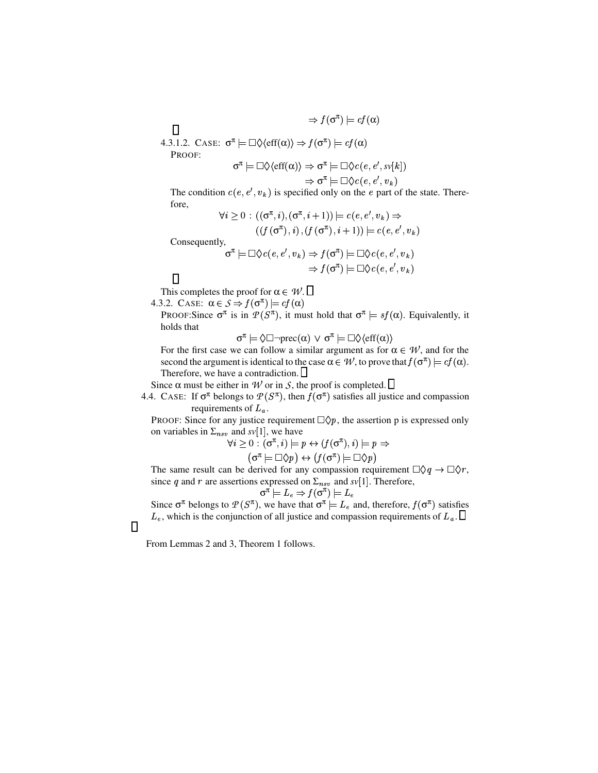$\Rightarrow f(\sigma^{\pi}) \models cf(\alpha)$ 4.3.1.2. CASE:  $\sigma^{\pi} \models \Box \Diamond \langle \text{eff}(\alpha) \rangle \Rightarrow f(\sigma^{\pi}) \models cf(\alpha)$ π π

$$
\sigma^{\pi} \models \Box \Diamond \langle \text{eff}(\alpha) \rangle \Rightarrow \sigma^{\pi} \models \Box \Diamond c(e, e', sv[k])
$$

$$
\Rightarrow \sigma^{\pi} \models \Box \Diamond c(e, e', v_k)
$$

The condition  $c(e, e', v_k)$  is specified only on the e part of the state. There-

fore,

PROOF:

 $\Box$ 

$$
\forall i \geq 0 : ((\sigma^{\pi}, i), (\sigma^{\pi}, i + 1)) \models c(e, e', v_k) \Rightarrow ((f(\sigma^{\pi}), i), (f(\sigma^{\pi}), i + 1)) \models c(e, e', v_k) Consequently, 
$$
\sigma^{\pi} \models \Box \Diamond c(e, e', v_k) \Rightarrow f(\sigma^{\pi}) \models \Box \Diamond c(e, e', v_k) 
$$
\Rightarrow f(\sigma^{\pi}) \models \Box \Diamond c(e, e', v_k)
$$
$$
$$

 $\Box$ 

 $\Box$ 

This completes the proof for  $\alpha \in \mathcal{W}$ .

4.3.2. CASE:  $\alpha \in S \stackrel{\cdot}{\Rightarrow} f(\sigma^{\pi}) \models cf(\alpha)$ 

PROOF: Since  $\sigma^{\pi}$  is in  $P(S^{\pi})$ , it must hold that  $\sigma^{\pi} \models sf(\alpha)$ . Equivalently, it holds that

 $\sigma^{\pi} \models \Diamond \Box \neg \text{prec}(\alpha) \lor \sigma^{\pi} \models \Box \Diamond \langle \text{eff}(\alpha) \rangle$ 

For the first case we can follow a similar argument as for  $\alpha \in \mathcal{W}$ , and for the second the argument is identical to the case  $\alpha \in \mathcal{W}$ , to prove that  $f(\sigma^{\pi}) \models cf(\alpha)$ . Therefore, we have a contradiction.

Since  $\alpha$  must be either in *W* or in *S*, the proof is completed.  $\Box$ 

4.4. CASE: If  $\sigma^{\pi}$  belongs to  $\mathcal{P}(S^{\pi})$ , then  $f(\sigma^{\pi})$  satisfies all justice and compassion requirements of  $L_a$ .

PROOF: Since for any justice requirement  $\Box \Diamond p$ , the assertion p is expressed only on variables in  $\Sigma_{nsv}$  and  $sv[1]$ , we have

$$
\forall i \geq 0 \text{ } : (\sigma^\pi, i) \models p \leftrightarrow (f(\sigma^\pi), i) \models p \Rightarrow (\sigma^\pi \models \Box \Diamond p) \leftrightarrow (f(\sigma^\pi) \models \Box \Diamond p)
$$

The same result can be derived for any compassion requirement  $\Box \Diamond q \to \Box \Diamond r$ , since *q* and *r* are assertions expressed on  $\Sigma_{nsv}$  and *sv*[1]. Therefore,

$$
\sigma^{\pi} \models L_e \Rightarrow f(\sigma^{\pi}) \models L_e
$$

Since  $\sigma^{\pi}$  belongs to  $\mathcal{P}(S^{\pi})$ , we have that  $\sigma^{\pi} \models L_e$  and, therefore,  $f(\sigma^{\pi})$  satisfies  $L_e$ , which is the conjunction of all justice and compassion requirements of  $L_a$ .

From Lemmas 2 and 3, Theorem 1 follows.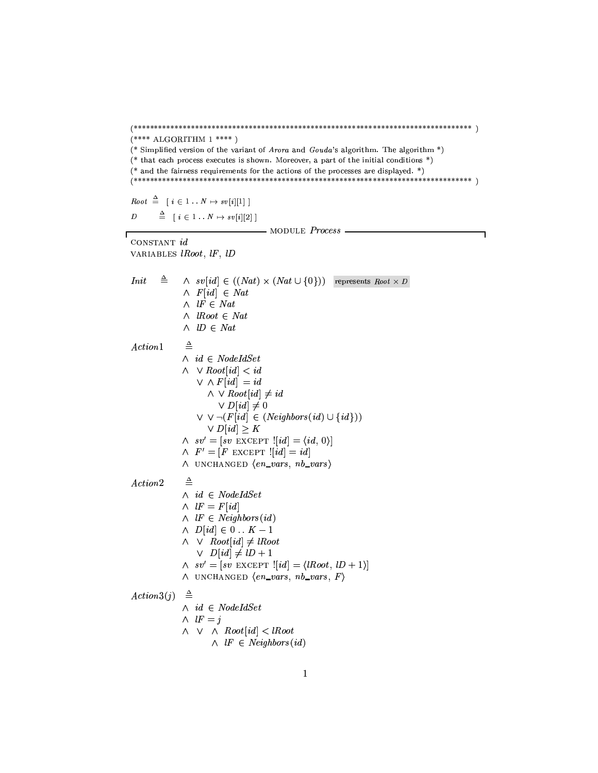$(**** ALGORITHM 1***)$ (\* Simplified version of the variant of *Arora* and *Gouda*'s algorithm. The algorithm \*) (\* that each process executes is shown. Moreover, a part of the initial conditions \*) (\* and the fairness requirements for the actions of the processes are displayed. \*) Root  $\stackrel{\Delta}{=} [i \in 1 \ldots N \mapsto sv[i][1] ]$  $\stackrel{\Delta}{=}$   $\begin{bmatrix} i \in 1 \ldots N \mapsto sv[i][2] \end{bmatrix}$  $\overline{D}$ —— MODULE  $Process$  — ٦ CONSTANT id VARIABLES *lRoot*, *lF*, *lD*  $\triangleq$ Init  $\wedge$  sv[id]  $\in ((Nat) \times (Nat \cup \{0\}))$  represents Root  $\times D$  $\wedge$  F[id]  $\in$  Nat  $\wedge$  *IF*  $\in$  *Nat*  $\land$  *Root*  $\in$  *Nat*  $\wedge$   $ID \in Nat$  $\triangleq$  $Action1$  $\wedge$  id  $\in$  NodeIdSet  $\wedge \vee Root(id] < id$  $\vee$   $\wedge$   $F(id] = id$  $\land \lor Root(id] \neq id$  $\vee D[i d] \neq 0$  $\vee \vee \neg (F[id] \in (Neighbors(id) \cup \{id\}))$  $\vee D[i d] \geq K$  $\wedge$  sv' = [sv EXCEPT ![id] =  $\langle id, 0 \rangle$ ]  $\wedge$   $F' = [F$  EXCEPT  $![id] = id]$  $\land$  UNCHANGED  $\langle en\_vars, nb\_vars \rangle$  $\triangleq$  $Action2$  $\wedge$  id  $\in$  NodeIdSet  $\wedge$   $lF = F(id]$  $\wedge$  *IF*  $\in$  *Neighbors*(*id*)  $\wedge$   $D(id] \in 0 \dots K-1$  $\land \lor \quad Root[i d] \neq \textit{lRoot}$  $\vee$   $D(id] \neq lD + 1$  $\wedge$  sv' = [sv EXCEPT ![id] =  $\langle$ IRoot, ID + 1)]  $\land$  UNCHANGED  $\langle en\_vars, nb\_vars, F \rangle$  $Action3(j) \triangleq$  $\wedge$  id  $\in$  NodeIdSet  $\wedge$   $lF = j$  $\wedge \vee \wedge Root(id] < lRoot$  $\wedge$  *IF*  $\in$  *Neighbors*(*id*)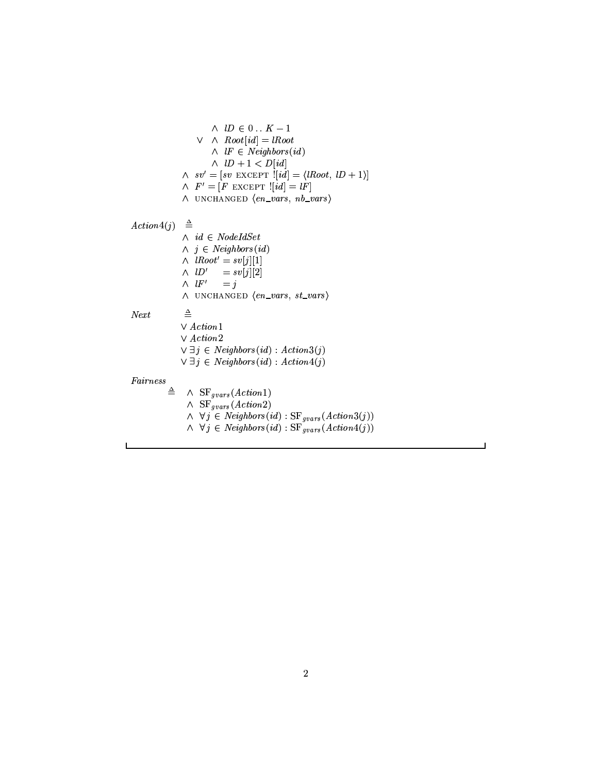$\land\;$   $lD$   $\in$   $0$   $.$   $K-1$  $\vee$   $\wedge$  Root[id] = lRoot  $\wedge$  *IF*  $\in$  *Neighbors*(*id*)  $\wedge$   $ID + 1 < D(id)$ <sup>➒</sup> ❺✹➓ ➬ <sup>➑</sup> ➔✾❺✄➓➾⑧✻➮<sup>❻</sup> ⑧❫➱✻❾❐✃✂➔➧➀❄➁➨→ ➑Ý❒ ➆➈➉❷■❷✭➊☎➋✓➆➎❮Ù ➳ ❰❖→  $\wedge$   $F' = [F \text{ EXCEPT} : [id] = lF]$ ∧ UNCHANGED  $\langle en\_vars, nb\_vars \rangle$  $\triangle$   $\triangle$  $\wedge$   $id \in NodeIdSet$  $\land$   $j \in Neighbors(id)$ ↑ JD JJ 31511  $\wedge$   $ID' = sv[j][2]$  $\wedge$   $lF' = j$ ∧ UNCHANGED  $\langle en\_vars, st\_vars \rangle$  $Next$  $\triangleq$  $\vee$  Action1  $\lor$   $Action2$  $\forall \exists j \in \text{Neighbors}(id) : \text{Action3}(j)$  $\forall \exists j \in \text{Neighbors}(id) : \text{Action4}(j)$  $\frac{Pairs}{=}$  $\wedge$  SF<sub>gvars</sub>(Action1)  $\wedge$  SF<sub>gvars</sub> (Action2)  $\land$  ∀ $j \in$  Neighbors(id) : SF<sub>gvars</sub>(Action3(j))  $∧$  ∀ $j \in$  Neighbors(id) : SF<sub>gvars</sub>(Action4(j))

 $\overline{\phantom{0}}$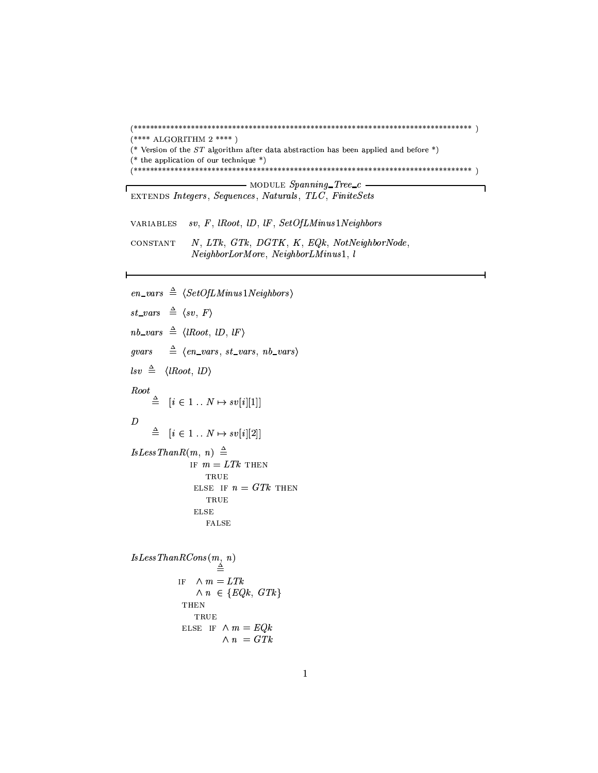```
(**** ALGORITHM 2***)(* Version of the ST algorithm after data abstraction has been applied and before *)
(* the application of our technique *)\longrightarrow MODULE Spanning_Tree_c -٦
EXTENDS Integers, Sequences, Naturals, TLC, FiniteSets
VARIABLES
          sv, F, \; lRoot, lD, lF, SetOfLMinus1NeighborsN, LTk, GTk, DGTK, K, EQk, NotNeighbourNode,CONSTANT
          NeighborLorMore, NeighborLMinus1, l
en\_vars \triangleq \langle SetOfLMinus1Neighbors \rangle
```

```
st\_vars \triangleq \langle sv, F \ranglenb\_vars \triangleq \langle lRoot, lD, lF \rangle\triangleq (en_vars, st_vars, nb_vars)
qvars\text{lsv} \triangleq \langle \text{lRoot}, \text{ } \text{ID} \rangleRoot
        \triangleq [i \in 1..N \mapsto sv[i][1]]\boldsymbol{D}\triangleq [i \in 1..N \mapsto sv[i][2]]Is Less ThanR(m, n) \triangleqIF m = LTk THEN
                             \operatorname{TRUE}
```

```
ELSE IF n = GTk THEN
  TRUE
_{\rm ELSE}FALSE
```

```
\begin{array}{l} Is Less ThanRCons(m, n)\\ \triangleq \end{array}IF \wedge m = LTk\wedge n \in \{EQk, GTk\}THEN
                     TRUE
                 ELSE IF \wedge m = EQk\wedge n = GTk
```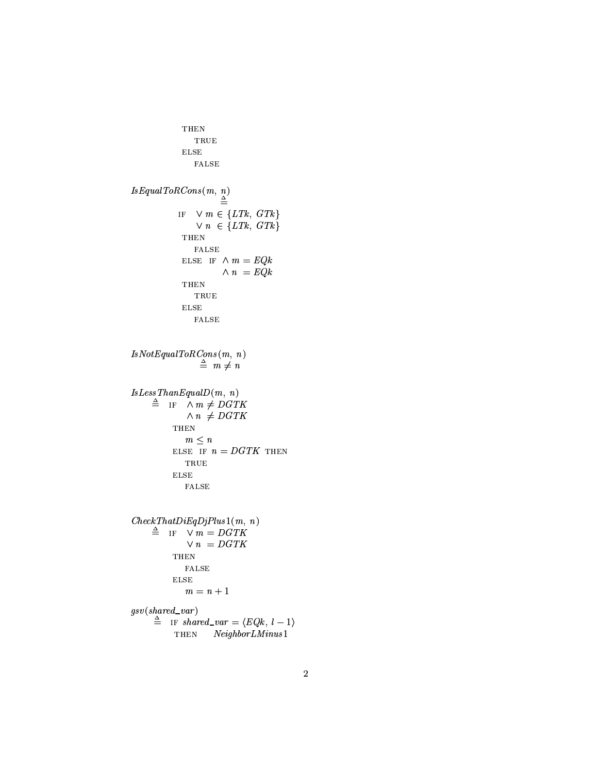```
THEN
                    \operatorname{TRUE}_{\rm{ELSE}}{\tt FALSE}Is Equal ToRCons(m, n) \triangleqIF \forall m \in \{LTk, GTk\}\vee n \in \{LTk, \; GTk\}THEN
                     {\tt FALSE}ELSE IF \wedge m = EQk\wedge n = EQkTHEN
                    \operatorname{\mathbf{TRUE}}_{\rm ELSE}FALSE
\begin{array}{l} IsNot Equal ToRCons(m,\;n)\\ \triangleq\;\;m\neq\,n \end{array}Is Less ThanEqual D(m, n)\triangleq IF \wedge m \neq DGTK\land n \neq DGTK{\tt THEN}m \leq nELSE IF n=DGTK THEN
                 \operatorname{TRUE}_{\rm{ELSE}}{\tt FALSE}CheckThat DiEqDjPlus1(m, n)\triangleq IF \sqrt{m} = DGTK\vee n = DGTKTHEN
                 {\tt FALSE}_{\rm{ELSE}}m = n + 1gsv(\mathit{shared\_var})\stackrel{\Delta}{=} IF shared_var = \langle EQk, l-1 \rangleTHEN
                           NeighbourLMinus1
```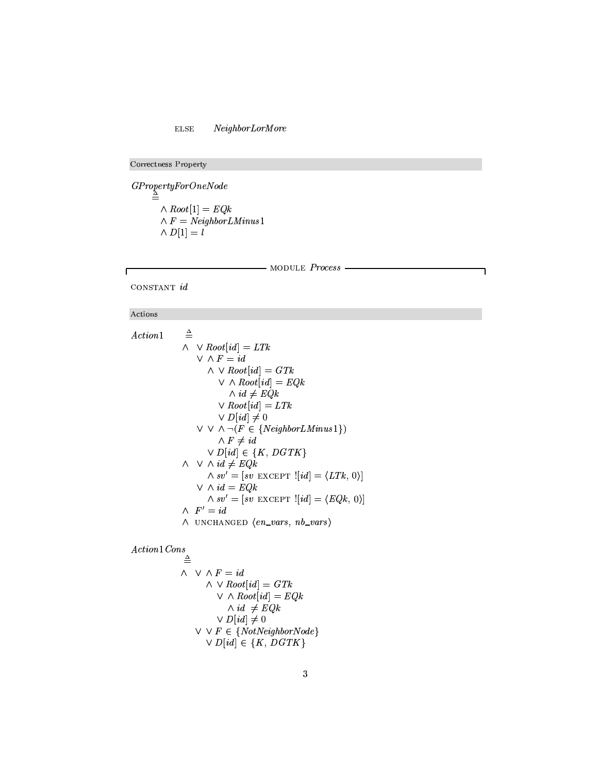## ELSE NeighborLorMore

Correctness Property

➃✣➶✠❴❛⑨✱❳✌❵☎❴✄❦✩❒➒✇❘⑨❃❴❃❷✛❩♥❵❛q⑦⑨➒➈❯❵ ➫❶⑧✯⑨●⑨❃❦ <sup>➓</sup> ❼☎➝ <sup>➌</sup> ➆❖➇✣➂ ➫❺✇ <sup>➌</sup> q⑦❵✆❬❁❭✵❽✌❾✱⑨❃❴❛t✑❹❺❬✕❩✳♣❻❧■❼  $\sim$   $\cdot$  s  $\cdot$  s  $\cdot$ 

#### - MODULE Process -

CONSTANT  $id$ 

#### Actions

Г

❮ ❜✆❦✫❬✃⑨❃❩☛❼  $\triangleq$ ➫ ➵❶⑧✯⑨●⑨❃❦ <sup>➓</sup> ❬✃➈❪➝ <sup>➌</sup> t➁❫♥➂ ➵➋➫✻✇ <sup>➌</sup> ❬✃➈ ➫❰➵❶⑧✯⑨●⑨❃❦ <sup>➓</sup> ❬✃➈❪➝ <sup>➌</sup> ➃r❫♥➂ ➵Ï➫✻⑧❍⑨➒⑨❉❦ <sup>➓</sup> ❬✃➈❪➝ <sup>➌</sup> ➆❖➇✣➂  $\wedge$  *id*  $\neq$  *EQk* ➵❶⑧✯⑨●⑨❃❦ <sup>➓</sup> ❬✃➈❪➝ <sup>➌</sup> t➁❫♥➂ ➵❶⑩ <sup>➓</sup> ❬✃➈❪➝➁➺➌ÑÐ  $∨ ∨ ∩ (F ∈ {Neighbor LMinus1})$  $\wedge$  F  $\neq id$ ➵Ô⑩ <sup>➓</sup> ❬✃➈❪➝✷➔Õ➭❃➅➀♠✳⑩➄➃r❫✥➅➩➲  $\wedge\ \vee\ \wedge\ id\neq\mathit{EQk}$ ➫❺❧✄⑥❪Ö ➌➷➓ ❧✄⑥➻❚❞❝<sup>❿</sup> ❚✳×❞❡➴Ø <sup>➓</sup> ❬✃➈❪➝ ➌Ù➍ t➁❫♥➂♥♠ <sup>Ð</sup> ➏❅➝ ➵➋➫➻❬✃➈ <sup>➌</sup> ➆❖➇✣➂ ➫❺❧✄⑥ <sup>Ö</sup> ➌➷➓ ❧✄⑥➻❚❞❝<sup>❿</sup> ❚✳×❞❡➴Ø <sup>➓</sup> ❬✃➈❪➝ ➌Ù➍➆❖➇✣➂♥♠ <sup>Ð</sup> ➏❅➝ ➫Ú✇Ö <sup>➌</sup> ❬✃➈ ➫Û◗✓❣ <sup>❿</sup> ➧❢②✗❣✗Ü❘❚✌P <sup>➍</sup> ❵☎❩ ⑥❃❨❃❴✱❧■♠✓❩♥❾ ⑥❃❨❃❴✱❧●➏

 $\blacksquare$ 

$$
\begin{array}{c}\n\wedge \quad \vee \quad \wedge \, F = id \\
\wedge \quad \vee \, Root[id] = GTk \\
\vee \quad \wedge \, Root[id] = EQk \\
\wedge \, id \, \neq EQk \\
\vee \, D[id] \neq 0 \\
\vee \, \vee \, F \in \{NotNeighbourNode\} \\
\vee \, D[id] \in \{K, \, DGTK\}\n\end{array}
$$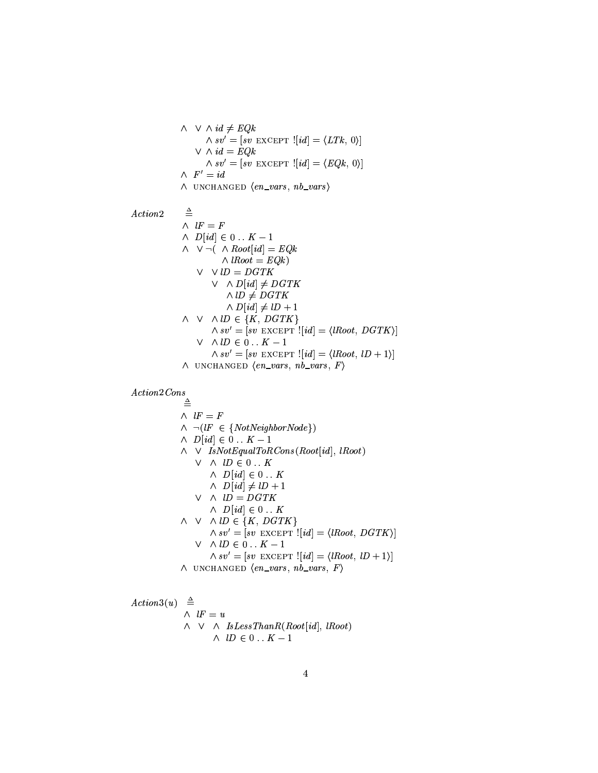$\land \lor \lor \land id \neq EQk$ ➫➉❧✄⑥ <sup>Ö</sup> ➌❰➓ ❧✄⑥➻❚❞❝<sup>❿</sup> ❚✌×❞❡➴Ø <sup>➓</sup> ❬✃➈❪➝ ➌Ù➍ t➁❫♥➂❢♠ <sup>Ð</sup> ➏✫➝ ➵❰➫➦❬✃➈ <sup>➌</sup> ➆❖➇✣➂ ➫➉❧✄⑥ <sup>Ö</sup> ➌❰➓ ❧✄⑥➻❚❞❝<sup>❿</sup> ❚✌×❞❡➴Ø <sup>➓</sup> ❬✃➈❪➝ ➌Ù➍➆❖➇✣➂❢♠ <sup>Ð</sup> ➏❅➝ ➫Û✇❖Ö <sup>➌</sup> ❬✃➈ ➫➜◗✓❣ <sup>❿</sup> ➧❢②✗❣❘Ü✗❚✌P <sup>➍</sup> ❵✆❩ ⑥❃❨❃❴✱❧❯♠✓❩✥❾ ⑥❃❨❃❴✱❧●➏ ❮ ❜✆❦✫❬✃⑨❃❩  $\triangleq$  $\mathbf{S}$  $\lambda$   $\lambda$   $\lambda$ ➫ ➵❶Ò✛➠á➫❶⑧✯⑨●⑨❃❦ <sup>➓</sup> ❬✃➈❪➝ <sup>➌</sup> ➆❖➇✣➂ ➫➦s⑧✯⑨●⑨❃❦ <sup>➌</sup> ➆❖➇✣➂✌➢ ➵ ➵➻s⑩ <sup>➌</sup> ⑩➄➃r❫✥➅ ➵ ➫❶⑩ <sup>➓</sup> ❬✃➈❻➝➁➺➌ ⑩➚➃r❫✹➅  $\land$  lD  $\neq$  DGTK ➫❶⑩ <sup>➓</sup> ❬✃➈❻➝➁➺➌ s⑩Ù➘Ñ❼  $\land \lor \land \lor \land \textit{ID} \in \{K, \textit{DGTK}\}$ ➫❺❧✄⑥ <sup>Ö</sup> ➌➷➓ ❧✄⑥❺❚✌❝<sup>❿</sup> ❚✌×✌❡➴Ø <sup>➓</sup> ❬✃➈❪➝ ➌Ù➍ s⑧✯⑨●⑨❃❦✆♠✳⑩➚➃r❫✥➅➻➏❇➝ ➵ ➫➻s⑩➳➔ <sup>Ð</sup> ↔☎↔❯➅à➬➣❼ ➫❺❧✄⑥ <sup>Ö</sup> ➌➷➓ ❧✄⑥❺❚✌❝<sup>❿</sup> ❚✌×✌❡➴Ø <sup>➓</sup> ❬✃➈❪➝ ➌Ù➍ s⑧✯⑨●⑨❃❦✆♠❢s⑩Ù➘➴❼✵➏✫➝ ➫Û◗✓❣ <sup>❿</sup> ➧❢②✗❣✗Ü❘❚✌P <sup>➍</sup> ❵☎❩ ⑥❃❨❃❴✱❧■♠✓❩♥❾ ⑥❃❨❃❴✱❧■♠✥✇❈➏

 $\lambda$   $\lambda$   $\lambda$ 

 $\triangleq$  $\lambda$   $\lambda$   $\lambda$   $\lambda$  $\wedge \neg(lF \in \{NotNeighbourNode\})$ ➫➜⑩ <sup>➓</sup> ❬✃➈❪➝✣➔ <sup>Ð</sup> ↔☎↔❯➅å➬➣❼ ➫ ➵➜✐✄❧✧q⑦⑨❃❦➸➆✜♦☎♣✳❨❃s✫❫✹⑨☎⑧⑦✉➁⑨❃❩✳❧❯➠✩⑧❍⑨➒⑨❉❦ <sup>➓</sup> ❬✃➈❻➝✫♠✓s⑧✯⑨●⑨❃❦❛➢ ➵ ➫ãs⑩➼➔ <sup>Ð</sup> ↔☎↔❯➅ ➫➜⑩ <sup>➓</sup> ❬✃➈❪➝✷➔ <sup>Ð</sup> ↔☎↔❪➅ ➫➜⑩ <sup>➓</sup> ❬✃➈❪➝✣➺➌ s⑩➷➘Ñ❼ ➵ ➫ãs⑩ <sup>➌</sup> ⑩➄➃r❫✥➅ ➫➜⑩ <sup>➓</sup> ❬✃➈❪➝✷➔ <sup>Ð</sup> ↔☎↔❪➅  $\land \lor \land \lor \land \textit{ID} \in \{K, \textit{DGTK}\}$ ➫➉❧✱⑥ <sup>Ö</sup> ➌❰➓ ❧✄⑥➻❚❞❝<sup>❿</sup> ❚✌×❞❡➴Ø <sup>➓</sup> ❬✃➈❻➝ ➌➷➍ s⑧❍⑨➒⑨❉❦✆♠✳⑩➄➃r❫✥➅➻➏✧➝ ➵ ➫➦s⑩➼➔ <sup>Ð</sup> ↔☎↔❪➅➾➬➣❼ ➫➉❧✱⑥ <sup>Ö</sup> ➌❰➓ ❧✄⑥➻❚❞❝<sup>❿</sup> ❚✌×❞❡➴Ø <sup>➓</sup> ❬✃➈❻➝ ➌➷➍ s⑧❍⑨➒⑨❉❦✆♠❢s⑩➷➘➴❼✵➏❅➝ ➫➜◗✓❣ <sup>❿</sup> ➧❢②✗❣❘Ü✗❚✌P <sup>➍</sup> ❵✆❩ ⑥❃❨❃❴✱❧❯♠✓❩✥❾ ⑥❃❨❃❴✱❧■♠♥✇❈➏

Action3(u) 
$$
\stackrel{\triangle}{=} \frac{1}{\wedge} \frac{1}{k} = u
$$
  
\n $\wedge \vee \wedge \frac{1}{s} \frac{1}{k} = 0 \dots K - 1$   
\n $\wedge \frac{1}{k} = 0 \dots K - 1$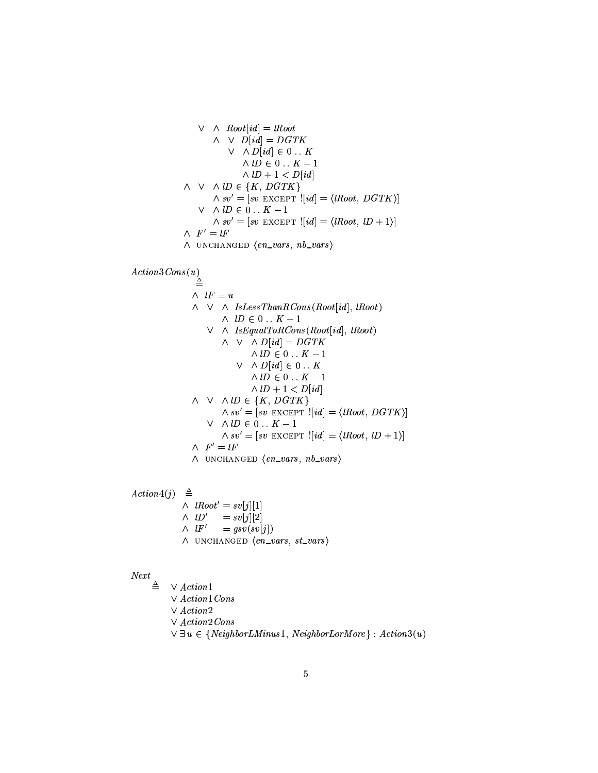$$
\vee \wedge Root[i d] = lRoot
$$
  
\n
$$
\wedge \vee D[i d] = DGTK
$$
  
\n
$$
\vee \wedge D[i d] \in 0...K
$$
  
\n
$$
\wedge lD \in 0...K - 1
$$
  
\n
$$
\wedge lD + 1 < D[i d]
$$
  
\n
$$
\wedge \vee \wedge lD \in \{K, DGTK\}
$$
  
\n
$$
\wedge sv' = [sv \text{ EXCEPT} : [id] = \langle lRoot, DGTK \rangle]
$$
  
\n
$$
\vee \wedge lD \in 0...K - 1
$$
  
\n
$$
\wedge sv' = [sv \text{ EXCEPT} : [id] = \langle lRoot, lD + 1 \rangle]
$$
  
\n
$$
\wedge F' = lF
$$

$$
\wedge \hspace{0.15cm} \text{UNCHANGED} \hspace{0.2cm} \langle \hspace{0.15cm}en\_vars, \hspace{0.15cm}nb\_vars \rangle
$$

$$
Action3\,Cons(u)
$$

 $\triangleq$  $\sim$ ➫ ➵ ➫➜✐✄❧❊t❘❵✆❧❀❧❯❫♥❽✌❨❉❩❪⑧⑦✉➁⑨❃❩✳❧❯➠✩⑧❍⑨➒⑨❉❦ <sup>➓</sup> ❬✃➈❻➝✫♠✓s⑧✯⑨●⑨❃❦❛➢  $\lambda$ ,  $\mu$ ,  $\tau$ ,  $\lambda$ ➵ ➫➜✐✄❧❊➆→♦✆♣✳❨❉s✫❫✳⑨➒⑧⑦✉✎⑨❉❩✌❧❯➠✫⑧✯⑨●⑨❃❦ <sup>➓</sup> ❬✃➈❪➝❅♠✗s⑧❍⑨➒⑨❉❦❛➢ ➫ ➵ ➫✻⑩ <sup>➓</sup> ❬✃➈❪➝ <sup>➌</sup> ⑩➄➃r❫✥➅ ➫➉s⑩➳➔ <sup>Ð</sup> ↔➒↔❯➅à➬➯❼ ➵ ➫✻⑩ <sup>➓</sup> ❬✃➈❪➝✣➔ <sup>Ð</sup> ↔☎↔❯➅ ➫➉s⑩➳➔ <sup>Ð</sup> ↔➒↔❯➅à➬➯❼ ➫➉s⑩Ù➘Ñ❼❖è➴⑩ <sup>➓</sup> ❬✃➈❪➝  $\land \lor \land \lor \land \textit{ID} \in \{K, \textit{DGTK}\}$ ➫➻❧✄⑥ <sup>Ö</sup> ➌Ù➓ ❧✄⑥❶❚✌❝<sup>❿</sup> ❚✌×✌❡ÑØ <sup>➓</sup> ❬✃➈❪➝ ➌➷➍ s⑧✯⑨●⑨❃❦☎♠✳⑩➄➃r❫✥➅➻➏❅➝ ➵ ➫➉s⑩➼➔ <sup>Ð</sup> ↔☎↔❯➅å➬➣❼ ➫➻❧✄⑥❪Ö ➌Ù➓ ❧✄⑥❶❚✌❝<sup>❿</sup> ❚✌×✌❡ÑØ <sup>➓</sup> ❬✃➈❪➝ ➌➷➍ s⑧✯⑨●⑨❃❦☎♠❢s⑩➷➘➴❼✵➏❅➝ ➫Ú✇Ö <sup>➌</sup> s✇ ➫Û◗✓❣ <sup>❿</sup> ➧❢②✗❣✗Ü❘❚✌P <sup>➍</sup> ❵☎❩ ⑥❃❨❃❴✱❧■♠❘❩✥❾ ⑥❃❨❃❴✱❧●➏

❮ ❜✆❦✫❬✃⑨❃❩<sup>æ</sup> ➠❁➪❪➢  $\triangleq$ ➫ßs⑧✯⑨●⑨❃❦ <sup>Ö</sup> <sup>➌</sup> ❧✄⑥ <sup>➓</sup>➪❉➝ <sup>➓</sup> ❼☎➝ ➫ßs⑩Ö <sup>➌</sup> ❧✄⑥ <sup>➓</sup>➪❉➝ ➓➟ ➝  $\wedge$   $\downarrow$   $F'$  $= gsv(sv[j])$ ➫Û◗✓❣ <sup>❿</sup> ➧❢②✗❣✗Ü❘❚✌P <sup>➍</sup> ❵☎❩ ⑥❃❨❃❴✱❧■♠❢❧✄❦ ⑥✵❨❉❴✱❧●➏

## $Next$

 $\triangleq$   $\vee$  Action1  $\lor$   $Action1\,Cons$ ➵ ❮❜☎❦✫❬✃⑨❃❩ ➟ ➵ ❮❜☎❦✫❬✃⑨❃❩ ➟ ✉➁⑨❃❩✳❧  $\forall$   $\exists u \in \{NeighbourLMinus1, NeighbourLorMore\} : Action3(u)$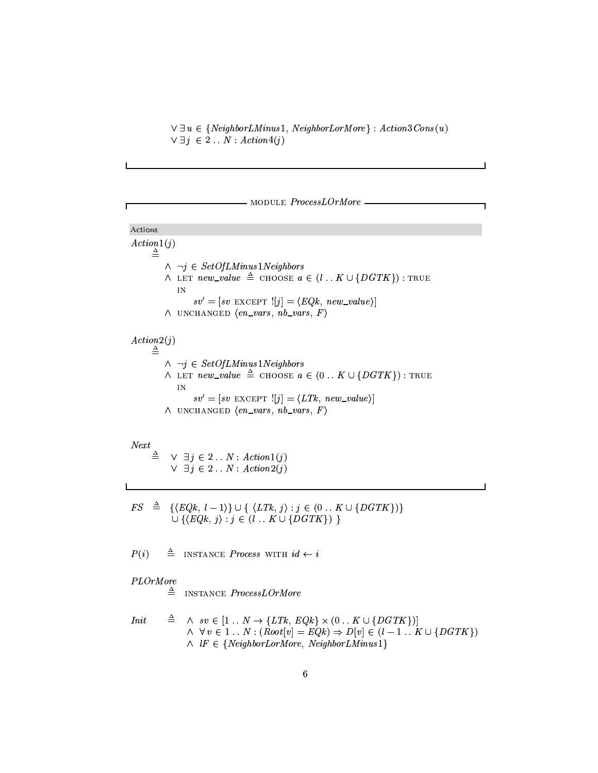$\forall$   $\exists u \in \{NeighborsLm, NeighbourLorMore\} : Action3Cons(u)$ ➵❶ê☛➪➤➔ ➟ ↔☎↔❪q➼ë ❮❜☎❦✩❬✃⑨❉❩æ ➠➹➪❻➢

 $-$  module  $ProcessLOrMore -$ 

# Actions ❮ ❜✆❦✫❬✃⑨❃❩☛❼❯➠❁➪❪➢  $\triangleq$  $\wedge$   $\neg j \in SetOfLMinus1Neighbors$ ➫Û❙❯❚❞❡Ñ❩✥❵☎í ⑥✵❨❉s➹♣✳❵ ➌<sup>➊</sup> <sup>❿</sup> ➧✗◆☛◆☛❤☎❚➯❨❶➔➣➠❊s❘↔➒↔❯➅➑î➉➭✵⑩➚➃r❫✹➅➀➲✵➢✷ë■❡❢③✹◗✗❚ IN ❧✄⑥ <sup>Ö</sup> ➌❰➓ ❧✱⑥❺❚❞❝<sup>❿</sup> ❚✌×❞❡ÝØ <sup>➓</sup>➪❉➝ ➌❰➍➆❈➇➁➂❢♠✓❩✥❵☎í ⑥❃❨❃s➹♣✳❵✵➏✧➝ ➫Û◗✓❣ <sup>❿</sup> ➧❢②✗❣✗Ü❘❚✌P <sup>➍</sup> ❵☎❩ ⑥❃❨❃❴✱❧■♠✗❩✥❾ ⑥❃❨❃❴✱❧■♠✥✇❈➏  $\Lambda$   $\ldots$   $\Omega$  $\land~\neg j \in \mathit{SetOfLMinus1Neighbors}$ ➫Û❙❯❚❞❡Ñ❩✥❵☎í ⑥✵❨❉s➹♣✳❵ <sup>➌</sup><sup>➊</sup> <sup>❿</sup> ➧✗◆☛◆☛❤☎❚➯❨❶➔➣➠ <sup>Ð</sup> ↔☎↔❯➅➑î➻➭✵⑩➚➃r❫✥➅➩➲✵➢✠ë■❡❢③✥◗✓❚ ④✕❣ ❧✄⑥ <sup>Ö</sup> ➌❰➓ ❧✱⑥❺❚❞❝<sup>❿</sup> ❚✌×❞❡ÝØ <sup>➓</sup>➪❉➝ ➌❰➍ t✣❫✥➂❢♠✓❩✥❵☎í ⑥❃❨❃s➹♣✳❵✵➏❊➝ ➫Û◗✓❣ <sup>❿</sup> ➧❢②✗❣✗Ü❘❚✌P <sup>➍</sup> ❵☎❩ ⑥❃❨❃❴✱❧■♠✗❩✥❾ ⑥❃❨❃❴✱❧■♠✥✇❈➏

# $Next$

 $\triangleq$   $\vee$   $\exists j \in 2 \dots N$  :  $Action1(j)$ ➵Ûê☛➪❺➔ ➟ ↔➒↔❯q➼ë ❮❜☎❦✩❬✃⑨❉❩ ➟ ➠➹➪❻➢

✇➁❱ <sup>➌</sup><sup>➊</sup> ➭ <sup>➍</sup>➆❖➇✣➂♥♠✓s✥➬➣❼●➏✱➲✷î➉➭ <sup>➍</sup> t➁❫♥➂♥♠❉➪❻➏✛ë✆➪❺➔✿➠ <sup>Ð</sup> ↔➒↔❯➅ïî➻➭❃⑩➄➃r❫✥➅➩➲❃➢✱➲ î➉➭ ➍➆❖➇✣➂❢♠❉➪❪➏✛ë☎➪❺➔➣➠❊s☛↔➒↔❯➅ïî➉➭✵⑩➚➃✈❫✥➅➩➲❃➢⑦➲

 $P(i)$  $\triangleq$  INSTANCE *Process* with  $id \leftarrow i$ 

# PLOrMore

 $\triangleq$  INSTANCE *ProcessLOrMore* 

$$
Init \quad \triangleq \quad \land \quad sv \in [1..N \rightarrow \{LTk, EQk\} \times (0..K \cup \{DGTK\})]
$$
\n
$$
\land \quad \forall v \in 1..N : (Root[v] = EQk) \Rightarrow D[v] \in (l-1..K \cup \{DGTK\})
$$
\n
$$
\land \quad lF \in \{NeighbourLorMore, NeighbourMinus1\}
$$

 $\overline{\phantom{0}}$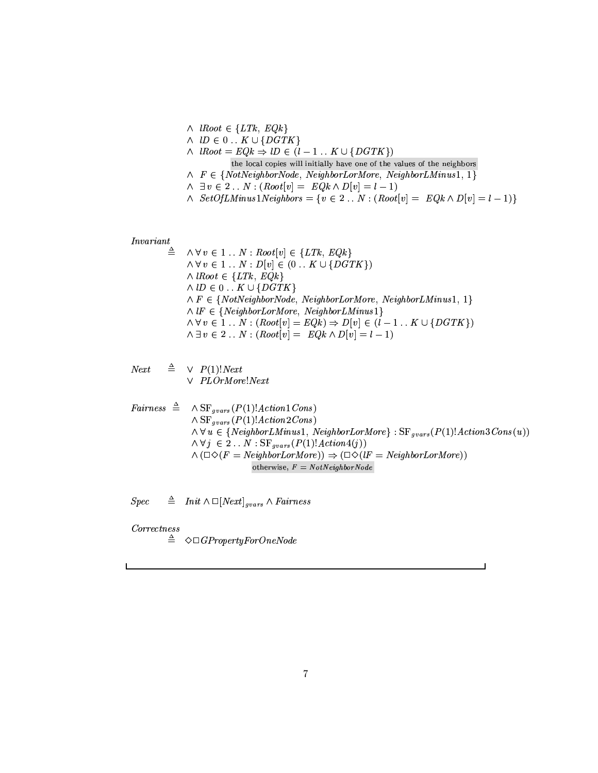$\land$  lRoot  $\in \{LTk, EQk\}$  $\mathcal{S}$ ➫ßs⑧✯⑨●⑨❃❦ <sup>➌</sup> ➆❖➇✣➂÷õÚs⑩➨➔➣➠❊s♥➬➯❼❈↔☎↔❪➅➋î➉➭❃⑩➄➃r❫✥➅➩➲✵➢ the local copies will initially have one of the values of the neighbors  $∧$   $F ∈ {NotNeighbourNode, NeighbourLorMore, NeighbourLu, % }$ ➫Ûê❖⑥❺➔ ➟ ↔➒↔❯q➳ë✳➠✩⑧❍⑨➒⑨❉❦ <sup>➓</sup> ⑥■➝ <sup>➌</sup> ➆❈➇➁➂❈➫❶⑩ <sup>➓</sup> ⑥❉➝ <sup>➌</sup> s♥➬➯❼✵➢ ➫ã❱♥❵☎❦❛❷❢❸❊t✑❹❶❬✕❩✹♣❻❧■❼●q⑦❵✆❬❁❭✵❽✌❾✱⑨❉❴✱❧ <sup>➌</sup> ➭❯⑥❶➔ ➟ ↔☎↔❯q➨ë✳➠✫⑧✯⑨●⑨❃❦ <sup>➓</sup> ⑥❉➝ <sup>➌</sup> ➆❖➇✣➂✞➫✻⑩ <sup>➓</sup> ⑥■➝ <sup>➌</sup> s✹➬➣❼●➢✄➲

$$
Invariant \underset{\wedge}{}
$$

 $\triangleq \quad \wedge \forall v \in 1 \ldots N : Root[v] \in \{LTk, EQk\}$ ➫➄ó⑦⑥❶➔➣❼❖↔➒↔❯q➳ë❯⑩ <sup>➓</sup> ⑥❉➝➁➔✿➠ <sup>Ð</sup> ↔➒↔❯➅➑î❺➭❃⑩➄➃r❫✥➅➩➲❃➢  $∧$  lRoot ∈ {LTk, EQk} ➫➦s⑩➨➔ <sup>Ð</sup> ↔➒↔❯➅ïî➉➭✵⑩➚➃✈❫✥➅➩➲  $\wedge$  F  $\in$  {NotNeighborNode, NeighborLorMore, NeighborLMinus1, 1}  $\land$ l $F \in \{NeighbourLorMore, NeighbourLMinus1\}$ ➫➄ó⑦⑥❶➔➣❼❖↔➒↔❯q➳ë✳➠✩⑧❍⑨➒⑨❉❦ <sup>➓</sup> ⑥❉➝ <sup>➌</sup> ➆❖➇✣➂✌➢➁õô⑩ <sup>➓</sup> ⑥■➝✣➔➣➠❊s✹➬➣❼✞↔☎↔❪➅➋î➉➭❃⑩➄➃r❫✥➅➩➲✵➢ ➫❶ê❖⑥❺➔ ➟ ↔➒↔❯q➳ë✳➠✩⑧❍⑨➒⑨❉❦ <sup>➓</sup> ⑥❉➝ <sup>➌</sup> ➆❖➇✣➂❈➫✻⑩ <sup>➓</sup> ⑥■➝ <sup>➌</sup> s♥➬➣❼●➢

$$
Next \quad \triangleq \quad \vee \quad P(1)! Next
$$

 $\lor$   $PLOrMore!Next$ 

Fairness

\n
$$
\triangleq \wedge \text{SF}_{gvars}(P(1)!Action1Cons)
$$
\n
$$
\wedge \text{SF}_{gvars}(P(1)!Action2Cons)
$$
\n
$$
\wedge \forall u \in \{NeighbourMinus1, NeighbourLorMore\} : \text{SF}_{gvars}(P(1)!Action3Cons(u))
$$
\n
$$
\wedge \forall j \in 2 \dots N : \text{SF}_{gvars}(P(1)!Action4(j))
$$
\n
$$
\wedge (\Box \Diamond (F = NeighbourLorMore)) \Rightarrow (\Box \Diamond (IF = NeighbourLorMore))
$$
\n
$$
\text{otherwise, } F = \text{NotNeighbourNode}
$$

 $\overline{\phantom{0}}$ 

Spec  $\triangleq$  Init  $\wedge$   $\Box[Next]_{gvars} \wedge Fairness$ 

✉➁⑨❃❴✄❴❛❵✱❜☎❦✩❩♥❵✄❧✱❧

 $\triangle$   $\triangle$   $\heartsuit$   $\Box$  GP roperty For One Node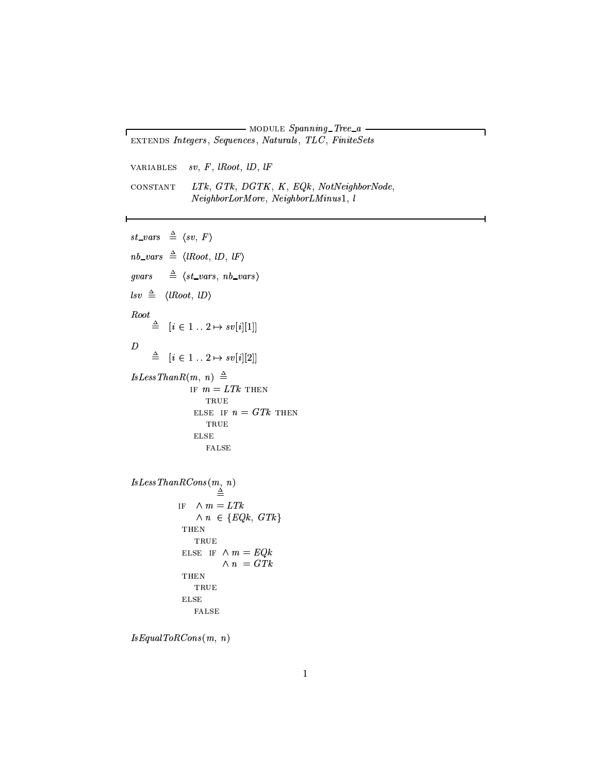- MODULE  $Spanning\_Tree_a$ . EXTENDS Integers, Sequences, Naturals, TLC, FiniteSets

٦

 $sv, F, \, \textit{lRoot}, \, \textit{lD}, \, \textit{lF}$ **VARIABLES** 

Л

```
CONSTANT
              LTk, \, GTk, \, DGTK, \, K, \, EQk, \, NotNeighbourNode,NeighborLorMore, NeighborLMinus1, l
```
 $st\_vars \triangleq \langle sv, F \rangle$  $nb\_vars \triangleq \langle lRoot, lD, lF \rangle$ gvars  $\triangleq$   $\langle$ st\_vars, nb\_vars $\rangle$  $\textit{lsv} \triangleq \langle \textit{lRoot}, \textit{lD} \rangle$ Root  $\stackrel{\triangle}{=} [i \in 1..2 \mapsto sv[i][1]]$  $\boldsymbol{D}$  $\ \triangleq \quad [i \in 1 \; . \; . \; 2 \mapsto \mathit{sv}[i][2]]$  $Is Less ThanR(m, n) \triangleq$ IF  $m = LTk$  THEN TRUE ELSE IF  $n = GTk$  THEN  $\operatorname{TRUE}$  $_{\rm{ELSE}}$ FALSE  $\label{eq:lsLessThanRCons} Is Less ThanRCons(m,~n) \triangleq$ IF  $\wedge m = LTk$  $\wedge n \in \{EQk, GTk\}$ **THEN** TRUE ELSE IF  $\land\, m$  =  $EQk$  $\wedge n = GTk$  ${\tt THEN}$  $\operatorname{TRUE}$  ${\rm ELSE}$  ${\tt FALSE}$ 

```
Is Equal ToRCons(m, n)
```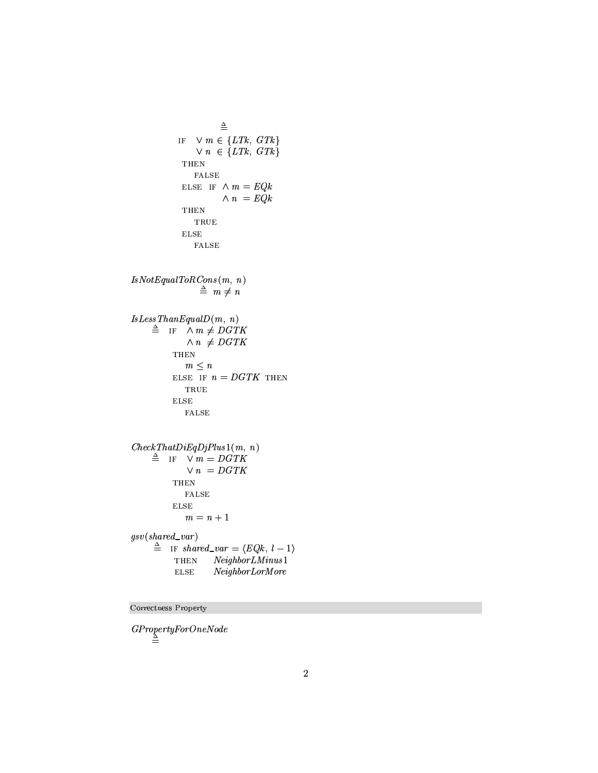```
\triangleqIF \forall m \in \{LTk, GTk\}\vee n \in \{LTk, \, GTk\}{\tt THEN}{\tt FALSE}ELSE IF \wedge m = EQk\wedge\ n\ =\ EQkTHEN
                   TRUE
               _{\rm{ELSE}}{\tt FALSE}IsNot Equal ToRCons(m, n)\stackrel{\Delta}{=} m \neq n\label{eq:lsLessThan} Is Less ThanEqual D(m,~n)\triangleq IF \wedge m \neq DGTK\wedge n \ \neq DGTKTHEN
                m \leq nELSE IF n = DGTK THEN
                TRUE
            _{\rm ELSE}{\tt FALSE}CheckThat DiEqDjPlus1(m, n)\triangleq IF \vee m = DGTK
                \vee n = DGTKTHEN
                {\tt FALSE}ELSE
                m = n + 1gsv(shared\_var)\triangleq IF shared_var = \langle EQk, l-1 \rangle\operatorname{\mathbf{THEN}}NeighbourLMinus1_{\rm ELSE}NeighborLorMore
```
Correctness Property

 $\begin{array}{c} GPropertyForOneNode \\ \triangleq \end{array}$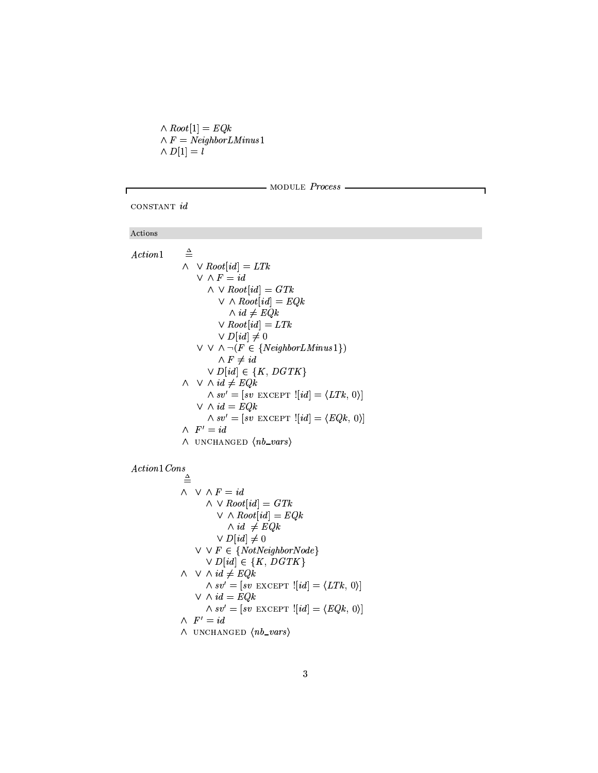$\wedge Root[1] = EQk$  $\wedge$  F = NeighborLMinus1  $\wedge D[1] = l$ 

```
- MODULE Process -
```
٦

CONSTANT id

# Actions

Г

| Action1 | $\triangleq$                                                       |  |
|---------|--------------------------------------------------------------------|--|
|         | $\wedge \vee Root(id] = LTk$                                       |  |
|         | $\vee$ $\wedge$ $F = id$                                           |  |
|         | $\wedge \vee Root(id] = GTk$                                       |  |
|         | $\vee$ $\wedge$ Root[id] = EQk                                     |  |
|         | $\wedge id \neq EQk$                                               |  |
|         | $\vee$ Root[id] = LTk                                              |  |
|         | $\vee D(id] \neq 0$                                                |  |
|         | $\vee \vee \wedge \neg (F \in \{NeighbourIMinus1\})$               |  |
|         | $\wedge$ F $\neq id$                                               |  |
|         | $\vee D[i d] \in \{K, DGTK\}$                                      |  |
|         | $\wedge \vee \wedge id \neq EQk$                                   |  |
|         | $\wedge sv' = [sv \text{ EXCEPT } ![id] = \langle LTk, 0 \rangle]$ |  |
|         | $\vee$ $\wedge$ $id = EQk$                                         |  |
|         | $\wedge sv'=[sv \text{ EXCEPT } ![id]=\langle EQk, 0 \rangle]$     |  |
|         | $\wedge$ $F' = id$                                                 |  |
|         | $\wedge$ UNCHANGED $\langle nb\_vars \rangle$                      |  |

 $Action1Cons$ 

 $\stackrel{\Delta}{=}$  $\wedge \ \vee \wedge F = id$  $\wedge \vee Root[i d] = GTk$  $\vee$   $\wedge$   $Root(id] = EQk$  $\wedge id \neq EQk$  $\vee D(id] \neq 0$  $\vee \vee F \in \{NotNeighbourNode\}$  $\vee D(id] \in \{K, DGTK\}$  $\wedge \vee \wedge id \neq EQk$  $\wedge sv'=[sv \text{ EXCEPT } ![id] = \langle LTk, 0 \rangle]$  $\vee$   $\wedge$   $id = EQk$  $\wedge sv'=[sv \text{ EXCEPT } ![id]=\langle EQk, 0 \rangle]$  $\wedge$   $F' = id$  $\wedge$  UNCHANGED  $\langle nb\_vars \rangle$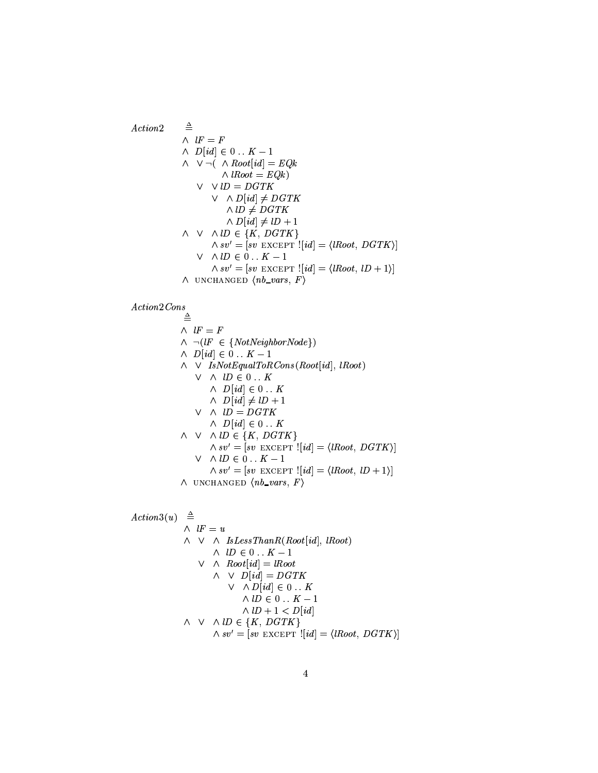$\triangleq$  $Action2$  $\wedge\;\;lF\,=\,F$  $\wedge$   $D(id] \in 0 \dots K-1$  $\wedge \vee \neg (\wedge Root(id] = EQk)$  $\wedge$  lRoot = EQk)  $V \quad V \quad lD = DGTK$  $\vee$   $\wedge$   $D(id] \neq$   $DGTK$  $\land$  *ID*  $\ne$  *DGTK*  $\wedge D(id] \neq lD + 1$  $\wedge \vee \wedge lD \in \{K, DGTK\}$  $\wedge sv' = [sv \; EXCEPT \; [[id] = \langle lRoot, \; DGTK \rangle]$  $\vee$   $\wedge$   $\downarrow$ D  $\in$  0  $\ldots$  K - 1  $\wedge sv' = [sv \text{ EXCEPT } ![id] = \langle lRoot, lD + 1 \rangle]$  $\wedge$  UNCHANGED  $\langle nb\_vars, F \rangle$ 

 $Action2Cons$ 

 $\triangleq$  $\wedge$   $lF = F$  $\wedge \neg (lF \in \{NotNeighbourNode\})$  $\wedge$   $D(id] \in 0 \dots K - 1$  $\wedge \vee$  IsNotEqualToRCons(Root[id], lRoot)  $V \wedge lD \in 0...K$  $\wedge$   $D(id] \in 0 \dots K$  $\wedge$   $D(id] \neq lD+1$  $V \wedge lD = DGTK$  $\wedge$   $D(id] \in 0 \dots K$  $\wedge \vee \wedge lD \in \{K, DGTK\}$  $\wedge sv' = [sv \text{ EXCEPT } ![id] = \langle \text{lRoot}, \text{DGTK} \rangle]$  $\vee~\wedge lD\in 0$  . <br> .  $K-1$  $\wedge sv' = [sv \text{ EXCEPT } ![id] = \langle lRoot, lD + 1 \rangle]$  $\wedge$  UNCHANGED  $\langle nb\_vars, F \rangle$ 

 $\stackrel{\Delta}{=}$  $Action3(u)$  $\wedge$   $lF = u$  $\wedge \vee \wedge \text{IsLess} \text{ThanR}(\text{Root}[id], \text{lRoot})$  $\land\;\; lD\in 0\mathrel{{.}\,{.}}\nobreak K-1$  $\vee$  A  $Root(id] = lRoot$  $\wedge \vee D(id) = DGTK$  $\vee$   $\wedge$   $D(id] \in 0$ ...  $K$  $\wedge$ l $D \in 0$ ...  $K-1$  $\wedge$  lD + 1 < D[id]  $\wedge \vee \wedge lD \in \{K, DGTK\}$  $\wedge sv' = [sv \text{ EXCEPT } ![id] = \langle lRoot, DGTK \rangle]$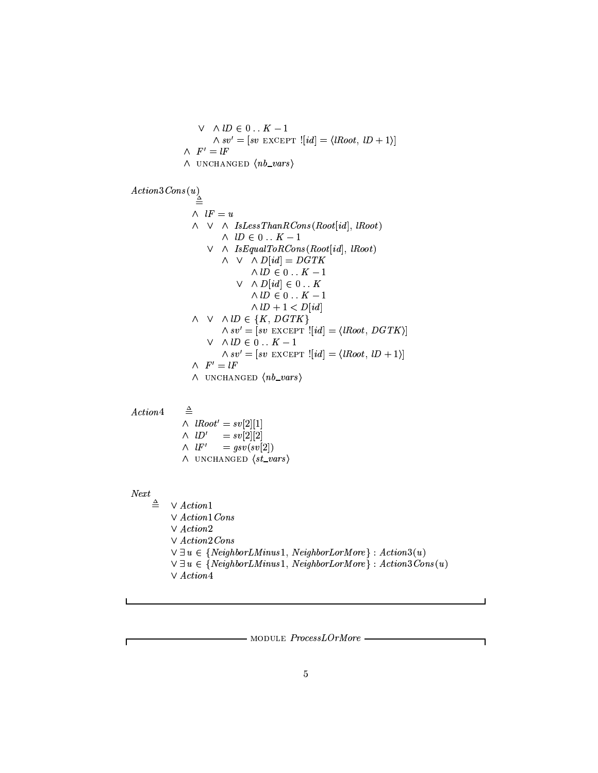$$
\vee \wedge lD \in 0... K - 1
$$
  
\n
$$
\wedge sv' = [sv \text{ EXCEPT }![id] = \langle lRoot, lD + 1 \rangle]
$$
  
\n
$$
\wedge F' = lF
$$
  
\n
$$
\wedge \text{ UNCHANGED } \langle nb\_vars \rangle
$$

 $Action3Cons(u)$ 

| =                                                                               | ∧ $lF = u$ |
|---------------------------------------------------------------------------------|------------|
| ∧ $\lor$ ∧ $IsLessThanRCons(Root[i d], lRoot)$                                  |            |
| ∨ $\land$ $lD \in 0 \dots K - 1$                                                |            |
| ∨ $\land$ $IsEqualToRCons(Root[i d], lRoot)$                                    |            |
| ∧ $\lor$ ∧ $D[i d] = DGTK$                                                      |            |
| ∧ $lD \in 0 \dots K - 1$                                                        |            |
| ∨ $\land$ $lD \in 0 \dots K$                                                    |            |
| ∧ $lD \in 0 \dots K - 1$                                                        |            |
| ∧ $\lor$ ∧ $lD \in \{K, DGTK\}$                                                 |            |
| ∧ $\lor$ ∧ $lD \in \{K, DGTK\}$                                                 |            |
| ∧ $\lor$ ∧ $lD \in 0 \dots K - 1$                                               |            |
| ∧ $\lor$ ∧ $lD \in 0 \dots K - 1$                                               |            |
| ∧ $\lor$ ∨ $lD \in 0 \dots K - 1$                                               |            |
| ∧ $\lor$ √ $\vdash$ [ $sv$ EXCEPT '[ $id$ ] = $\langle lRoot, lD + 1 \rangle$ ] |            |
| ∧ $F' = lF$                                                                     |            |
| ∧ $UNCHANGED$ ⟨ $nb\_vars$ ⟩                                                    |            |

 $Action4$ 

 $\triangleq$ 

 $\wedge \ \ lRoot' = sv[2][1]$ =  $sv[2][2]$ <br>=  $gsv(sv[2])$  $\wedge\;\; lD'$  $\wedge$  lF'  $\wedge$  UNCHANGED  $\langle$ st\_vars $\rangle$ 

# $Next$

Г

 $\stackrel{\Delta}{=}$  $\vee$   $Action1$  $\vee$  Action1 Cons  $\vee$   $Action2$  $\vee~Action2\,Cons$  $\forall \exists u \in \{NeighbourIMinus1, NeighbourLorMore\} : Action3(u)$  $\forall \exists u \in \{NeighbourLMinus1, NeighbourLorMore\} : Action3\text{Cons}(u)$  $\vee$   $Action 4$ 

 $-$  MODULE  $ProcessLOrMore$  -

ī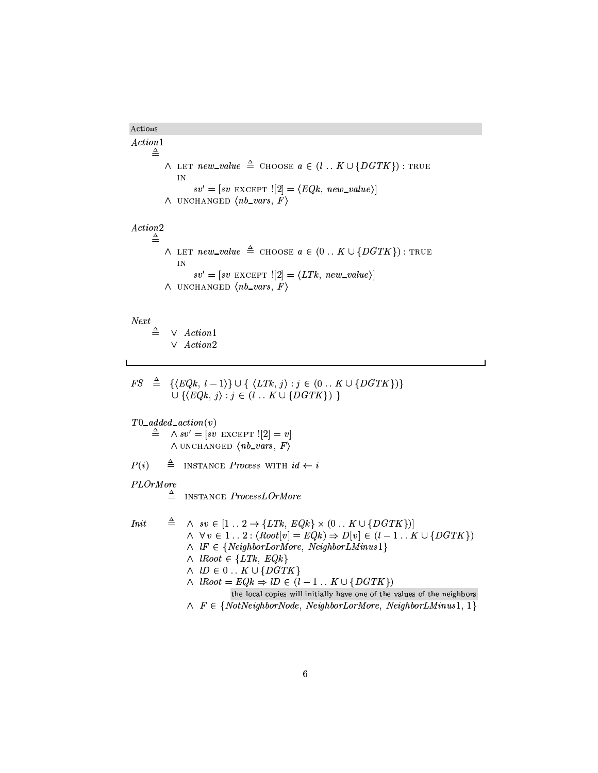Actions  $Action 1$  $\triangleq$  $\wedge$  LET  $new\_value \triangleq$  CHOOSE  $a \in (l \dots K \cup \{DGTK\})$ : TRUE  $\bar{\rm IN}$  $sv' = [sv \text{ EXCEPT } ![2] = \langle EQk, new\_value \rangle]$  $\land$  UNCHANGED  $\langle nb\_vars, F \rangle$  $Action2$  $\triangleq$  $\wedge$  LET  $new\_value \triangleq$  CHOOSE  $a \in (0.. K \cup \{DGTK\})$ : TRUE  $\overline{\text{IN}}$  $sv' = [sv \text{ EXCEPT } ![2] = \langle LTk, new_value \rangle]$  $\wedge$  UNCHANGED  $\langle nb\_vars, F \rangle$  $Next$  $\triangleq$   $\vee$  *Action*1  $\vee$  Action2

 $FS \triangleq {\{EQk, l-1\}} \cup {\{LTk, j\}} : j \in (0..K \cup \{DGTK\})$  $\cup \{ \langle EQk, j \rangle : j \in (l \dots K \cup \{ DGTK \} ) \}$ 

 $T0\_added\_action(v)$ 

 $\stackrel{\Delta}{=}$   $\wedge sv' = [sv \text{ EXCEPT}!]$  $\land$  UNCHANGED  $\langle nb\_vars, F \rangle$ 

 $P(i)$  $\triangleq$  INSTANCE *Process* WITH  $id \leftarrow i$ 

PLOrMore

 $\triangleq$  INSTANCE *ProcessLOrMore* 

$$
Init \quad \triangleq \quad \land \quad sv \in [1..2 \rightarrow \{LTk, \, EQk\} \times (0..K \cup \{DGTK\})]
$$
\n
$$
\land \quad \forall \, v \in 1..2 : (Root[v] = EQk) \Rightarrow D[v] \in (l-1..K \cup \{DGTK\})
$$
\n
$$
\land \quad lF \in \{NeighbourMore, NeighbourMinus1\}
$$
\n
$$
\land \quad lRoot \in \{LTk, \, EQk\}
$$
\n
$$
\land \quad lD \in 0..K \cup \{DGTK\}
$$
\n
$$
\land \quad lRoot = EQk \Rightarrow lD \in (l-1..K \cup \{DGTK\})
$$
\nthe local copies will initially have one of the values of the neighbors

\n
$$
\land \quad F \in \{NotNeighbourNode, NeighbourLorMore, NeighbourMinus1, 1\}
$$